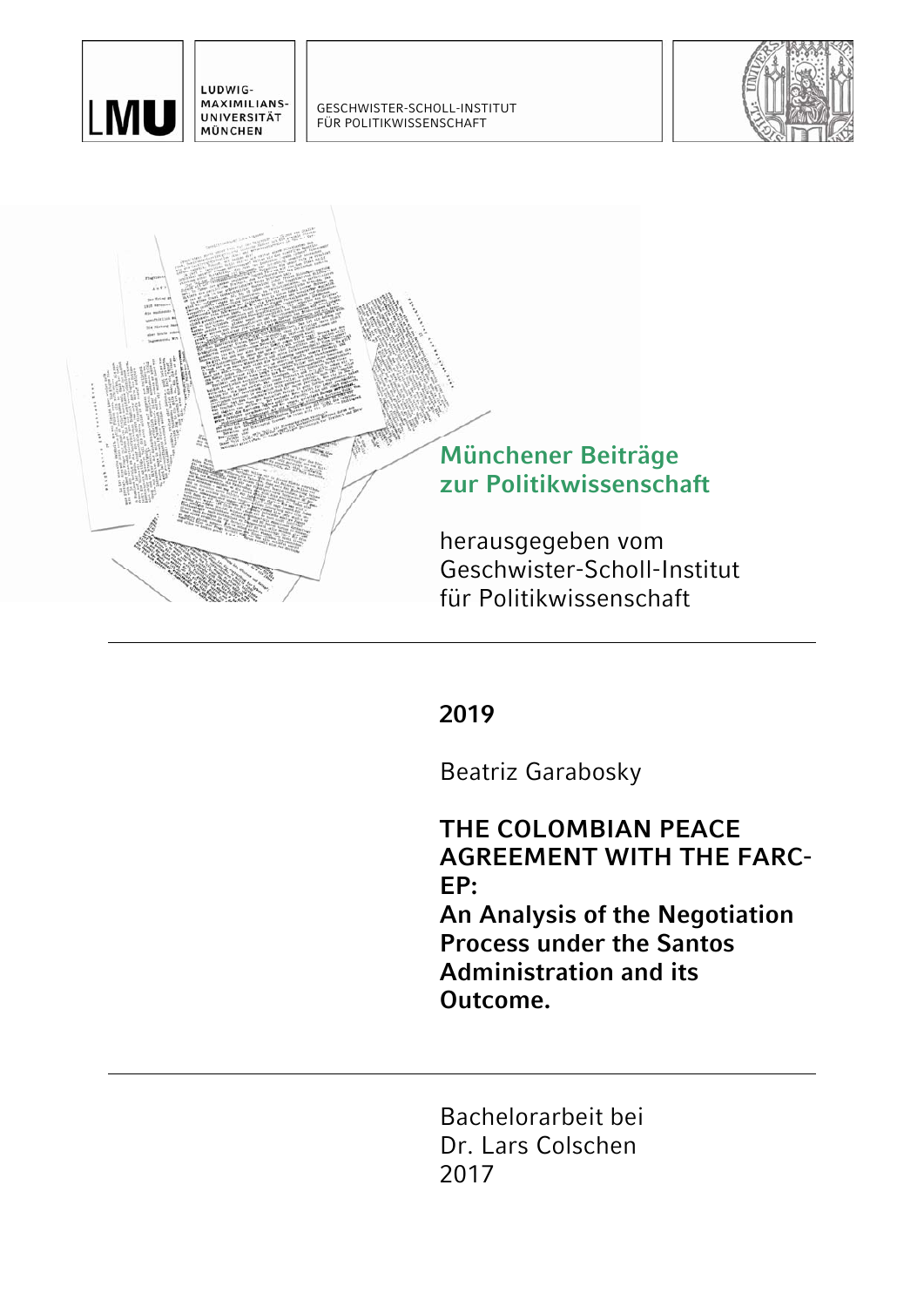

LUDWIG-MAXIMILIANS-UNIVERSITÄT MÜNCHEN

GESCHWISTER-SCHOLL-INSTITUT FÜR POLITIKWISSENSCHAFT





**2019** 

Beatriz Garabosky

**THE COLOMBIAN PEACE AGREEMENT WITH THE FARC-EP: An Analysis of the Negotiation Process under the Santos Administration and its Outcome.** 

Bachelorarbeit bei Dr. Lars Colschen 2017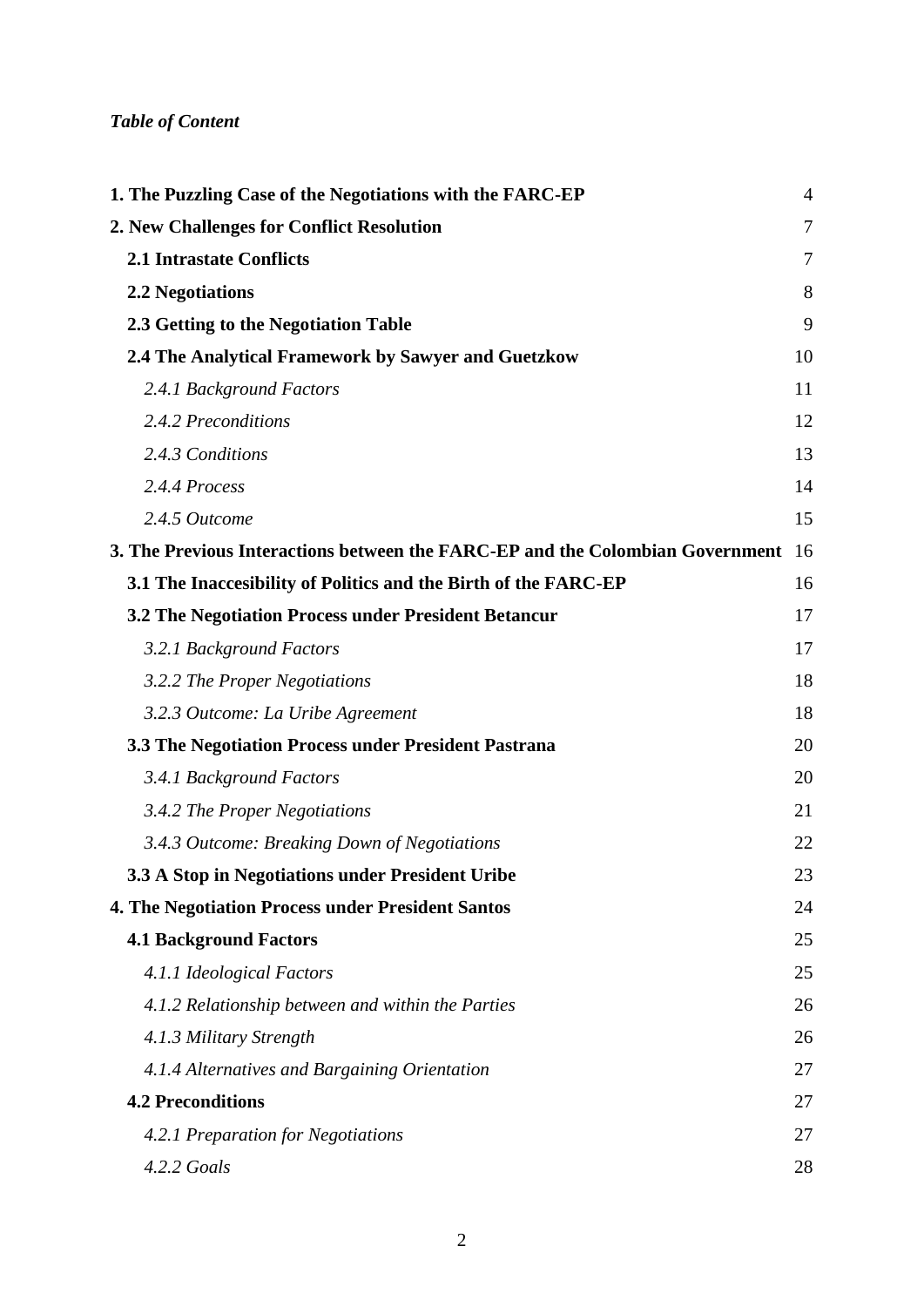# *Table of Content*

| 1. The Puzzling Case of the Negotiations with the FARC-EP                     | $\overline{4}$ |
|-------------------------------------------------------------------------------|----------------|
| 2. New Challenges for Conflict Resolution                                     | 7              |
| <b>2.1 Intrastate Conflicts</b>                                               | 7              |
| <b>2.2 Negotiations</b>                                                       | 8              |
| 2.3 Getting to the Negotiation Table                                          | 9              |
| 2.4 The Analytical Framework by Sawyer and Guetzkow                           | 10             |
| 2.4.1 Background Factors                                                      | 11             |
| 2.4.2 Preconditions                                                           | 12             |
| 2.4.3 Conditions                                                              | 13             |
| 2.4.4 Process                                                                 | 14             |
| 2.4.5 Outcome                                                                 | 15             |
| 3. The Previous Interactions between the FARC-EP and the Colombian Government | 16             |
| 3.1 The Inaccesibility of Politics and the Birth of the FARC-EP               | 16             |
| 3.2 The Negotiation Process under President Betancur                          | 17             |
| 3.2.1 Background Factors                                                      | 17             |
| 3.2.2 The Proper Negotiations                                                 | 18             |
| 3.2.3 Outcome: La Uribe Agreement                                             | 18             |
| 3.3 The Negotiation Process under President Pastrana                          | 20             |
| 3.4.1 Background Factors                                                      | 20             |
| 3.4.2 The Proper Negotiations                                                 | 21             |
| 3.4.3 Outcome: Breaking Down of Negotiations                                  | 22             |
| 3.3 A Stop in Negotiations under President Uribe                              | 23             |
| <b>4. The Negotiation Process under President Santos</b>                      | 24             |
| <b>4.1 Background Factors</b>                                                 | 25             |
| 4.1.1 Ideological Factors                                                     | 25             |
| 4.1.2 Relationship between and within the Parties                             | 26             |
| 4.1.3 Military Strength                                                       | 26             |
| 4.1.4 Alternatives and Bargaining Orientation                                 | 27             |
| <b>4.2 Preconditions</b>                                                      | 27             |
| 4.2.1 Preparation for Negotiations                                            | 27             |
| 4.2.2 Goals                                                                   | 28             |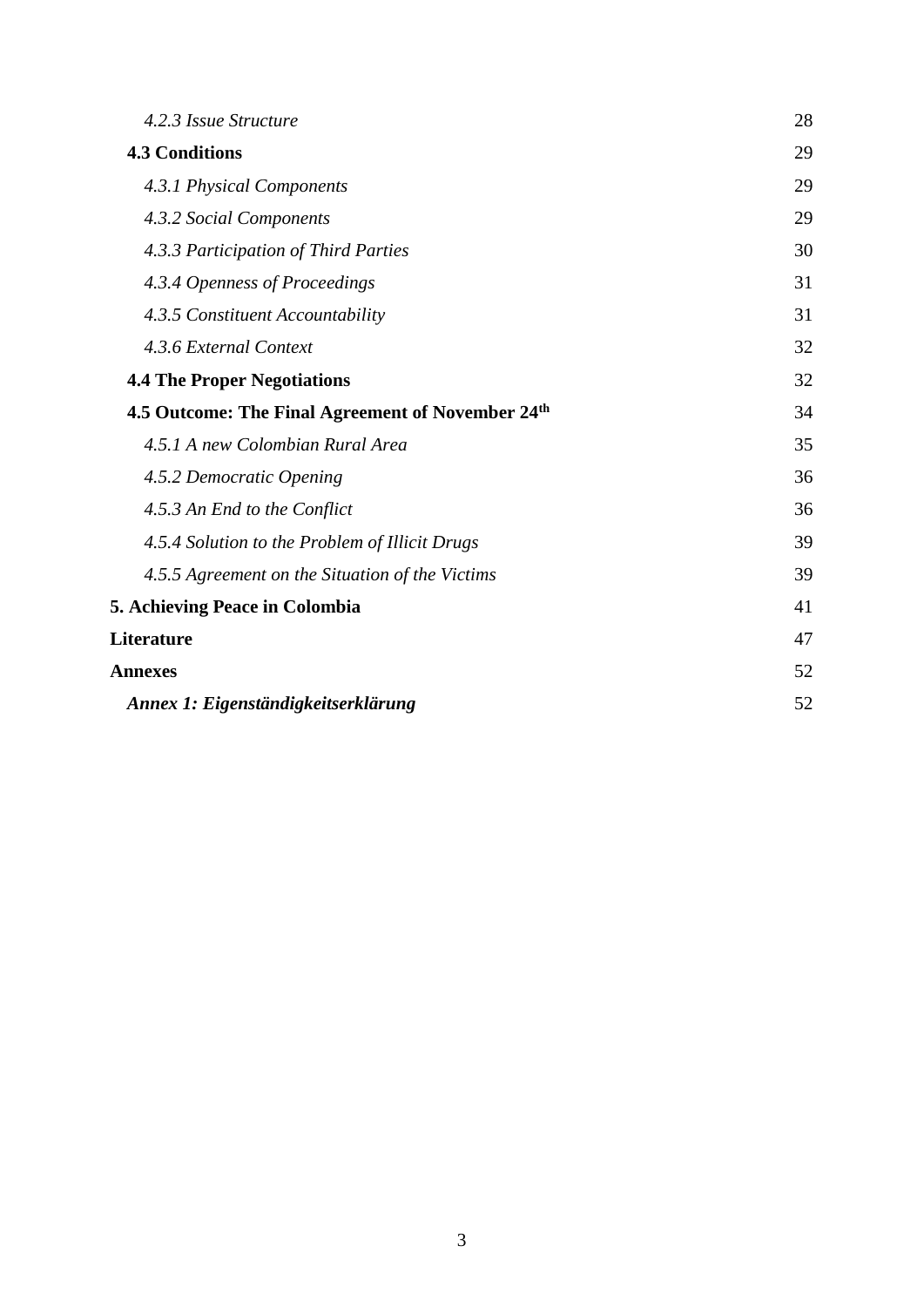| 4.2.3 Issue Structure                             | 28 |
|---------------------------------------------------|----|
| <b>4.3 Conditions</b>                             | 29 |
| 4.3.1 Physical Components                         | 29 |
| 4.3.2 Social Components                           | 29 |
| 4.3.3 Participation of Third Parties              | 30 |
| 4.3.4 Openness of Proceedings                     | 31 |
| 4.3.5 Constituent Accountability                  | 31 |
| 4.3.6 External Context                            | 32 |
| <b>4.4 The Proper Negotiations</b>                | 32 |
| 4.5 Outcome: The Final Agreement of November 24th | 34 |
| 4.5.1 A new Colombian Rural Area                  | 35 |
| 4.5.2 Democratic Opening                          | 36 |
| 4.5.3 An End to the Conflict                      | 36 |
| 4.5.4 Solution to the Problem of Illicit Drugs    | 39 |
| 4.5.5 Agreement on the Situation of the Victims   | 39 |
| <b>5. Achieving Peace in Colombia</b>             | 41 |
| Literature                                        | 47 |
| <b>Annexes</b>                                    | 52 |
| Annex 1: Eigenständigkeitserklärung               | 52 |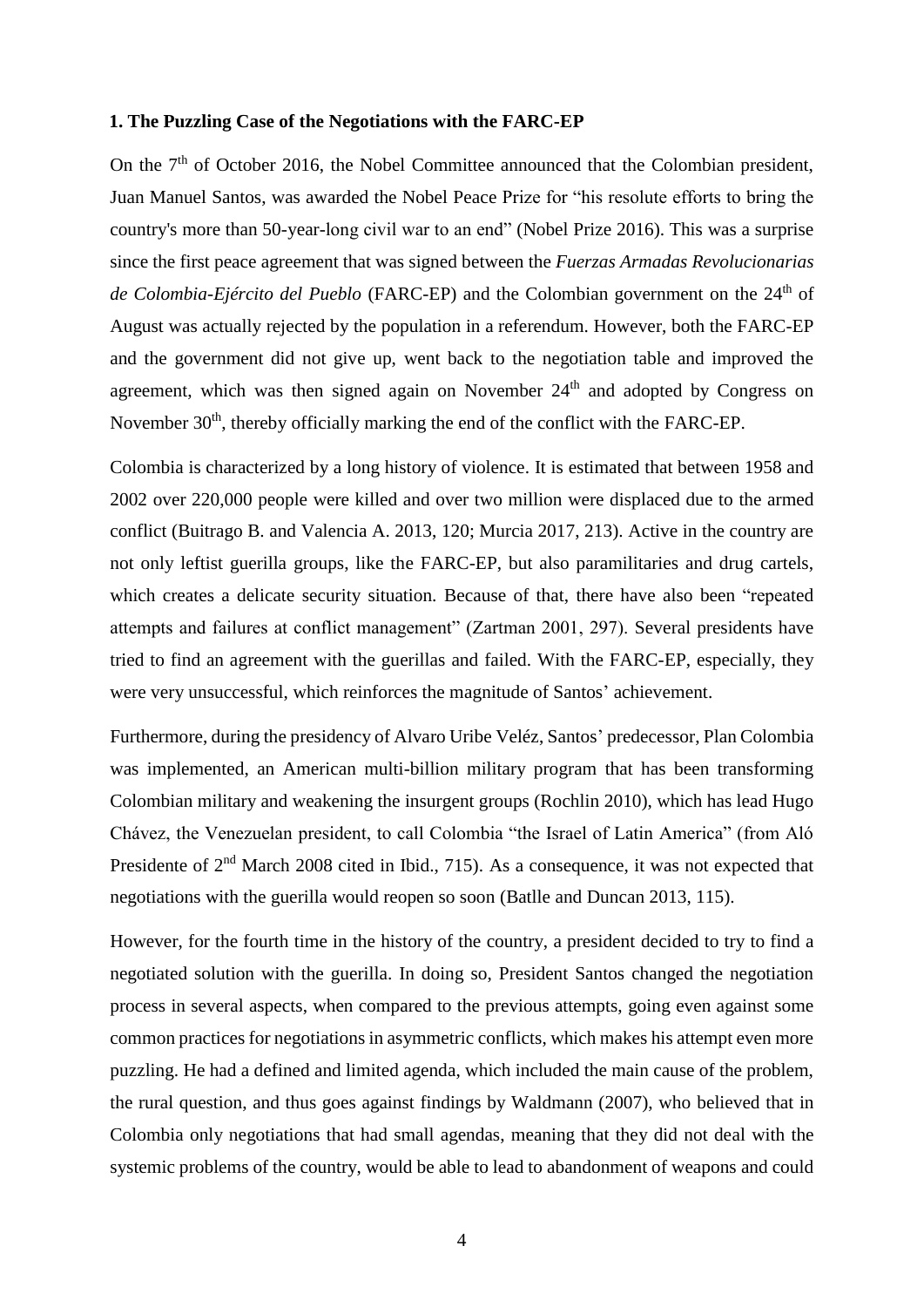#### <span id="page-3-0"></span>**1. The Puzzling Case of the Negotiations with the FARC-EP**

On the  $7<sup>th</sup>$  of October 2016, the Nobel Committee announced that the Colombian president, Juan Manuel Santos, was awarded the Nobel Peace Prize for "his resolute efforts to bring the country's more than 50-year-long civil war to an end" (Nobel Prize 2016). This was a surprise since the first peace agreement that was signed between the *Fuerzas Armadas Revolucionarias de Colombia-Ejército del Pueblo* (FARC-EP) and the Colombian government on the 24<sup>th</sup> of August was actually rejected by the population in a referendum. However, both the FARC-EP and the government did not give up, went back to the negotiation table and improved the agreement, which was then signed again on November  $24<sup>th</sup>$  and adopted by Congress on November 30<sup>th</sup>, thereby officially marking the end of the conflict with the FARC-EP.

Colombia is characterized by a long history of violence. It is estimated that between 1958 and 2002 over 220,000 people were killed and over two million were displaced due to the armed conflict (Buitrago B. and Valencia A. 2013, 120; Murcia 2017, 213). Active in the country are not only leftist guerilla groups, like the FARC-EP, but also paramilitaries and drug cartels, which creates a delicate security situation. Because of that, there have also been "repeated attempts and failures at conflict management" (Zartman 2001, 297). Several presidents have tried to find an agreement with the guerillas and failed. With the FARC-EP, especially, they were very unsuccessful, which reinforces the magnitude of Santos' achievement.

Furthermore, during the presidency of Alvaro Uribe Veléz, Santos' predecessor, Plan Colombia was implemented, an American multi-billion military program that has been transforming Colombian military and weakening the insurgent groups (Rochlin 2010), which has lead Hugo Chávez, the Venezuelan president, to call Colombia "the Israel of Latin America" (from Aló Presidente of 2<sup>nd</sup> March 2008 cited in Ibid., 715). As a consequence, it was not expected that negotiations with the guerilla would reopen so soon (Batlle and Duncan 2013, 115).

However, for the fourth time in the history of the country, a president decided to try to find a negotiated solution with the guerilla. In doing so, President Santos changed the negotiation process in several aspects, when compared to the previous attempts, going even against some common practices for negotiations in asymmetric conflicts, which makes his attempt even more puzzling. He had a defined and limited agenda, which included the main cause of the problem, the rural question, and thus goes against findings by Waldmann (2007), who believed that in Colombia only negotiations that had small agendas, meaning that they did not deal with the systemic problems of the country, would be able to lead to abandonment of weapons and could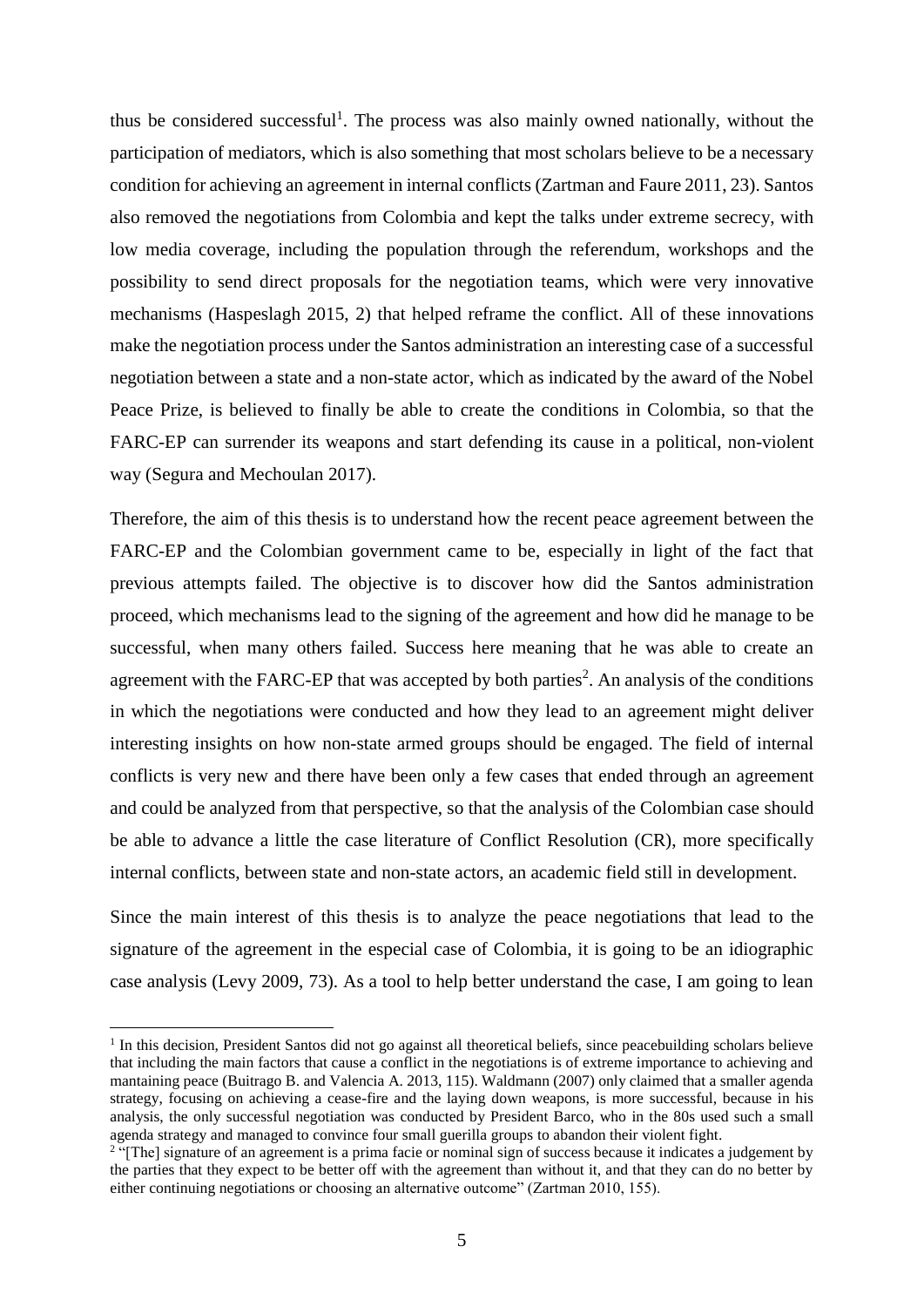thus be considered successful<sup>1</sup>. The process was also mainly owned nationally, without the participation of mediators, which is also something that most scholars believe to be a necessary condition for achieving an agreement in internal conflicts (Zartman and Faure 2011, 23). Santos also removed the negotiations from Colombia and kept the talks under extreme secrecy, with low media coverage, including the population through the referendum, workshops and the possibility to send direct proposals for the negotiation teams, which were very innovative mechanisms (Haspeslagh 2015, 2) that helped reframe the conflict. All of these innovations make the negotiation process under the Santos administration an interesting case of a successful negotiation between a state and a non-state actor, which as indicated by the award of the Nobel Peace Prize, is believed to finally be able to create the conditions in Colombia, so that the FARC-EP can surrender its weapons and start defending its cause in a political, non-violent way (Segura and Mechoulan 2017).

Therefore, the aim of this thesis is to understand how the recent peace agreement between the FARC-EP and the Colombian government came to be, especially in light of the fact that previous attempts failed. The objective is to discover how did the Santos administration proceed, which mechanisms lead to the signing of the agreement and how did he manage to be successful, when many others failed. Success here meaning that he was able to create an agreement with the FARC-EP that was accepted by both parties<sup>2</sup>. An analysis of the conditions in which the negotiations were conducted and how they lead to an agreement might deliver interesting insights on how non-state armed groups should be engaged. The field of internal conflicts is very new and there have been only a few cases that ended through an agreement and could be analyzed from that perspective, so that the analysis of the Colombian case should be able to advance a little the case literature of Conflict Resolution (CR), more specifically internal conflicts, between state and non-state actors, an academic field still in development.

Since the main interest of this thesis is to analyze the peace negotiations that lead to the signature of the agreement in the especial case of Colombia, it is going to be an idiographic case analysis (Levy 2009, 73). As a tool to help better understand the case, I am going to lean

 $\overline{a}$ 

<sup>&</sup>lt;sup>1</sup> In this decision, President Santos did not go against all theoretical beliefs, since peacebuilding scholars believe that including the main factors that cause a conflict in the negotiations is of extreme importance to achieving and mantaining peace (Buitrago B. and Valencia A. 2013, 115). Waldmann (2007) only claimed that a smaller agenda strategy, focusing on achieving a cease-fire and the laying down weapons, is more successful, because in his analysis, the only successful negotiation was conducted by President Barco, who in the 80s used such a small agenda strategy and managed to convince four small guerilla groups to abandon their violent fight.

<sup>&</sup>lt;sup>2</sup> "[The] signature of an agreement is a prima facie or nominal sign of success because it indicates a judgement by the parties that they expect to be better off with the agreement than without it, and that they can do no better by either continuing negotiations or choosing an alternative outcome" (Zartman 2010, 155).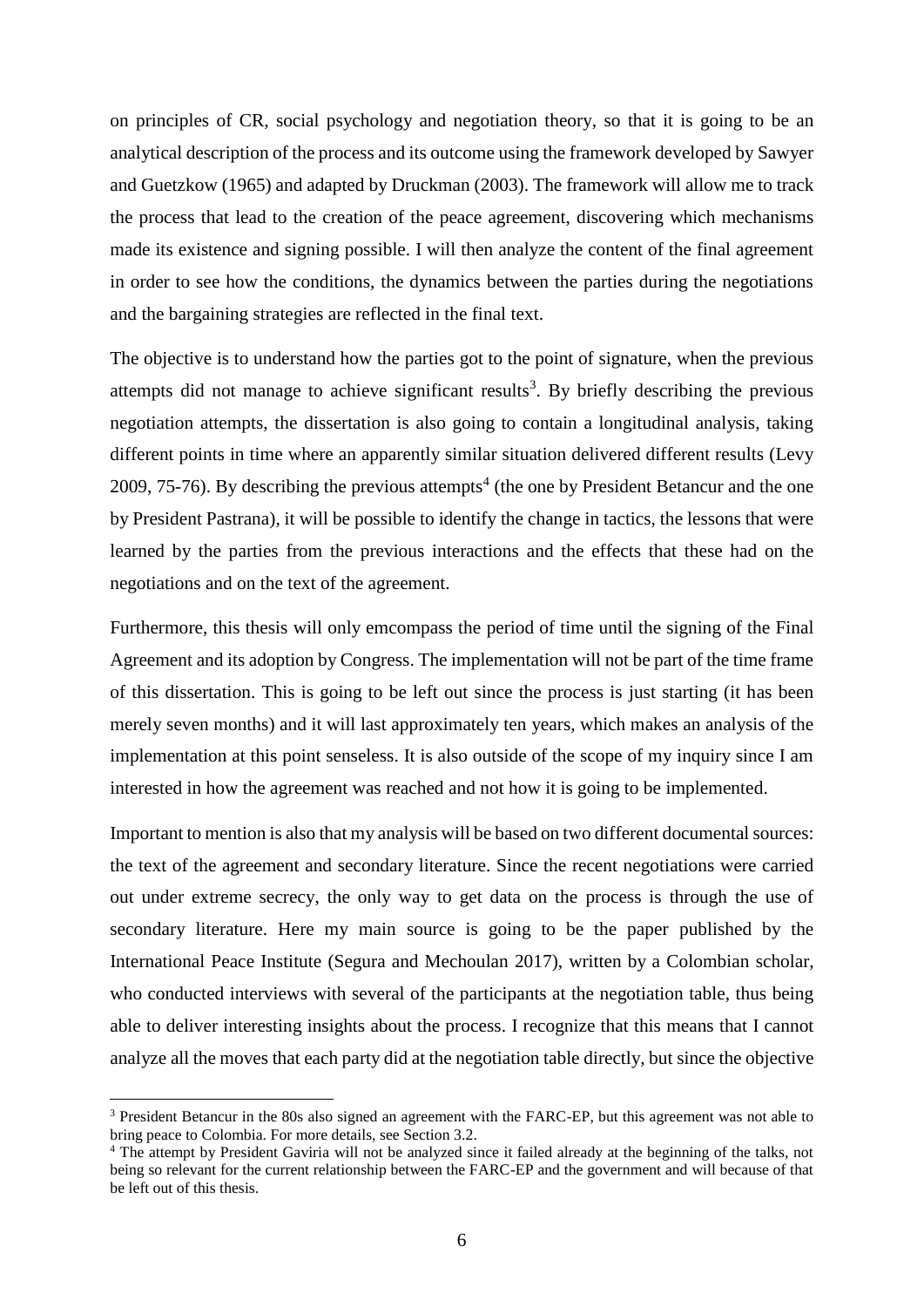on principles of CR, social psychology and negotiation theory, so that it is going to be an analytical description of the process and its outcome using the framework developed by Sawyer and Guetzkow (1965) and adapted by Druckman (2003). The framework will allow me to track the process that lead to the creation of the peace agreement, discovering which mechanisms made its existence and signing possible. I will then analyze the content of the final agreement in order to see how the conditions, the dynamics between the parties during the negotiations and the bargaining strategies are reflected in the final text.

The objective is to understand how the parties got to the point of signature, when the previous attempts did not manage to achieve significant results<sup>3</sup>. By briefly describing the previous negotiation attempts, the dissertation is also going to contain a longitudinal analysis, taking different points in time where an apparently similar situation delivered different results (Levy 2009, 75-76). By describing the previous attempts<sup>4</sup> (the one by President Betancur and the one by President Pastrana), it will be possible to identify the change in tactics, the lessons that were learned by the parties from the previous interactions and the effects that these had on the negotiations and on the text of the agreement.

Furthermore, this thesis will only emcompass the period of time until the signing of the Final Agreement and its adoption by Congress. The implementation will not be part of the time frame of this dissertation. This is going to be left out since the process is just starting (it has been merely seven months) and it will last approximately ten years, which makes an analysis of the implementation at this point senseless. It is also outside of the scope of my inquiry since I am interested in how the agreement was reached and not how it is going to be implemented.

Important to mention is also that my analysis will be based on two different documental sources: the text of the agreement and secondary literature. Since the recent negotiations were carried out under extreme secrecy, the only way to get data on the process is through the use of secondary literature. Here my main source is going to be the paper published by the International Peace Institute (Segura and Mechoulan 2017), written by a Colombian scholar, who conducted interviews with several of the participants at the negotiation table, thus being able to deliver interesting insights about the process. I recognize that this means that I cannot analyze all the moves that each party did at the negotiation table directly, but since the objective

 $\overline{\phantom{a}}$ 

<sup>3</sup> President Betancur in the 80s also signed an agreement with the FARC-EP, but this agreement was not able to bring peace to Colombia. For more details, see Section 3.2.

<sup>4</sup> The attempt by President Gaviria will not be analyzed since it failed already at the beginning of the talks, not being so relevant for the current relationship between the FARC-EP and the government and will because of that be left out of this thesis.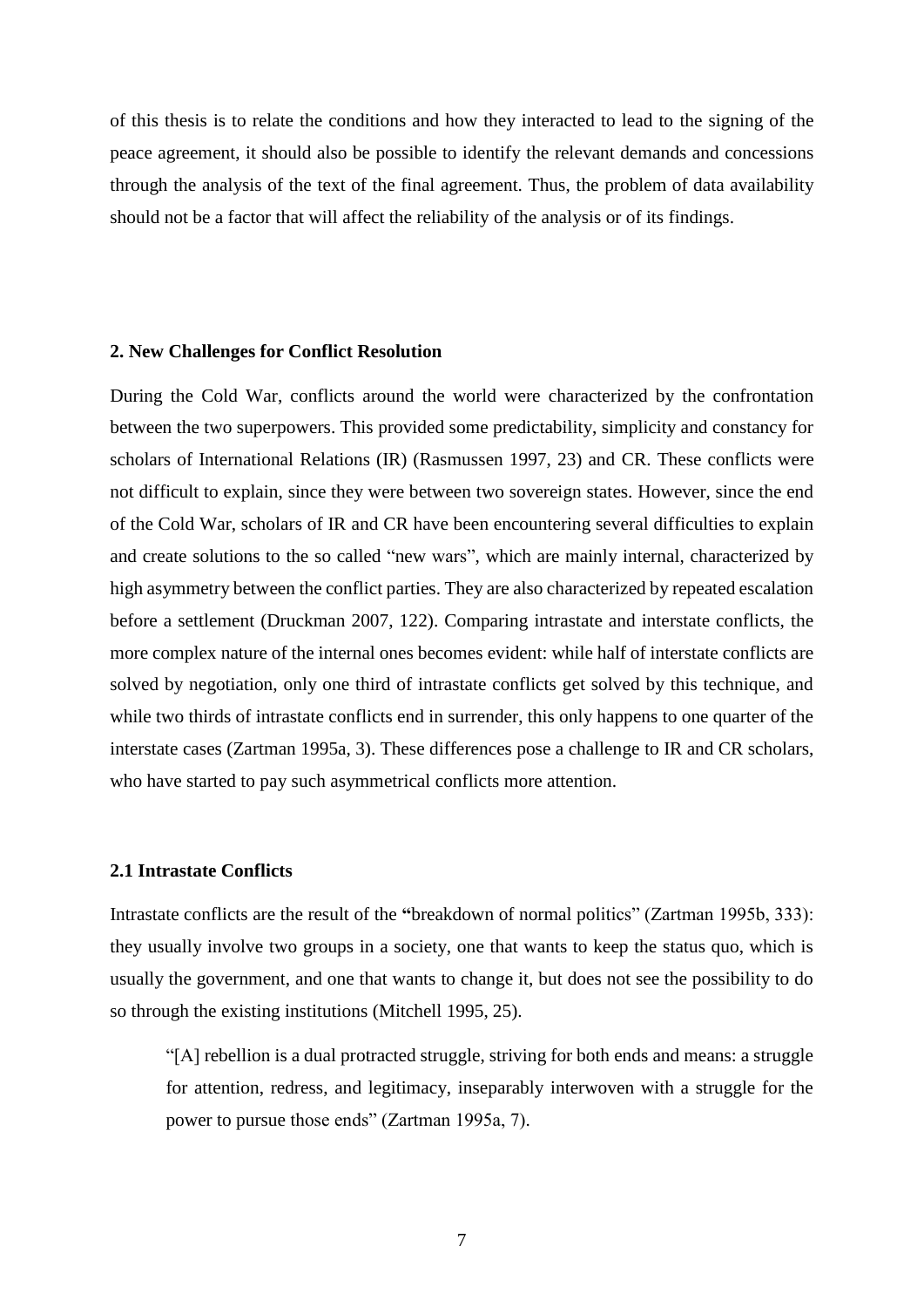of this thesis is to relate the conditions and how they interacted to lead to the signing of the peace agreement, it should also be possible to identify the relevant demands and concessions through the analysis of the text of the final agreement. Thus, the problem of data availability should not be a factor that will affect the reliability of the analysis or of its findings.

# <span id="page-6-0"></span>**2. New Challenges for Conflict Resolution**

During the Cold War, conflicts around the world were characterized by the confrontation between the two superpowers. This provided some predictability, simplicity and constancy for scholars of International Relations (IR) (Rasmussen 1997, 23) and CR. These conflicts were not difficult to explain, since they were between two sovereign states. However, since the end of the Cold War, scholars of IR and CR have been encountering several difficulties to explain and create solutions to the so called "new wars", which are mainly internal, characterized by high asymmetry between the conflict parties. They are also characterized by repeated escalation before a settlement (Druckman 2007, 122). Comparing intrastate and interstate conflicts, the more complex nature of the internal ones becomes evident: while half of interstate conflicts are solved by negotiation, only one third of intrastate conflicts get solved by this technique, and while two thirds of intrastate conflicts end in surrender, this only happens to one quarter of the interstate cases (Zartman 1995a, 3). These differences pose a challenge to IR and CR scholars, who have started to pay such asymmetrical conflicts more attention.

#### <span id="page-6-1"></span>**2.1 Intrastate Conflicts**

Intrastate conflicts are the result of the **"**breakdown of normal politics" (Zartman 1995b, 333): they usually involve two groups in a society, one that wants to keep the status quo, which is usually the government, and one that wants to change it, but does not see the possibility to do so through the existing institutions (Mitchell 1995, 25).

"[A] rebellion is a dual protracted struggle, striving for both ends and means: a struggle for attention, redress, and legitimacy, inseparably interwoven with a struggle for the power to pursue those ends" (Zartman 1995a, 7).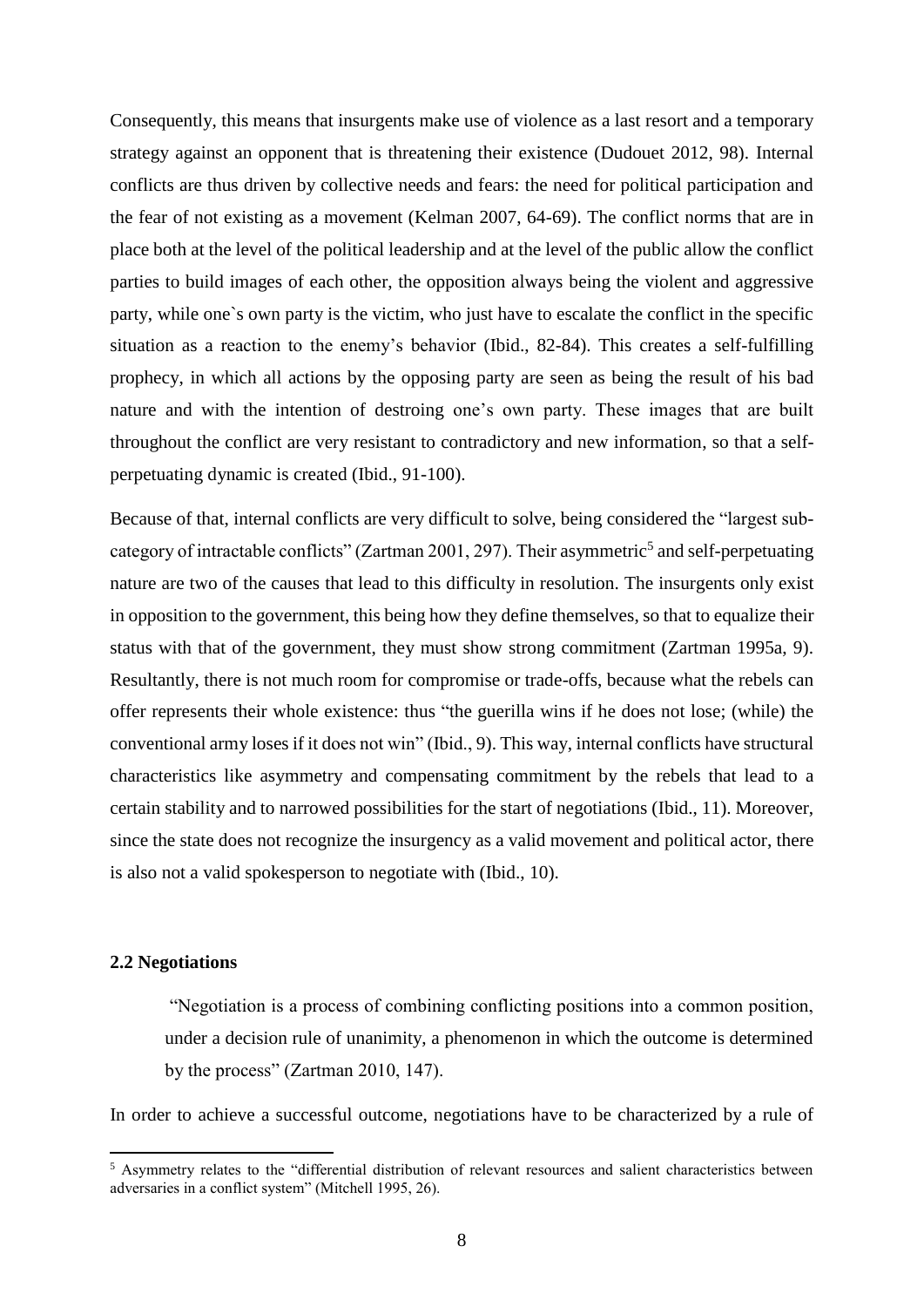Consequently, this means that insurgents make use of violence as a last resort and a temporary strategy against an opponent that is threatening their existence (Dudouet 2012, 98). Internal conflicts are thus driven by collective needs and fears: the need for political participation and the fear of not existing as a movement (Kelman 2007, 64-69). The conflict norms that are in place both at the level of the political leadership and at the level of the public allow the conflict parties to build images of each other, the opposition always being the violent and aggressive party, while one`s own party is the victim, who just have to escalate the conflict in the specific situation as a reaction to the enemy's behavior (Ibid., 82-84). This creates a self-fulfilling prophecy, in which all actions by the opposing party are seen as being the result of his bad nature and with the intention of destroing one's own party. These images that are built throughout the conflict are very resistant to contradictory and new information, so that a selfperpetuating dynamic is created (Ibid., 91-100).

Because of that, internal conflicts are very difficult to solve, being considered the "largest subcategory of intractable conflicts" (Zartman 2001, 297). Their asymmetric<sup>5</sup> and self-perpetuating nature are two of the causes that lead to this difficulty in resolution. The insurgents only exist in opposition to the government, this being how they define themselves, so that to equalize their status with that of the government, they must show strong commitment (Zartman 1995a, 9). Resultantly, there is not much room for compromise or trade-offs, because what the rebels can offer represents their whole existence: thus "the guerilla wins if he does not lose; (while) the conventional army loses if it does not win" (Ibid., 9). This way, internal conflicts have structural characteristics like asymmetry and compensating commitment by the rebels that lead to a certain stability and to narrowed possibilities for the start of negotiations (Ibid., 11). Moreover, since the state does not recognize the insurgency as a valid movement and political actor, there is also not a valid spokesperson to negotiate with (Ibid., 10).

## <span id="page-7-0"></span>**2.2 Negotiations**

 $\overline{\phantom{a}}$ 

"Negotiation is a process of combining conflicting positions into a common position, under a decision rule of unanimity, a phenomenon in which the outcome is determined by the process" (Zartman 2010, 147).

In order to achieve a successful outcome, negotiations have to be characterized by a rule of

<sup>5</sup> Asymmetry relates to the "differential distribution of relevant resources and salient characteristics between adversaries in a conflict system" (Mitchell 1995, 26).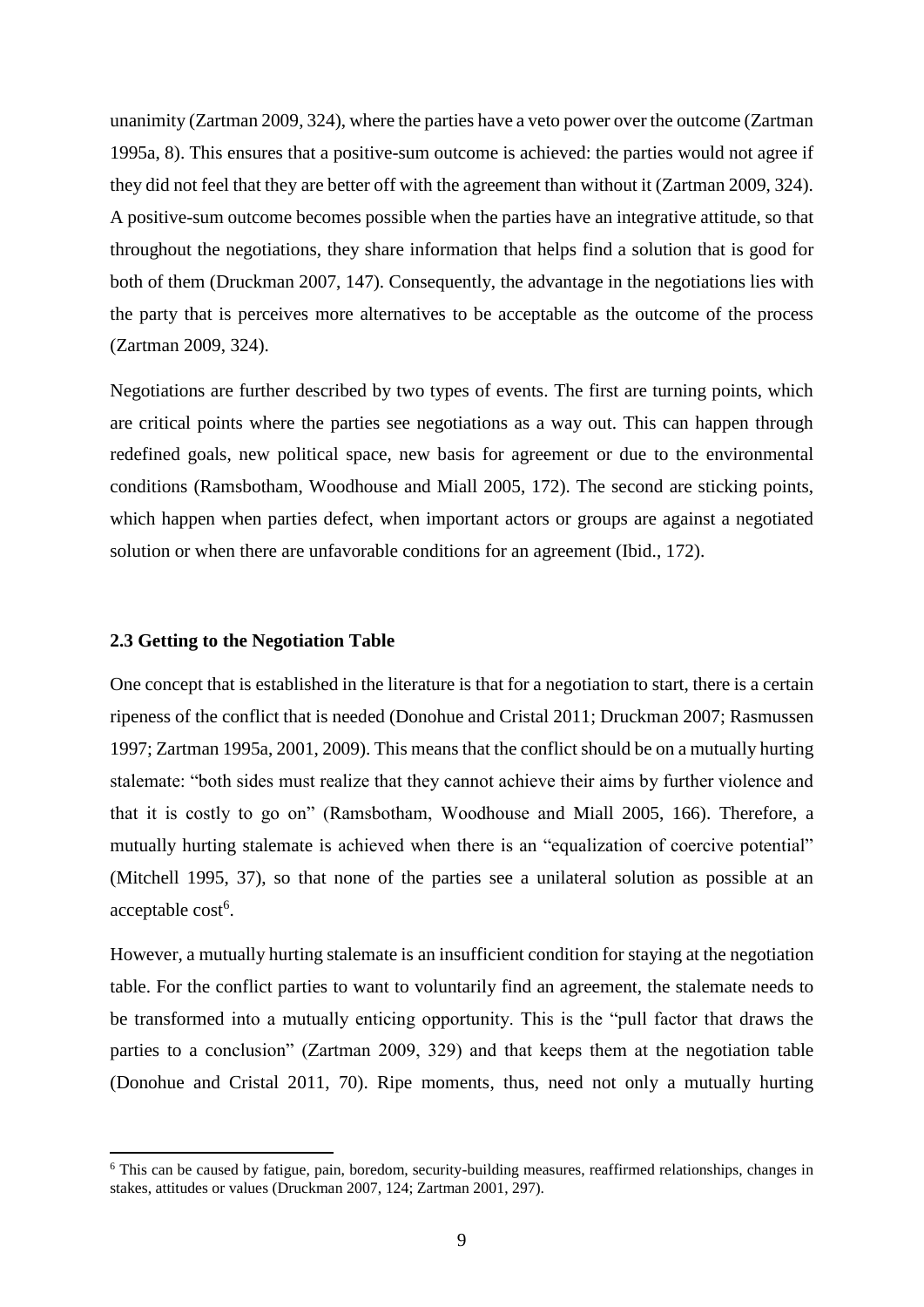unanimity (Zartman 2009, 324), where the parties have a veto power over the outcome (Zartman 1995a, 8). This ensures that a positive-sum outcome is achieved: the parties would not agree if they did not feel that they are better off with the agreement than without it (Zartman 2009, 324). A positive-sum outcome becomes possible when the parties have an integrative attitude, so that throughout the negotiations, they share information that helps find a solution that is good for both of them (Druckman 2007, 147). Consequently, the advantage in the negotiations lies with the party that is perceives more alternatives to be acceptable as the outcome of the process (Zartman 2009, 324).

Negotiations are further described by two types of events. The first are turning points, which are critical points where the parties see negotiations as a way out. This can happen through redefined goals, new political space, new basis for agreement or due to the environmental conditions (Ramsbotham, Woodhouse and Miall 2005, 172). The second are sticking points, which happen when parties defect, when important actors or groups are against a negotiated solution or when there are unfavorable conditions for an agreement (Ibid., 172).

#### <span id="page-8-0"></span>**2.3 Getting to the Negotiation Table**

 $\overline{\phantom{a}}$ 

One concept that is established in the literature is that for a negotiation to start, there is a certain ripeness of the conflict that is needed (Donohue and Cristal 2011; Druckman 2007; Rasmussen 1997; Zartman 1995a, 2001, 2009). This means that the conflict should be on a mutually hurting stalemate: "both sides must realize that they cannot achieve their aims by further violence and that it is costly to go on" (Ramsbotham, Woodhouse and Miall 2005, 166). Therefore, a mutually hurting stalemate is achieved when there is an "equalization of coercive potential" (Mitchell 1995, 37), so that none of the parties see a unilateral solution as possible at an acceptable cost<sup>6</sup>.

However, a mutually hurting stalemate is an insufficient condition for staying at the negotiation table. For the conflict parties to want to voluntarily find an agreement, the stalemate needs to be transformed into a mutually enticing opportunity. This is the "pull factor that draws the parties to a conclusion" (Zartman 2009, 329) and that keeps them at the negotiation table (Donohue and Cristal 2011, 70). Ripe moments, thus, need not only a mutually hurting

<sup>6</sup> This can be caused by fatigue, pain, boredom, security-building measures, reaffirmed relationships, changes in stakes, attitudes or values (Druckman 2007, 124; Zartman 2001, 297).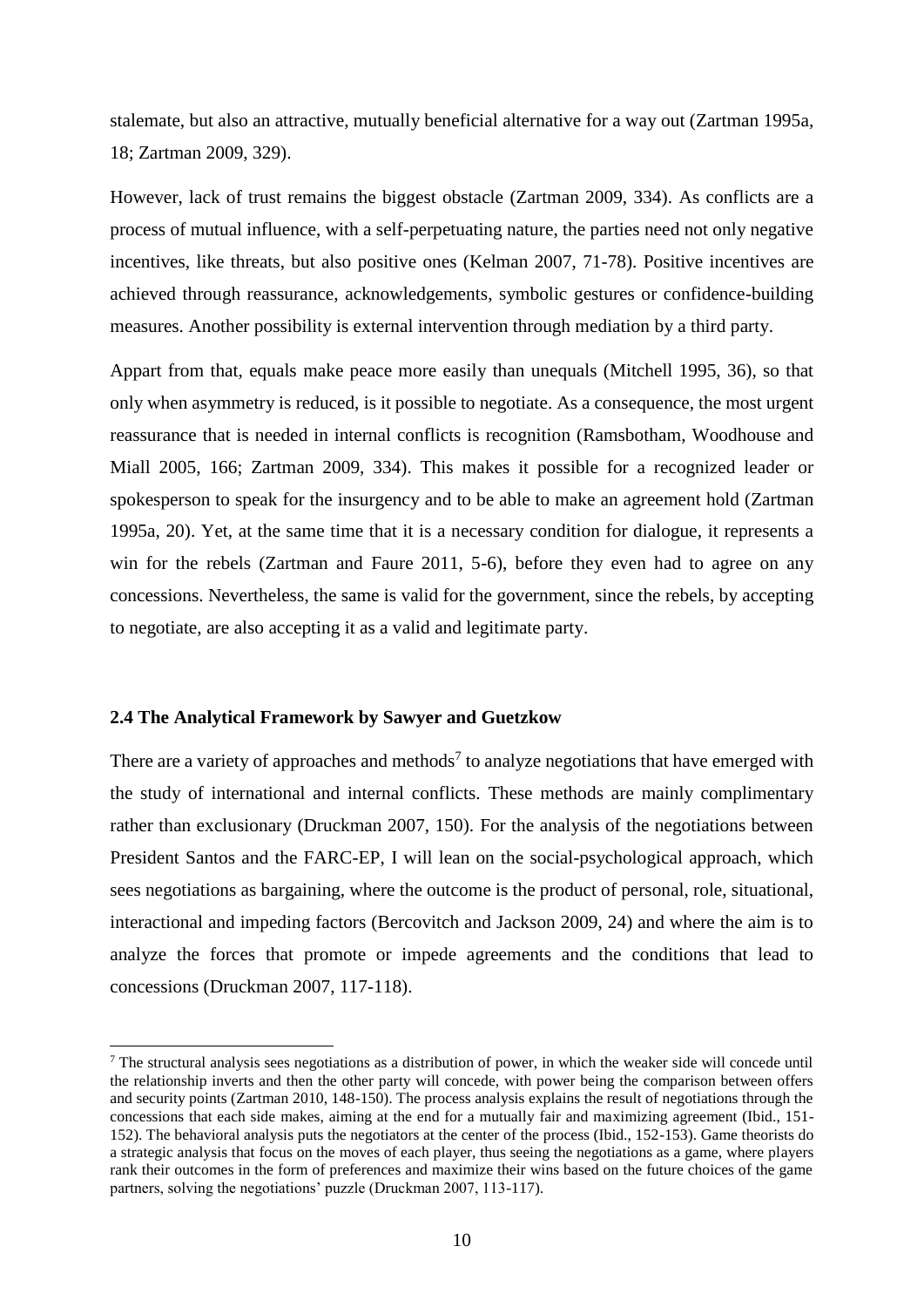stalemate, but also an attractive, mutually beneficial alternative for a way out (Zartman 1995a, 18; Zartman 2009, 329).

However, lack of trust remains the biggest obstacle (Zartman 2009, 334). As conflicts are a process of mutual influence, with a self-perpetuating nature, the parties need not only negative incentives, like threats, but also positive ones (Kelman 2007, 71-78). Positive incentives are achieved through reassurance, acknowledgements, symbolic gestures or confidence-building measures. Another possibility is external intervention through mediation by a third party.

Appart from that, equals make peace more easily than unequals (Mitchell 1995, 36), so that only when asymmetry is reduced, is it possible to negotiate. As a consequence, the most urgent reassurance that is needed in internal conflicts is recognition (Ramsbotham, Woodhouse and Miall 2005, 166; Zartman 2009, 334). This makes it possible for a recognized leader or spokesperson to speak for the insurgency and to be able to make an agreement hold (Zartman 1995a, 20). Yet, at the same time that it is a necessary condition for dialogue, it represents a win for the rebels (Zartman and Faure 2011, 5-6), before they even had to agree on any concessions. Nevertheless, the same is valid for the government, since the rebels, by accepting to negotiate, are also accepting it as a valid and legitimate party.

#### <span id="page-9-0"></span>**2.4 The Analytical Framework by Sawyer and Guetzkow**

 $\overline{\phantom{a}}$ 

There are a variety of approaches and methods<sup>7</sup> to analyze negotiations that have emerged with the study of international and internal conflicts. These methods are mainly complimentary rather than exclusionary (Druckman 2007, 150). For the analysis of the negotiations between President Santos and the FARC-EP, I will lean on the social-psychological approach, which sees negotiations as bargaining, where the outcome is the product of personal, role, situational, interactional and impeding factors (Bercovitch and Jackson 2009, 24) and where the aim is to analyze the forces that promote or impede agreements and the conditions that lead to concessions (Druckman 2007, 117-118).

<sup>&</sup>lt;sup>7</sup> The structural analysis sees negotiations as a distribution of power, in which the weaker side will concede until the relationship inverts and then the other party will concede, with power being the comparison between offers and security points (Zartman 2010, 148-150). The process analysis explains the result of negotiations through the concessions that each side makes, aiming at the end for a mutually fair and maximizing agreement (Ibid., 151- 152). The behavioral analysis puts the negotiators at the center of the process (Ibid., 152-153). Game theorists do a strategic analysis that focus on the moves of each player, thus seeing the negotiations as a game, where players rank their outcomes in the form of preferences and maximize their wins based on the future choices of the game partners, solving the negotiations' puzzle (Druckman 2007, 113-117).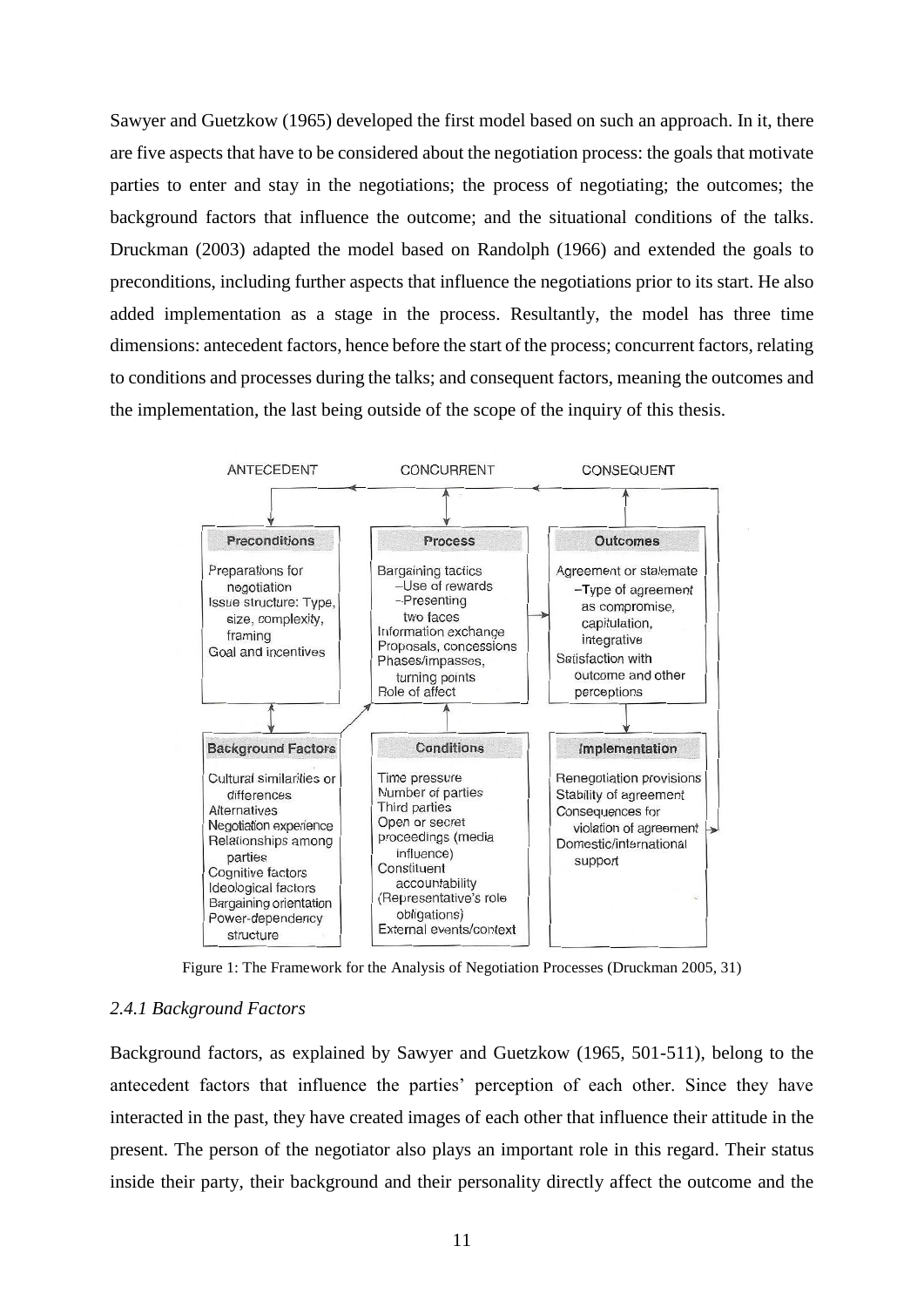Sawyer and Guetzkow (1965) developed the first model based on such an approach. In it, there are five aspects that have to be considered about the negotiation process: the goals that motivate parties to enter and stay in the negotiations; the process of negotiating; the outcomes; the background factors that influence the outcome; and the situational conditions of the talks. Druckman (2003) adapted the model based on Randolph (1966) and extended the goals to preconditions, including further aspects that influence the negotiations prior to its start. He also added implementation as a stage in the process. Resultantly, the model has three time dimensions: antecedent factors, hence before the start of the process; concurrent factors, relating to conditions and processes during the talks; and consequent factors, meaning the outcomes and the implementation, the last being outside of the scope of the inquiry of this thesis.



Figure 1: The Framework for the Analysis of Negotiation Processes (Druckman 2005, 31)

## <span id="page-10-0"></span>*2.4.1 Background Factors*

Background factors, as explained by Sawyer and Guetzkow (1965, 501-511), belong to the antecedent factors that influence the parties' perception of each other. Since they have interacted in the past, they have created images of each other that influence their attitude in the present. The person of the negotiator also plays an important role in this regard. Their status inside their party, their background and their personality directly affect the outcome and the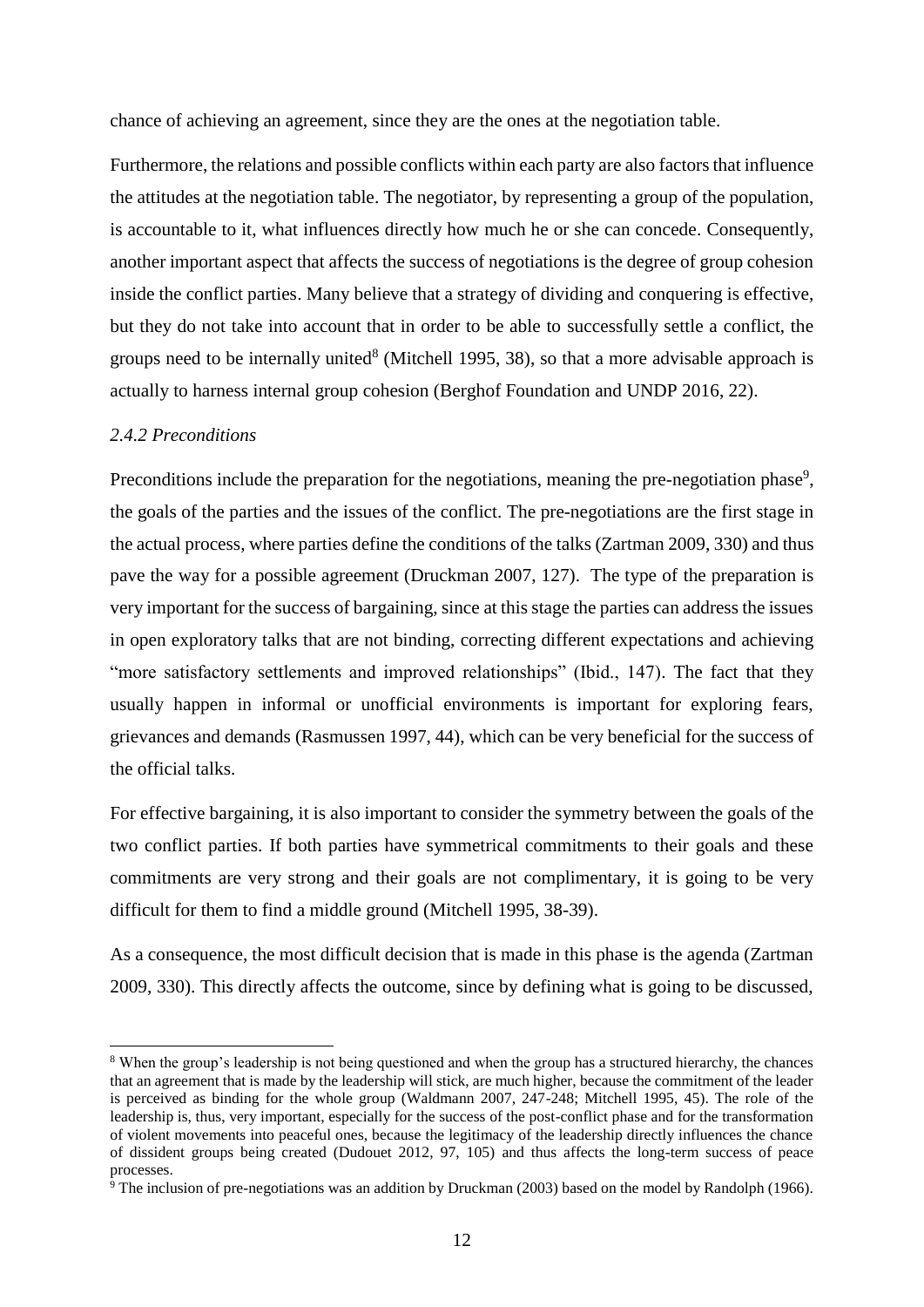chance of achieving an agreement, since they are the ones at the negotiation table.

Furthermore, the relations and possible conflicts within each party are also factors that influence the attitudes at the negotiation table. The negotiator, by representing a group of the population, is accountable to it, what influences directly how much he or she can concede. Consequently, another important aspect that affects the success of negotiations is the degree of group cohesion inside the conflict parties. Many believe that a strategy of dividing and conquering is effective, but they do not take into account that in order to be able to successfully settle a conflict, the groups need to be internally united<sup>8</sup> (Mitchell 1995, 38), so that a more advisable approach is actually to harness internal group cohesion (Berghof Foundation and UNDP 2016, 22).

# <span id="page-11-0"></span>*2.4.2 Preconditions*

 $\overline{\phantom{a}}$ 

Preconditions include the preparation for the negotiations, meaning the pre-negotiation phase<sup>9</sup>, the goals of the parties and the issues of the conflict. The pre-negotiations are the first stage in the actual process, where parties define the conditions of the talks (Zartman 2009, 330) and thus pave the way for a possible agreement (Druckman 2007, 127). The type of the preparation is very important for the success of bargaining, since at this stage the parties can address the issues in open exploratory talks that are not binding, correcting different expectations and achieving "more satisfactory settlements and improved relationships" (Ibid., 147). The fact that they usually happen in informal or unofficial environments is important for exploring fears, grievances and demands (Rasmussen 1997, 44), which can be very beneficial for the success of the official talks.

For effective bargaining, it is also important to consider the symmetry between the goals of the two conflict parties. If both parties have symmetrical commitments to their goals and these commitments are very strong and their goals are not complimentary, it is going to be very difficult for them to find a middle ground (Mitchell 1995, 38-39).

As a consequence, the most difficult decision that is made in this phase is the agenda (Zartman 2009, 330). This directly affects the outcome, since by defining what is going to be discussed,

<sup>&</sup>lt;sup>8</sup> When the group's leadership is not being questioned and when the group has a structured hierarchy, the chances that an agreement that is made by the leadership will stick, are much higher, because the commitment of the leader is perceived as binding for the whole group (Waldmann 2007, 247-248; Mitchell 1995, 45). The role of the leadership is, thus, very important, especially for the success of the post-conflict phase and for the transformation of violent movements into peaceful ones, because the legitimacy of the leadership directly influences the chance of dissident groups being created (Dudouet 2012, 97, 105) and thus affects the long-term success of peace processes.

<sup>&</sup>lt;sup>9</sup> The inclusion of pre-negotiations was an addition by Druckman (2003) based on the model by Randolph (1966).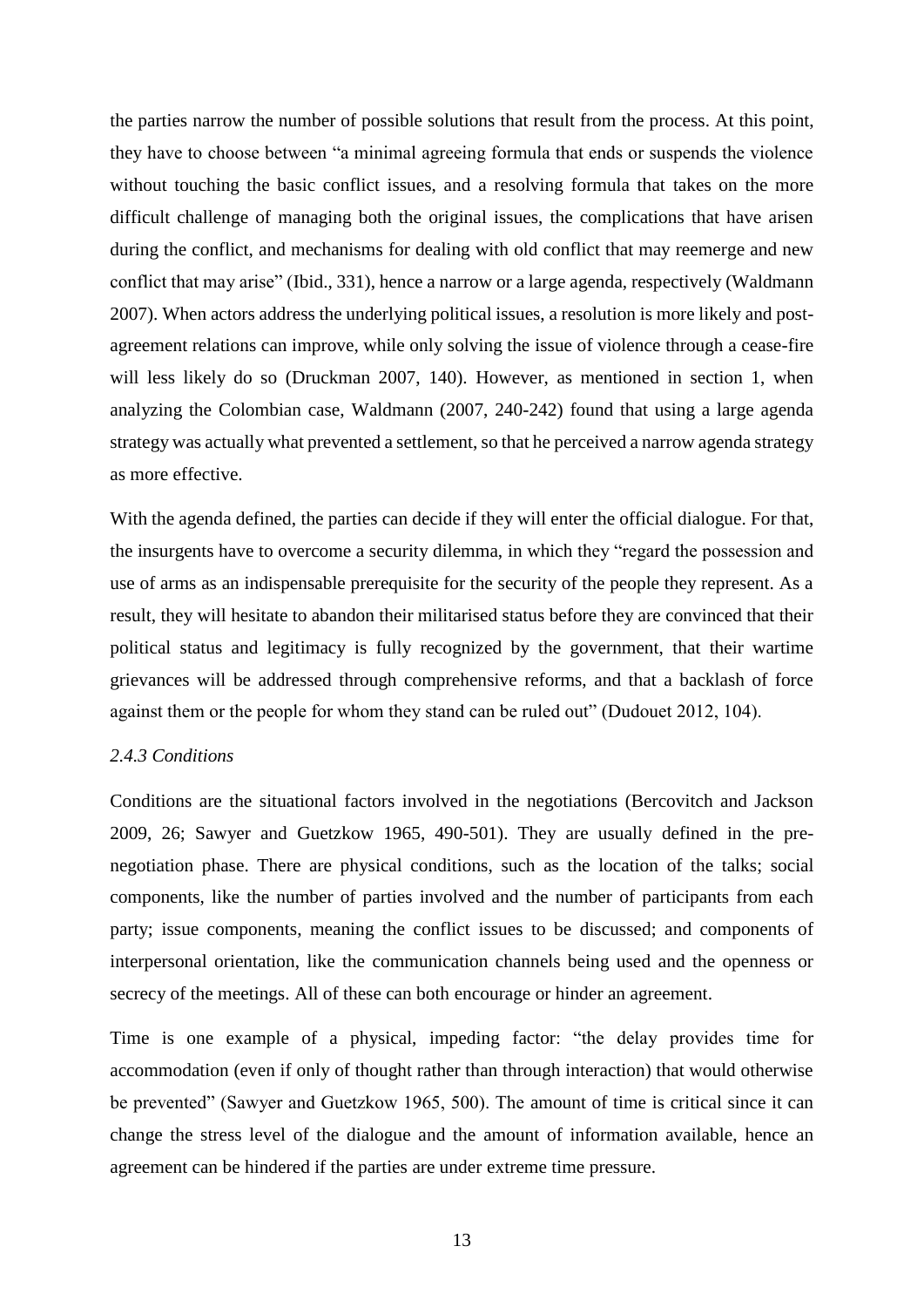the parties narrow the number of possible solutions that result from the process. At this point, they have to choose between "a minimal agreeing formula that ends or suspends the violence without touching the basic conflict issues, and a resolving formula that takes on the more difficult challenge of managing both the original issues, the complications that have arisen during the conflict, and mechanisms for dealing with old conflict that may reemerge and new conflict that may arise" (Ibid., 331), hence a narrow or a large agenda, respectively (Waldmann 2007). When actors address the underlying political issues, a resolution is more likely and postagreement relations can improve, while only solving the issue of violence through a cease-fire will less likely do so (Druckman 2007, 140). However, as mentioned in section 1, when analyzing the Colombian case, Waldmann (2007, 240-242) found that using a large agenda strategy was actually what prevented a settlement, so that he perceived a narrow agenda strategy as more effective.

With the agenda defined, the parties can decide if they will enter the official dialogue. For that, the insurgents have to overcome a security dilemma, in which they "regard the possession and use of arms as an indispensable prerequisite for the security of the people they represent. As a result, they will hesitate to abandon their militarised status before they are convinced that their political status and legitimacy is fully recognized by the government, that their wartime grievances will be addressed through comprehensive reforms, and that a backlash of force against them or the people for whom they stand can be ruled out" (Dudouet 2012, 104).

## <span id="page-12-0"></span>*2.4.3 Conditions*

Conditions are the situational factors involved in the negotiations (Bercovitch and Jackson 2009, 26; Sawyer and Guetzkow 1965, 490-501). They are usually defined in the prenegotiation phase. There are physical conditions, such as the location of the talks; social components, like the number of parties involved and the number of participants from each party; issue components, meaning the conflict issues to be discussed; and components of interpersonal orientation, like the communication channels being used and the openness or secrecy of the meetings. All of these can both encourage or hinder an agreement.

Time is one example of a physical, impeding factor: "the delay provides time for accommodation (even if only of thought rather than through interaction) that would otherwise be prevented" (Sawyer and Guetzkow 1965, 500). The amount of time is critical since it can change the stress level of the dialogue and the amount of information available, hence an agreement can be hindered if the parties are under extreme time pressure.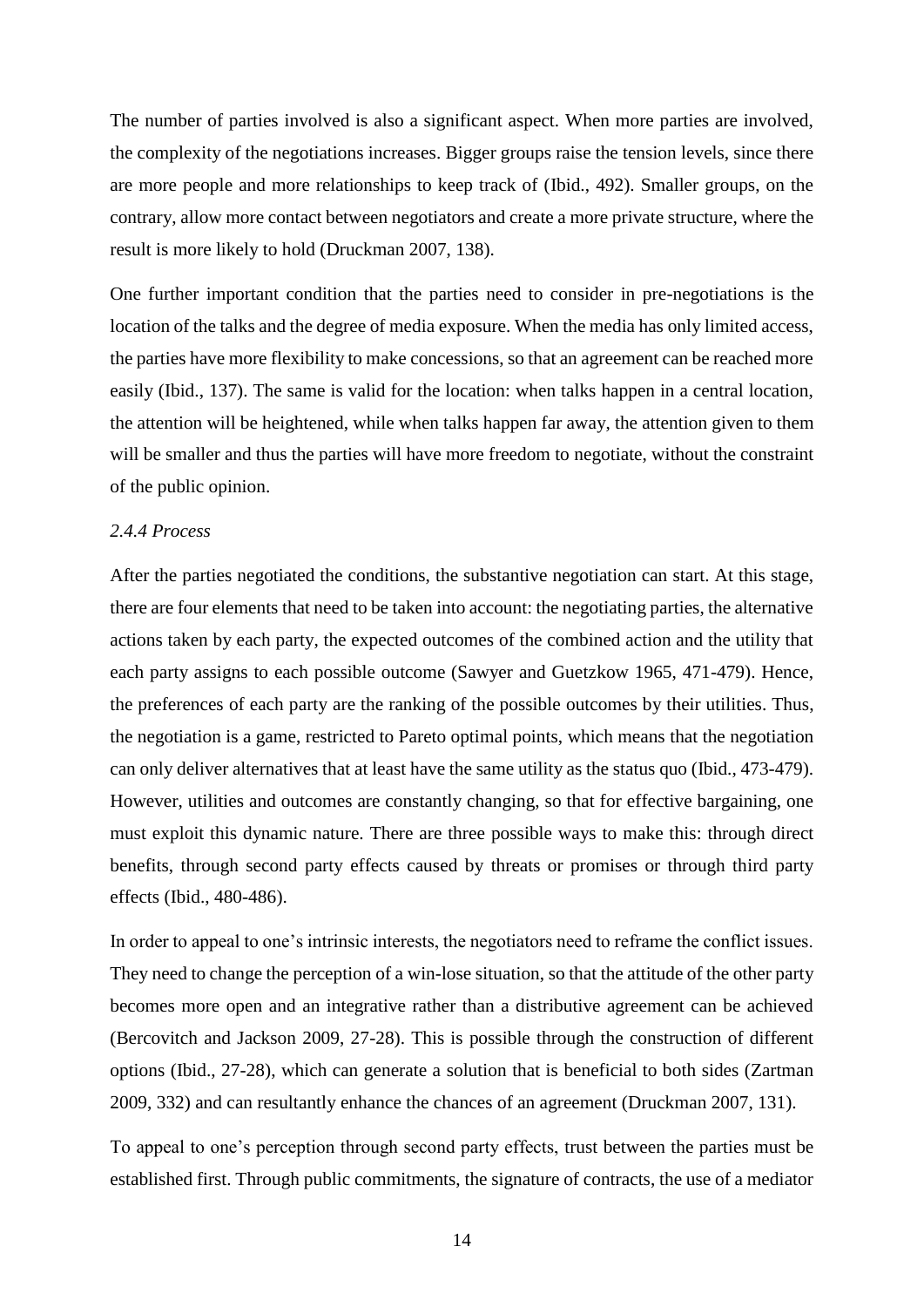The number of parties involved is also a significant aspect. When more parties are involved, the complexity of the negotiations increases. Bigger groups raise the tension levels, since there are more people and more relationships to keep track of (Ibid., 492). Smaller groups, on the contrary, allow more contact between negotiators and create a more private structure, where the result is more likely to hold (Druckman 2007, 138).

One further important condition that the parties need to consider in pre-negotiations is the location of the talks and the degree of media exposure. When the media has only limited access, the parties have more flexibility to make concessions, so that an agreement can be reached more easily (Ibid., 137). The same is valid for the location: when talks happen in a central location, the attention will be heightened, while when talks happen far away, the attention given to them will be smaller and thus the parties will have more freedom to negotiate, without the constraint of the public opinion.

#### <span id="page-13-0"></span>*2.4.4 Process*

After the parties negotiated the conditions, the substantive negotiation can start. At this stage, there are four elements that need to be taken into account: the negotiating parties, the alternative actions taken by each party, the expected outcomes of the combined action and the utility that each party assigns to each possible outcome (Sawyer and Guetzkow 1965, 471-479). Hence, the preferences of each party are the ranking of the possible outcomes by their utilities. Thus, the negotiation is a game, restricted to Pareto optimal points, which means that the negotiation can only deliver alternatives that at least have the same utility as the status quo (Ibid., 473-479). However, utilities and outcomes are constantly changing, so that for effective bargaining, one must exploit this dynamic nature. There are three possible ways to make this: through direct benefits, through second party effects caused by threats or promises or through third party effects (Ibid., 480-486).

In order to appeal to one's intrinsic interests, the negotiators need to reframe the conflict issues. They need to change the perception of a win-lose situation, so that the attitude of the other party becomes more open and an integrative rather than a distributive agreement can be achieved (Bercovitch and Jackson 2009, 27-28). This is possible through the construction of different options (Ibid., 27-28), which can generate a solution that is beneficial to both sides (Zartman 2009, 332) and can resultantly enhance the chances of an agreement (Druckman 2007, 131).

To appeal to one's perception through second party effects, trust between the parties must be established first. Through public commitments, the signature of contracts, the use of a mediator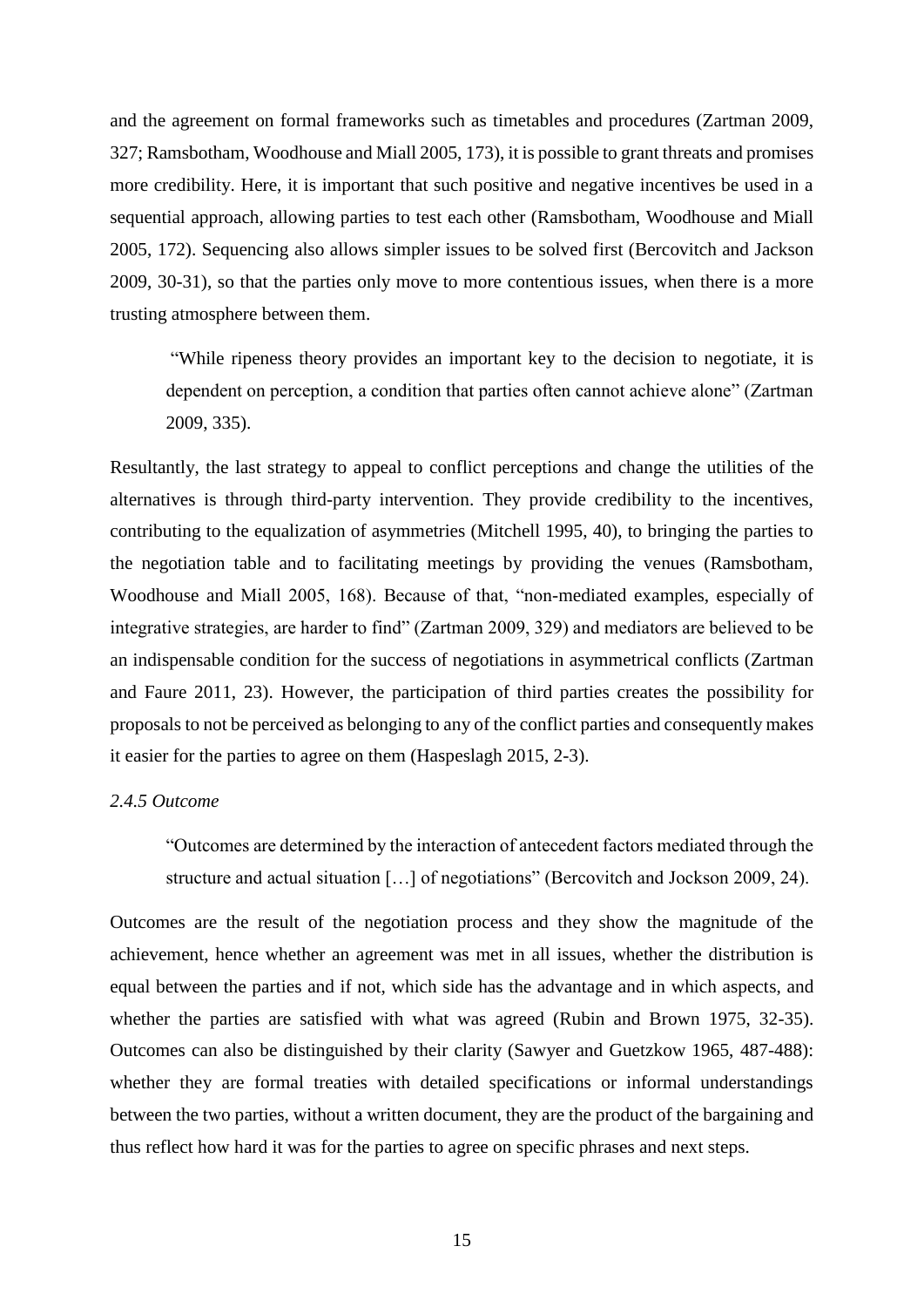and the agreement on formal frameworks such as timetables and procedures (Zartman 2009, 327; Ramsbotham, Woodhouse and Miall 2005, 173), it is possible to grant threats and promises more credibility. Here, it is important that such positive and negative incentives be used in a sequential approach, allowing parties to test each other (Ramsbotham, Woodhouse and Miall 2005, 172). Sequencing also allows simpler issues to be solved first (Bercovitch and Jackson 2009, 30-31), so that the parties only move to more contentious issues, when there is a more trusting atmosphere between them.

"While ripeness theory provides an important key to the decision to negotiate, it is dependent on perception, a condition that parties often cannot achieve alone" (Zartman 2009, 335).

Resultantly, the last strategy to appeal to conflict perceptions and change the utilities of the alternatives is through third-party intervention. They provide credibility to the incentives, contributing to the equalization of asymmetries (Mitchell 1995, 40), to bringing the parties to the negotiation table and to facilitating meetings by providing the venues (Ramsbotham, Woodhouse and Miall 2005, 168). Because of that, "non-mediated examples, especially of integrative strategies, are harder to find" (Zartman 2009, 329) and mediators are believed to be an indispensable condition for the success of negotiations in asymmetrical conflicts (Zartman and Faure 2011, 23). However, the participation of third parties creates the possibility for proposals to not be perceived as belonging to any of the conflict parties and consequently makes it easier for the parties to agree on them (Haspeslagh 2015, 2-3).

# <span id="page-14-0"></span>*2.4.5 Outcome*

"Outcomes are determined by the interaction of antecedent factors mediated through the structure and actual situation […] of negotiations" (Bercovitch and Jockson 2009, 24).

Outcomes are the result of the negotiation process and they show the magnitude of the achievement, hence whether an agreement was met in all issues, whether the distribution is equal between the parties and if not, which side has the advantage and in which aspects, and whether the parties are satisfied with what was agreed (Rubin and Brown 1975, 32-35). Outcomes can also be distinguished by their clarity (Sawyer and Guetzkow 1965, 487-488): whether they are formal treaties with detailed specifications or informal understandings between the two parties, without a written document, they are the product of the bargaining and thus reflect how hard it was for the parties to agree on specific phrases and next steps.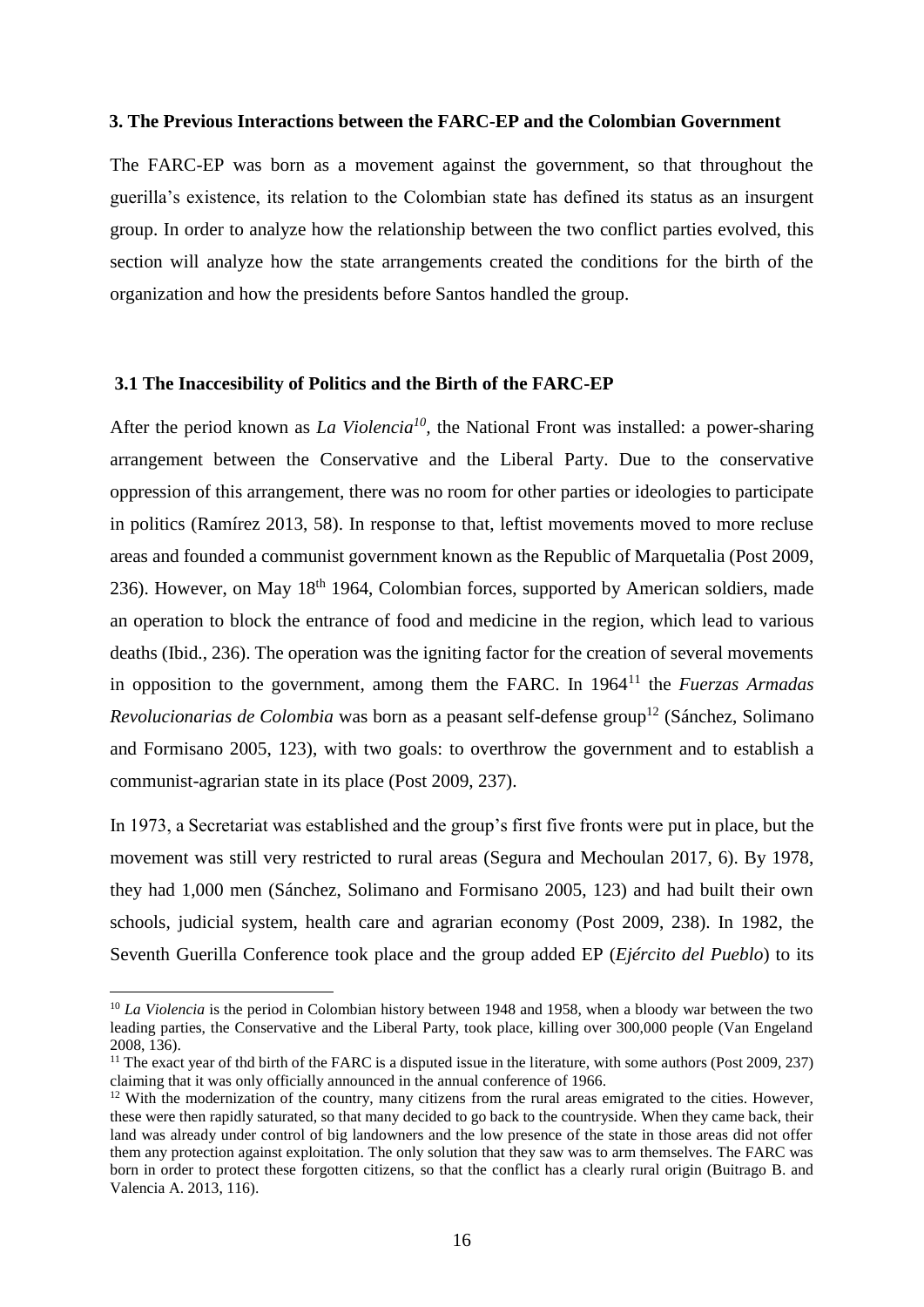#### <span id="page-15-0"></span>**3. The Previous Interactions between the FARC-EP and the Colombian Government**

The FARC-EP was born as a movement against the government, so that throughout the guerilla's existence, its relation to the Colombian state has defined its status as an insurgent group. In order to analyze how the relationship between the two conflict parties evolved, this section will analyze how the state arrangements created the conditions for the birth of the organization and how the presidents before Santos handled the group.

#### <span id="page-15-1"></span>**3.1 The Inaccesibility of Politics and the Birth of the FARC-EP**

After the period known as *La Violencia<sup>10</sup>*, the National Front was installed: a power-sharing arrangement between the Conservative and the Liberal Party. Due to the conservative oppression of this arrangement, there was no room for other parties or ideologies to participate in politics (Ramírez 2013, 58). In response to that, leftist movements moved to more recluse areas and founded a communist government known as the Republic of Marquetalia (Post 2009, 236). However, on May  $18<sup>th</sup> 1964$ , Colombian forces, supported by American soldiers, made an operation to block the entrance of food and medicine in the region, which lead to various deaths (Ibid., 236). The operation was the igniting factor for the creation of several movements in opposition to the government, among them the FARC. In 1964<sup>11</sup> the *Fuerzas Armadas Revolucionarias de Colombia* was born as a peasant self-defense group<sup>12</sup> (Sánchez, Solimano and Formisano 2005, 123), with two goals: to overthrow the government and to establish a communist-agrarian state in its place (Post 2009, 237).

In 1973, a Secretariat was established and the group's first five fronts were put in place, but the movement was still very restricted to rural areas (Segura and Mechoulan 2017, 6). By 1978, they had 1,000 men (Sánchez, Solimano and Formisano 2005, 123) and had built their own schools, judicial system, health care and agrarian economy (Post 2009, 238). In 1982, the Seventh Guerilla Conference took place and the group added EP (*Ejército del Pueblo*) to its

 $\overline{\phantom{a}}$ 

<sup>&</sup>lt;sup>10</sup> *La Violencia* is the period in Colombian history between 1948 and 1958, when a bloody war between the two leading parties, the Conservative and the Liberal Party, took place, killing over 300,000 people (Van Engeland 2008, 136).

<sup>&</sup>lt;sup>11</sup> The exact vear of thd birth of the FARC is a disputed issue in the literature, with some authors (Post 2009, 237) claiming that it was only officially announced in the annual conference of 1966.

<sup>&</sup>lt;sup>12</sup> With the modernization of the country, many citizens from the rural areas emigrated to the cities. However, these were then rapidly saturated, so that many decided to go back to the countryside. When they came back, their land was already under control of big landowners and the low presence of the state in those areas did not offer them any protection against exploitation. The only solution that they saw was to arm themselves. The FARC was born in order to protect these forgotten citizens, so that the conflict has a clearly rural origin (Buitrago B. and Valencia A. 2013, 116).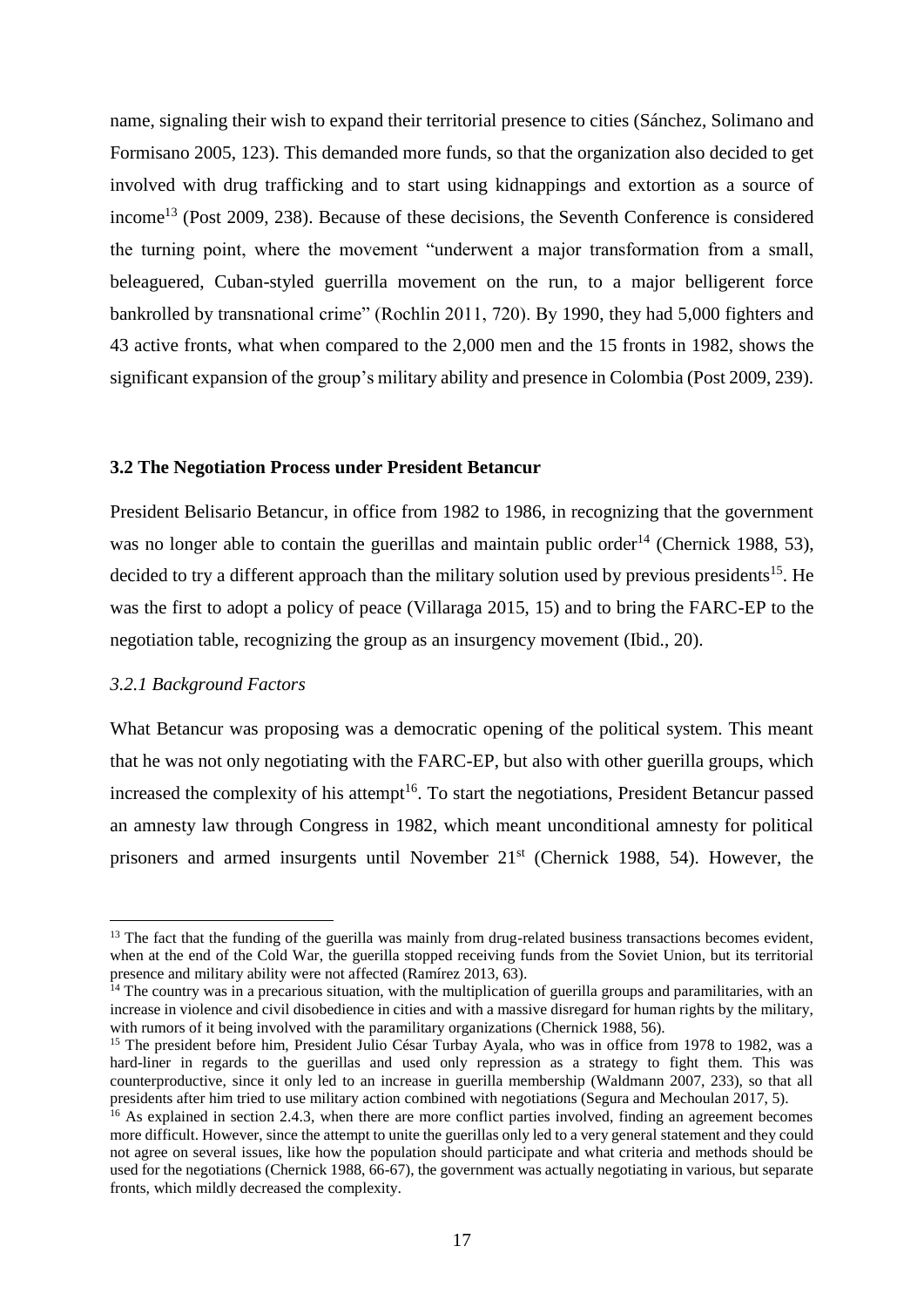name, signaling their wish to expand their territorial presence to cities (Sánchez, Solimano and Formisano 2005, 123). This demanded more funds, so that the organization also decided to get involved with drug trafficking and to start using kidnappings and extortion as a source of income<sup>13</sup> (Post 2009, 238). Because of these decisions, the Seventh Conference is considered the turning point, where the movement "underwent a major transformation from a small, beleaguered, Cuban-styled guerrilla movement on the run, to a major belligerent force bankrolled by transnational crime" (Rochlin 2011, 720). By 1990, they had 5,000 fighters and 43 active fronts, what when compared to the 2,000 men and the 15 fronts in 1982, shows the significant expansion of the group's military ability and presence in Colombia (Post 2009, 239).

# <span id="page-16-0"></span>**3.2 The Negotiation Process under President Betancur**

President Belisario Betancur, in office from 1982 to 1986, in recognizing that the government was no longer able to contain the guerillas and maintain public order<sup>14</sup> (Chernick 1988, 53), decided to try a different approach than the military solution used by previous presidents<sup>15</sup>. He was the first to adopt a policy of peace (Villaraga 2015, 15) and to bring the FARC-EP to the negotiation table, recognizing the group as an insurgency movement (Ibid., 20).

## <span id="page-16-1"></span>*3.2.1 Background Factors*

 $\overline{a}$ 

What Betancur was proposing was a democratic opening of the political system. This meant that he was not only negotiating with the FARC-EP, but also with other guerilla groups, which increased the complexity of his attempt<sup>16</sup>. To start the negotiations, President Betancur passed an amnesty law through Congress in 1982, which meant unconditional amnesty for political prisoners and armed insurgents until November  $21<sup>st</sup>$  (Chernick 1988, 54). However, the

<sup>&</sup>lt;sup>13</sup> The fact that the funding of the guerilla was mainly from drug-related business transactions becomes evident, when at the end of the Cold War, the guerilla stopped receiving funds from the Soviet Union, but its territorial presence and military ability were not affected (Ramírez 2013, 63).

 $14$  The country was in a precarious situation, with the multiplication of guerilla groups and paramilitaries, with an increase in violence and civil disobedience in cities and with a massive disregard for human rights by the military, with rumors of it being involved with the paramilitary organizations (Chernick 1988, 56).

<sup>&</sup>lt;sup>15</sup> The president before him, President Julio César Turbay Ayala, who was in office from 1978 to 1982, was a hard-liner in regards to the guerillas and used only repression as a strategy to fight them. This was counterproductive, since it only led to an increase in guerilla membership (Waldmann 2007, 233), so that all presidents after him tried to use military action combined with negotiations (Segura and Mechoulan 2017, 5).

<sup>&</sup>lt;sup>16</sup> As explained in section 2.4.3, when there are more conflict parties involved, finding an agreement becomes more difficult. However, since the attempt to unite the guerillas only led to a very general statement and they could not agree on several issues, like how the population should participate and what criteria and methods should be used for the negotiations (Chernick 1988, 66-67), the government was actually negotiating in various, but separate fronts, which mildly decreased the complexity.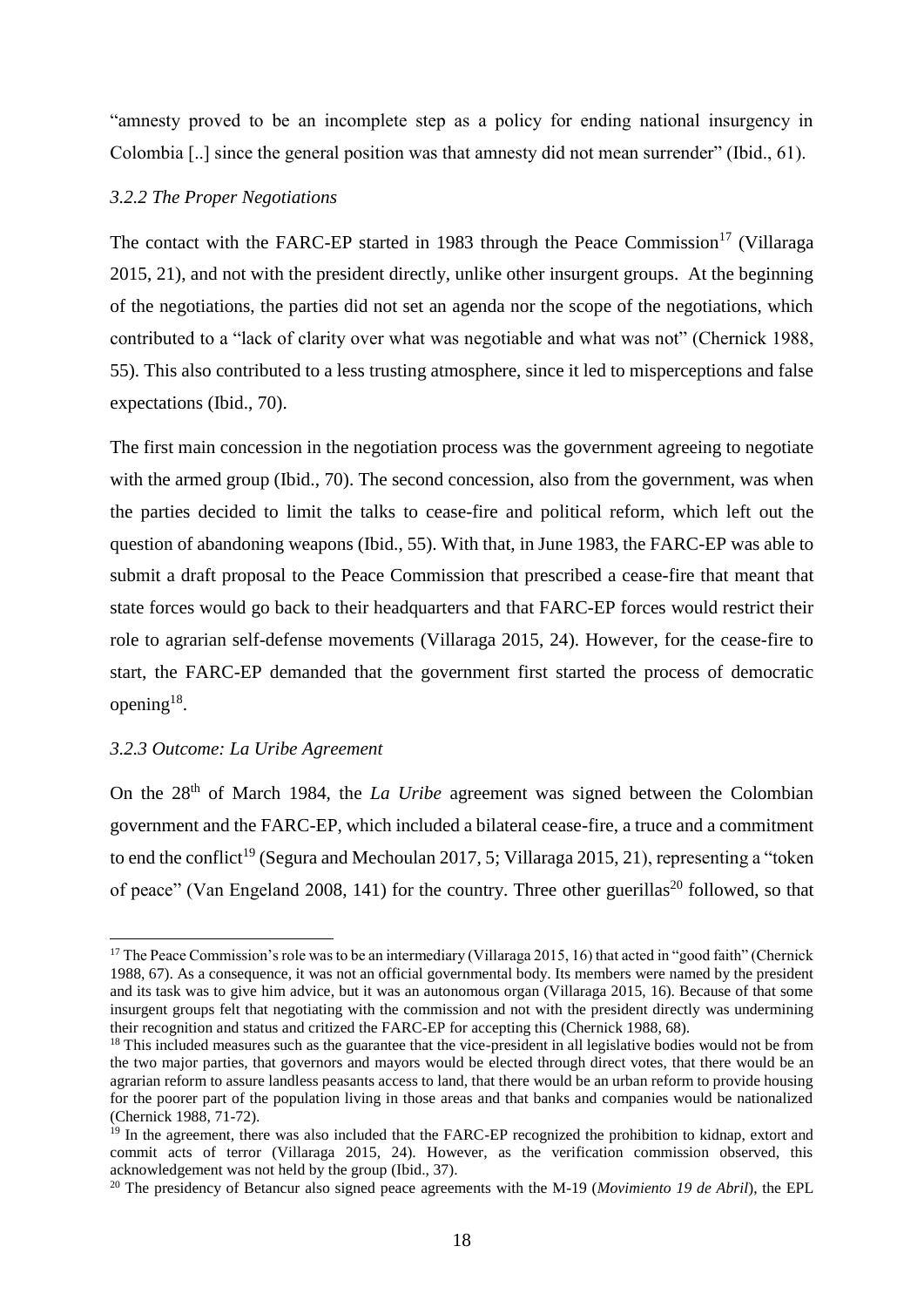"amnesty proved to be an incomplete step as a policy for ending national insurgency in Colombia [..] since the general position was that amnesty did not mean surrender" (Ibid., 61).

# <span id="page-17-0"></span>*3.2.2 The Proper Negotiations*

The contact with the FARC-EP started in 1983 through the Peace Commission<sup>17</sup> (Villaraga 2015, 21), and not with the president directly, unlike other insurgent groups. At the beginning of the negotiations, the parties did not set an agenda nor the scope of the negotiations, which contributed to a "lack of clarity over what was negotiable and what was not" (Chernick 1988, 55). This also contributed to a less trusting atmosphere, since it led to misperceptions and false expectations (Ibid., 70).

The first main concession in the negotiation process was the government agreeing to negotiate with the armed group (Ibid., 70). The second concession, also from the government, was when the parties decided to limit the talks to cease-fire and political reform, which left out the question of abandoning weapons (Ibid., 55). With that, in June 1983, the FARC-EP was able to submit a draft proposal to the Peace Commission that prescribed a cease-fire that meant that state forces would go back to their headquarters and that FARC-EP forces would restrict their role to agrarian self-defense movements (Villaraga 2015, 24). However, for the cease-fire to start, the FARC-EP demanded that the government first started the process of democratic opening $^{18}$ .

#### <span id="page-17-1"></span>*3.2.3 Outcome: La Uribe Agreement*

 $\overline{\phantom{a}}$ 

On the 28<sup>th</sup> of March 1984, the *La Uribe* agreement was signed between the Colombian government and the FARC-EP, which included a bilateral cease-fire, a truce and a commitment to end the conflict<sup>19</sup> (Segura and Mechoulan 2017, 5; Villaraga 2015, 21), representing a "token of peace" (Van Engeland 2008, 141) for the country. Three other guerillas<sup>20</sup> followed, so that

<sup>&</sup>lt;sup>17</sup> The Peace Commission's role was to be an intermediary (Villaraga 2015, 16) that acted in "good faith" (Chernick 1988, 67). As a consequence, it was not an official governmental body. Its members were named by the president and its task was to give him advice, but it was an autonomous organ (Villaraga 2015, 16). Because of that some insurgent groups felt that negotiating with the commission and not with the president directly was undermining their recognition and status and critized the FARC-EP for accepting this (Chernick 1988, 68).

<sup>&</sup>lt;sup>18</sup> This included measures such as the guarantee that the vice-president in all legislative bodies would not be from the two major parties, that governors and mayors would be elected through direct votes, that there would be an agrarian reform to assure landless peasants access to land, that there would be an urban reform to provide housing for the poorer part of the population living in those areas and that banks and companies would be nationalized (Chernick 1988, 71-72).

<sup>&</sup>lt;sup>19</sup> In the agreement, there was also included that the FARC-EP recognized the prohibition to kidnap, extort and commit acts of terror (Villaraga 2015, 24). However, as the verification commission observed, this acknowledgement was not held by the group (Ibid., 37).

<sup>&</sup>lt;sup>20</sup> The presidency of Betancur also signed peace agreements with the M-19 (*Movimiento 19 de Abril*), the EPL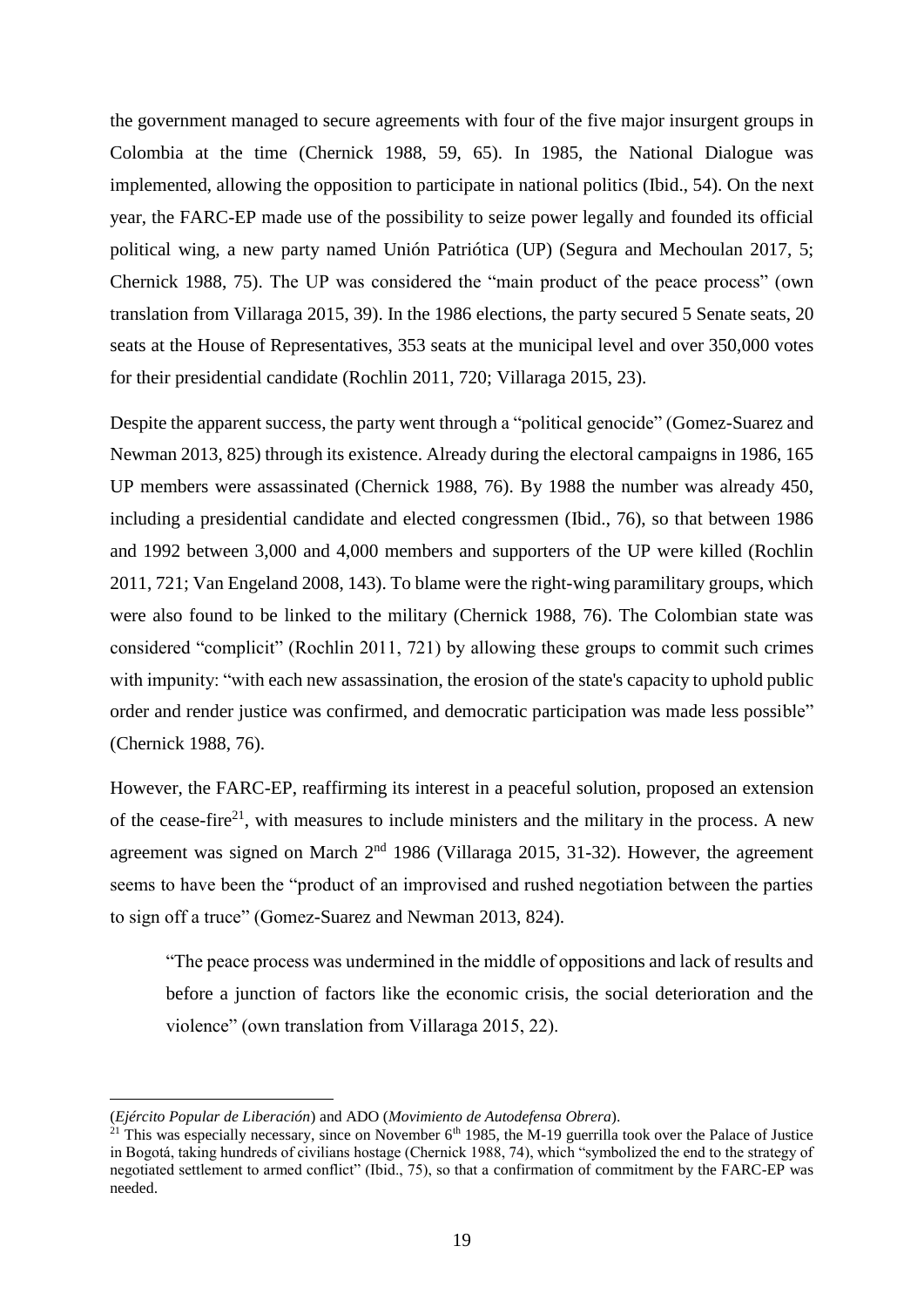the government managed to secure agreements with four of the five major insurgent groups in Colombia at the time (Chernick 1988, 59, 65). In 1985, the National Dialogue was implemented, allowing the opposition to participate in national politics (Ibid., 54). On the next year, the FARC-EP made use of the possibility to seize power legally and founded its official political wing, a new party named Unión Patriótica (UP) (Segura and Mechoulan 2017, 5; Chernick 1988, 75). The UP was considered the "main product of the peace process" (own translation from Villaraga 2015, 39). In the 1986 elections, the party secured 5 Senate seats, 20 seats at the House of Representatives, 353 seats at the municipal level and over 350,000 votes for their presidential candidate (Rochlin 2011, 720; Villaraga 2015, 23).

Despite the apparent success, the party went through a "political genocide" (Gomez-Suarez and Newman 2013, 825) through its existence. Already during the electoral campaigns in 1986, 165 UP members were assassinated (Chernick 1988, 76). By 1988 the number was already 450, including a presidential candidate and elected congressmen (Ibid., 76), so that between 1986 and 1992 between 3,000 and 4,000 members and supporters of the UP were killed (Rochlin 2011, 721; Van Engeland 2008, 143). To blame were the right-wing paramilitary groups, which were also found to be linked to the military (Chernick 1988, 76). The Colombian state was considered "complicit" (Rochlin 2011, 721) by allowing these groups to commit such crimes with impunity: "with each new assassination, the erosion of the state's capacity to uphold public order and render justice was confirmed, and democratic participation was made less possible" (Chernick 1988, 76).

However, the FARC-EP, reaffirming its interest in a peaceful solution, proposed an extension of the cease-fire<sup>21</sup>, with measures to include ministers and the military in the process. A new agreement was signed on March  $2<sup>nd</sup>$  1986 (Villaraga 2015, 31-32). However, the agreement seems to have been the "product of an improvised and rushed negotiation between the parties to sign off a truce" (Gomez-Suarez and Newman 2013, 824).

"The peace process was undermined in the middle of oppositions and lack of results and before a junction of factors like the economic crisis, the social deterioration and the violence" (own translation from Villaraga 2015, 22).

 $\overline{\phantom{a}}$ 

<sup>(</sup>*Ejército Popular de Liberación*) and ADO (*Movimiento de Autodefensa Obrera*).

<sup>&</sup>lt;sup>21</sup> This was especially necessary, since on November  $6<sup>th</sup>$  1985, the M-19 guerrilla took over the Palace of Justice in Bogotá, taking hundreds of civilians hostage (Chernick 1988, 74), which "symbolized the end to the strategy of negotiated settlement to armed conflict" (Ibid., 75), so that a confirmation of commitment by the FARC-EP was needed.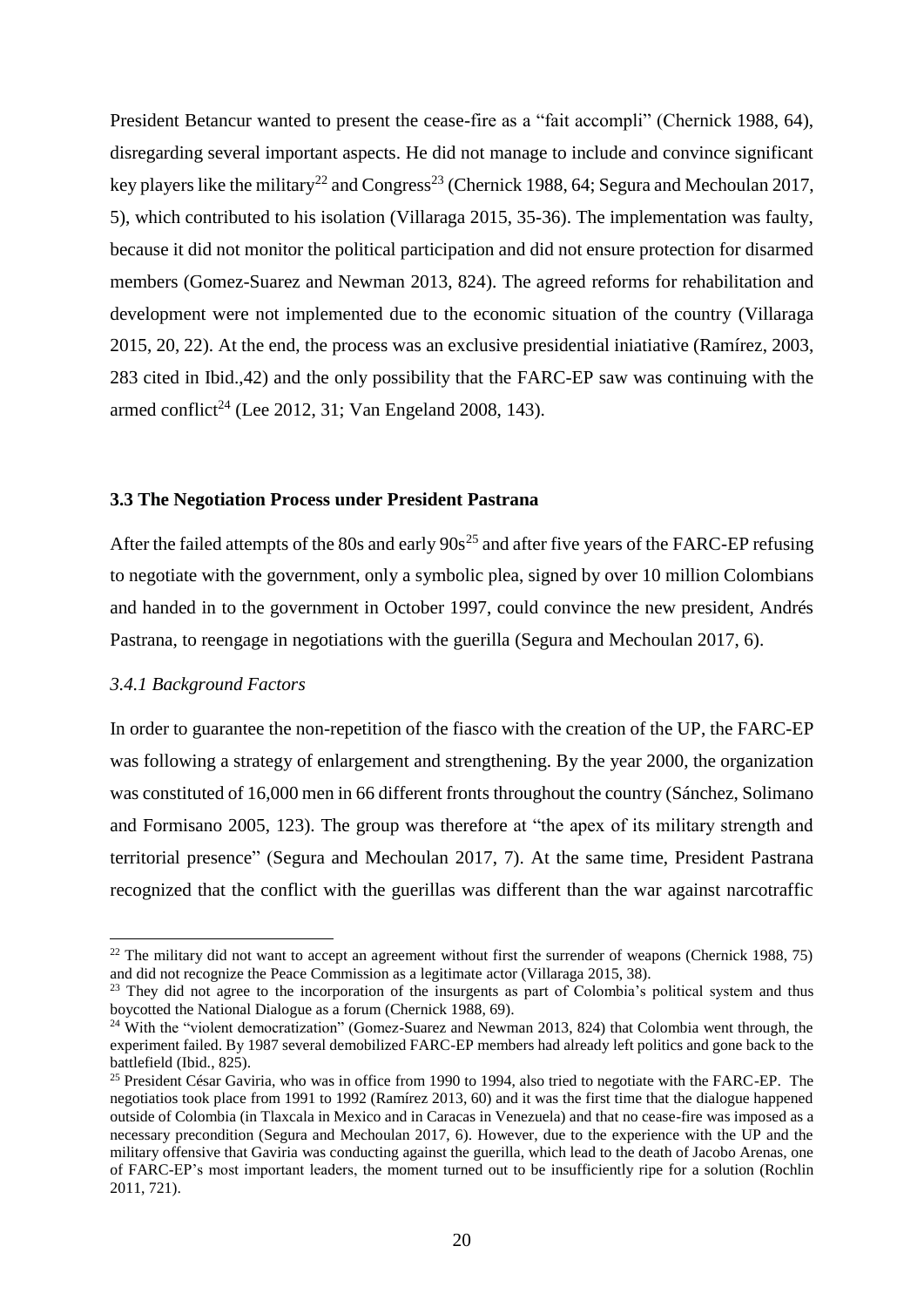President Betancur wanted to present the cease-fire as a "fait accompli" (Chernick 1988, 64), disregarding several important aspects. He did not manage to include and convince significant key players like the military<sup>22</sup> and Congress<sup>23</sup> (Chernick 1988, 64; Segura and Mechoulan 2017, 5), which contributed to his isolation (Villaraga 2015, 35-36). The implementation was faulty, because it did not monitor the political participation and did not ensure protection for disarmed members (Gomez-Suarez and Newman 2013, 824). The agreed reforms for rehabilitation and development were not implemented due to the economic situation of the country (Villaraga 2015, 20, 22). At the end, the process was an exclusive presidential iniatiative (Ramírez, 2003, 283 cited in Ibid.,42) and the only possibility that the FARC-EP saw was continuing with the armed conflict<sup>24</sup> (Lee 2012, 31; Van Engeland 2008, 143).

# <span id="page-19-0"></span>**3.3 The Negotiation Process under President Pastrana**

After the failed attempts of the 80s and early  $90s^{25}$  and after five years of the FARC-EP refusing to negotiate with the government, only a symbolic plea, signed by over 10 million Colombians and handed in to the government in October 1997, could convince the new president, Andrés Pastrana, to reengage in negotiations with the guerilla (Segura and Mechoulan 2017, 6).

#### <span id="page-19-1"></span>*3.4.1 Background Factors*

 $\overline{\phantom{a}}$ 

In order to guarantee the non-repetition of the fiasco with the creation of the UP, the FARC-EP was following a strategy of enlargement and strengthening. By the year 2000, the organization was constituted of 16,000 men in 66 different fronts throughout the country (Sánchez, Solimano and Formisano 2005, 123). The group was therefore at "the apex of its military strength and territorial presence" (Segura and Mechoulan 2017, 7). At the same time, President Pastrana recognized that the conflict with the guerillas was different than the war against narcotraffic

<sup>&</sup>lt;sup>22</sup> The military did not want to accept an agreement without first the surrender of weapons (Chernick 1988, 75) and did not recognize the Peace Commission as a legitimate actor (Villaraga 2015, 38).

<sup>&</sup>lt;sup>23</sup> They did not agree to the incorporation of the insurgents as part of Colombia's political system and thus boycotted the National Dialogue as a forum (Chernick 1988, 69).

<sup>&</sup>lt;sup>24</sup> With the "violent democratization" (Gomez-Suarez and Newman 2013, 824) that Colombia went through, the experiment failed. By 1987 several demobilized FARC-EP members had already left politics and gone back to the battlefield (Ibid., 825).

<sup>&</sup>lt;sup>25</sup> President César Gaviria, who was in office from 1990 to 1994, also tried to negotiate with the FARC-EP. The negotiatios took place from 1991 to 1992 (Ramírez 2013, 60) and it was the first time that the dialogue happened outside of Colombia (in Tlaxcala in Mexico and in Caracas in Venezuela) and that no cease-fire was imposed as a necessary precondition (Segura and Mechoulan 2017, 6). However, due to the experience with the UP and the military offensive that Gaviria was conducting against the guerilla, which lead to the death of Jacobo Arenas, one of FARC-EP's most important leaders, the moment turned out to be insufficiently ripe for a solution (Rochlin 2011, 721).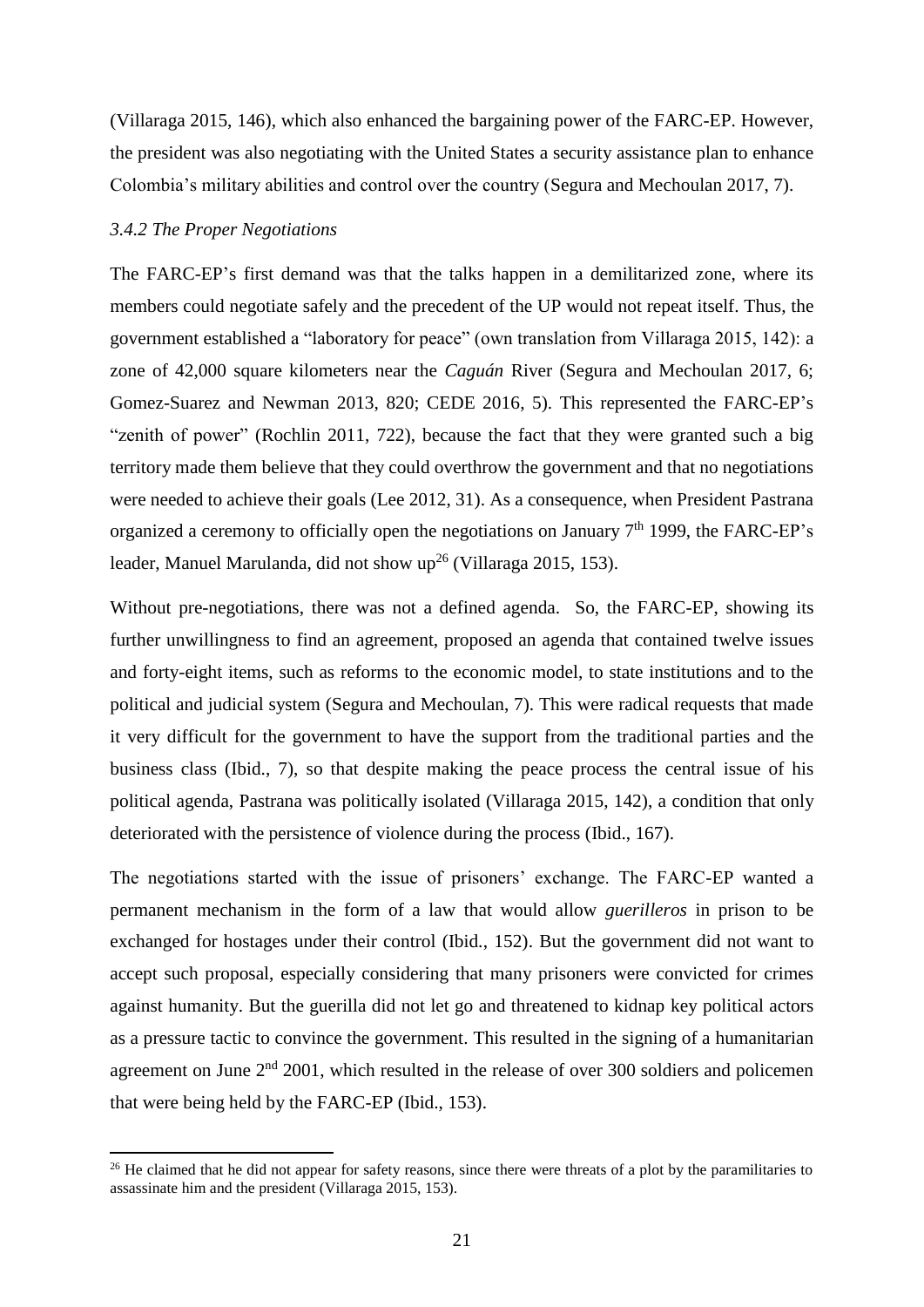(Villaraga 2015, 146), which also enhanced the bargaining power of the FARC-EP. However, the president was also negotiating with the United States a security assistance plan to enhance Colombia's military abilities and control over the country (Segura and Mechoulan 2017, 7).

## <span id="page-20-0"></span>*3.4.2 The Proper Negotiations*

 $\overline{\phantom{a}}$ 

The FARC-EP's first demand was that the talks happen in a demilitarized zone, where its members could negotiate safely and the precedent of the UP would not repeat itself. Thus, the government established a "laboratory for peace" (own translation from Villaraga 2015, 142): a zone of 42,000 square kilometers near the *Caguán* River (Segura and Mechoulan 2017, 6; Gomez-Suarez and Newman 2013, 820; CEDE 2016, 5). This represented the FARC-EP's "zenith of power" (Rochlin 2011, 722), because the fact that they were granted such a big territory made them believe that they could overthrow the government and that no negotiations were needed to achieve their goals (Lee 2012, 31). As a consequence, when President Pastrana organized a ceremony to officially open the negotiations on January  $7<sup>th</sup>$  1999, the FARC-EP's leader, Manuel Marulanda, did not show up<sup>26</sup> (Villaraga 2015, 153).

Without pre-negotiations, there was not a defined agenda. So, the FARC-EP, showing its further unwillingness to find an agreement, proposed an agenda that contained twelve issues and forty-eight items, such as reforms to the economic model, to state institutions and to the political and judicial system (Segura and Mechoulan, 7). This were radical requests that made it very difficult for the government to have the support from the traditional parties and the business class (Ibid., 7), so that despite making the peace process the central issue of his political agenda, Pastrana was politically isolated (Villaraga 2015, 142), a condition that only deteriorated with the persistence of violence during the process (Ibid., 167).

The negotiations started with the issue of prisoners' exchange. The FARC-EP wanted a permanent mechanism in the form of a law that would allow *guerilleros* in prison to be exchanged for hostages under their control (Ibid., 152). But the government did not want to accept such proposal, especially considering that many prisoners were convicted for crimes against humanity. But the guerilla did not let go and threatened to kidnap key political actors as a pressure tactic to convince the government. This resulted in the signing of a humanitarian agreement on June  $2<sup>nd</sup>$  2001, which resulted in the release of over 300 soldiers and policemen that were being held by the FARC-EP (Ibid., 153).

<sup>&</sup>lt;sup>26</sup> He claimed that he did not appear for safety reasons, since there were threats of a plot by the paramilitaries to assassinate him and the president (Villaraga 2015, 153).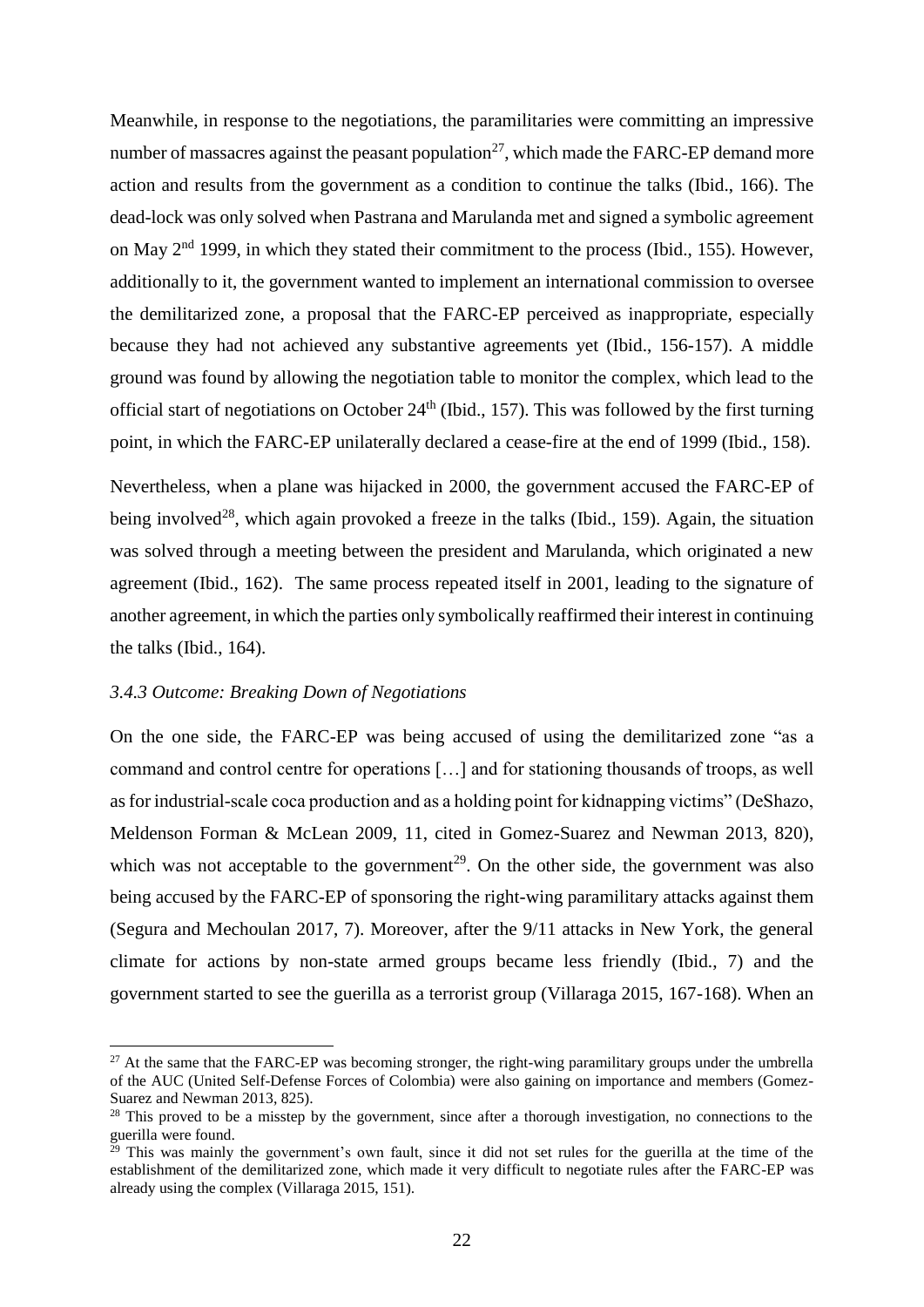Meanwhile, in response to the negotiations, the paramilitaries were committing an impressive number of massacres against the peasant population<sup>27</sup>, which made the FARC-EP demand more action and results from the government as a condition to continue the talks (Ibid., 166). The dead-lock was only solved when Pastrana and Marulanda met and signed a symbolic agreement on May 2nd 1999, in which they stated their commitment to the process (Ibid., 155). However, additionally to it, the government wanted to implement an international commission to oversee the demilitarized zone, a proposal that the FARC-EP perceived as inappropriate, especially because they had not achieved any substantive agreements yet (Ibid., 156-157). A middle ground was found by allowing the negotiation table to monitor the complex, which lead to the official start of negotiations on October  $24<sup>th</sup>$  (Ibid., 157). This was followed by the first turning point, in which the FARC-EP unilaterally declared a cease-fire at the end of 1999 (Ibid., 158).

Nevertheless, when a plane was hijacked in 2000, the government accused the FARC-EP of being involved<sup>28</sup>, which again provoked a freeze in the talks (Ibid., 159). Again, the situation was solved through a meeting between the president and Marulanda, which originated a new agreement (Ibid., 162). The same process repeated itself in 2001, leading to the signature of another agreement, in which the parties only symbolically reaffirmed their interest in continuing the talks (Ibid., 164).

#### <span id="page-21-0"></span>*3.4.3 Outcome: Breaking Down of Negotiations*

 $\overline{\phantom{a}}$ 

On the one side, the FARC-EP was being accused of using the demilitarized zone "as a command and control centre for operations […] and for stationing thousands of troops, as well as for industrial-scale coca production and as a holding point for kidnapping victims" (DeShazo, Meldenson Forman & McLean 2009, 11, cited in Gomez-Suarez and Newman 2013, 820), which was not acceptable to the government<sup>29</sup>. On the other side, the government was also being accused by the FARC-EP of sponsoring the right-wing paramilitary attacks against them (Segura and Mechoulan 2017, 7). Moreover, after the 9/11 attacks in New York, the general climate for actions by non-state armed groups became less friendly (Ibid., 7) and the government started to see the guerilla as a terrorist group (Villaraga 2015, 167-168). When an

<sup>&</sup>lt;sup>27</sup> At the same that the FARC-EP was becoming stronger, the right-wing paramilitary groups under the umbrella of the AUC (United Self-Defense Forces of Colombia) were also gaining on importance and members (Gomez-Suarez and Newman 2013, 825).

<sup>&</sup>lt;sup>28</sup> This proved to be a misstep by the government, since after a thorough investigation, no connections to the guerilla were found.

 $29$  This was mainly the government's own fault, since it did not set rules for the guerilla at the time of the establishment of the demilitarized zone, which made it very difficult to negotiate rules after the FARC-EP was already using the complex (Villaraga 2015, 151).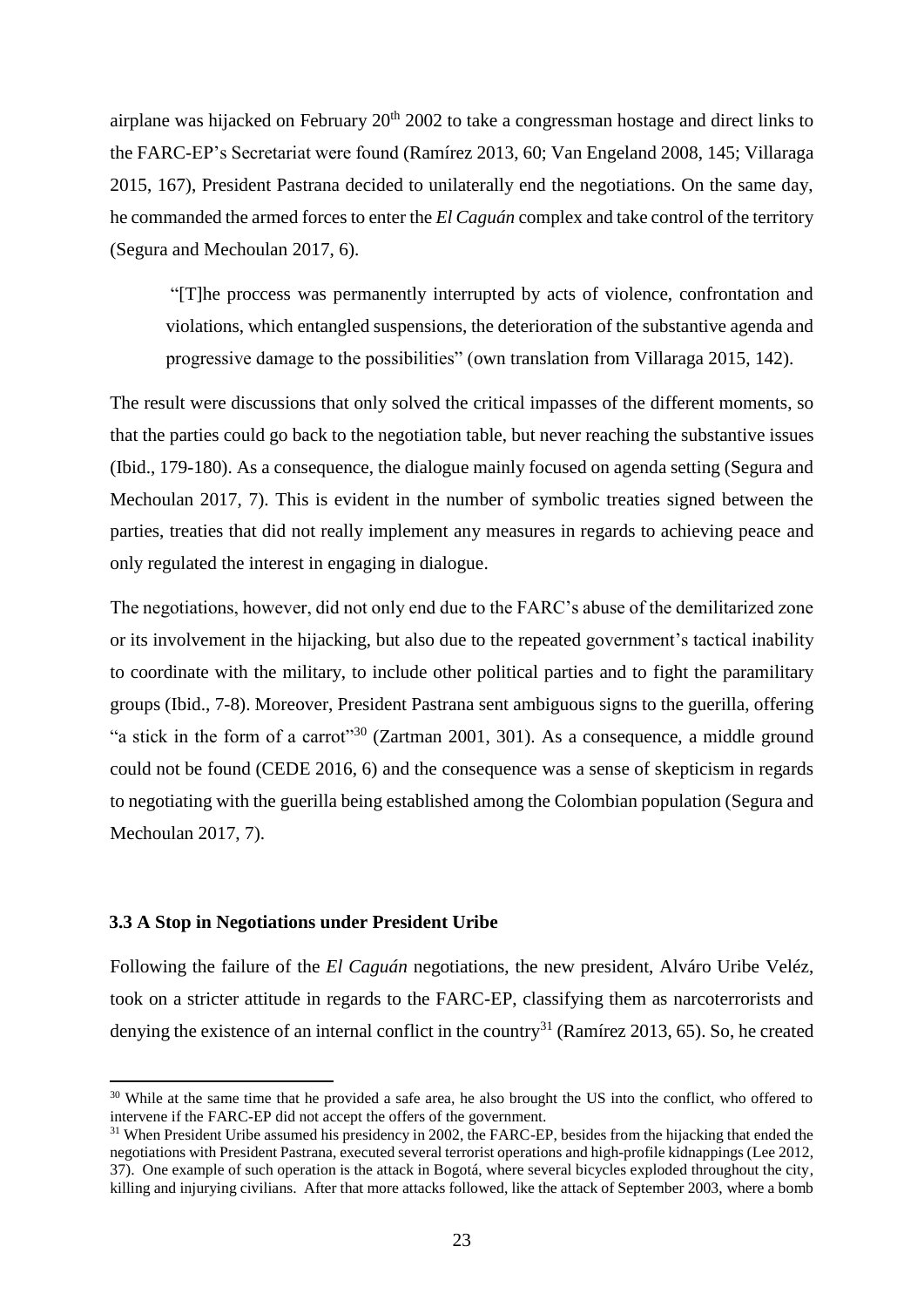airplane was hijacked on February 20<sup>th</sup> 2002 to take a congressman hostage and direct links to the FARC-EP's Secretariat were found (Ramírez 2013, 60; Van Engeland 2008, 145; Villaraga 2015, 167), President Pastrana decided to unilaterally end the negotiations. On the same day, he commanded the armed forces to enter the *El Caguán* complex and take control of the territory (Segura and Mechoulan 2017, 6).

"[T]he proccess was permanently interrupted by acts of violence, confrontation and violations, which entangled suspensions, the deterioration of the substantive agenda and progressive damage to the possibilities" (own translation from Villaraga 2015, 142).

The result were discussions that only solved the critical impasses of the different moments, so that the parties could go back to the negotiation table, but never reaching the substantive issues (Ibid., 179-180). As a consequence, the dialogue mainly focused on agenda setting (Segura and Mechoulan 2017, 7). This is evident in the number of symbolic treaties signed between the parties, treaties that did not really implement any measures in regards to achieving peace and only regulated the interest in engaging in dialogue.

The negotiations, however, did not only end due to the FARC's abuse of the demilitarized zone or its involvement in the hijacking, but also due to the repeated government's tactical inability to coordinate with the military, to include other political parties and to fight the paramilitary groups (Ibid., 7-8). Moreover, President Pastrana sent ambiguous signs to the guerilla, offering "a stick in the form of a carrot"<sup>30</sup> (Zartman 2001, 301). As a consequence, a middle ground could not be found (CEDE 2016, 6) and the consequence was a sense of skepticism in regards to negotiating with the guerilla being established among the Colombian population (Segura and Mechoulan 2017, 7).

# <span id="page-22-0"></span>**3.3 A Stop in Negotiations under President Uribe**

 $\overline{a}$ 

Following the failure of the *El Caguán* negotiations, the new president, Alváro Uribe Veléz, took on a stricter attitude in regards to the FARC-EP, classifying them as narcoterrorists and denying the existence of an internal conflict in the country<sup>31</sup> (Ramírez 2013, 65). So, he created

<sup>&</sup>lt;sup>30</sup> While at the same time that he provided a safe area, he also brought the US into the conflict, who offered to intervene if the FARC-EP did not accept the offers of the government.

<sup>&</sup>lt;sup>31</sup> When President Uribe assumed his presidency in 2002, the FARC-EP, besides from the hijacking that ended the negotiations with President Pastrana, executed several terrorist operations and high-profile kidnappings (Lee 2012, 37). One example of such operation is the attack in Bogotá, where several bicycles exploded throughout the city, killing and injurying civilians. After that more attacks followed, like the attack of September 2003, where a bomb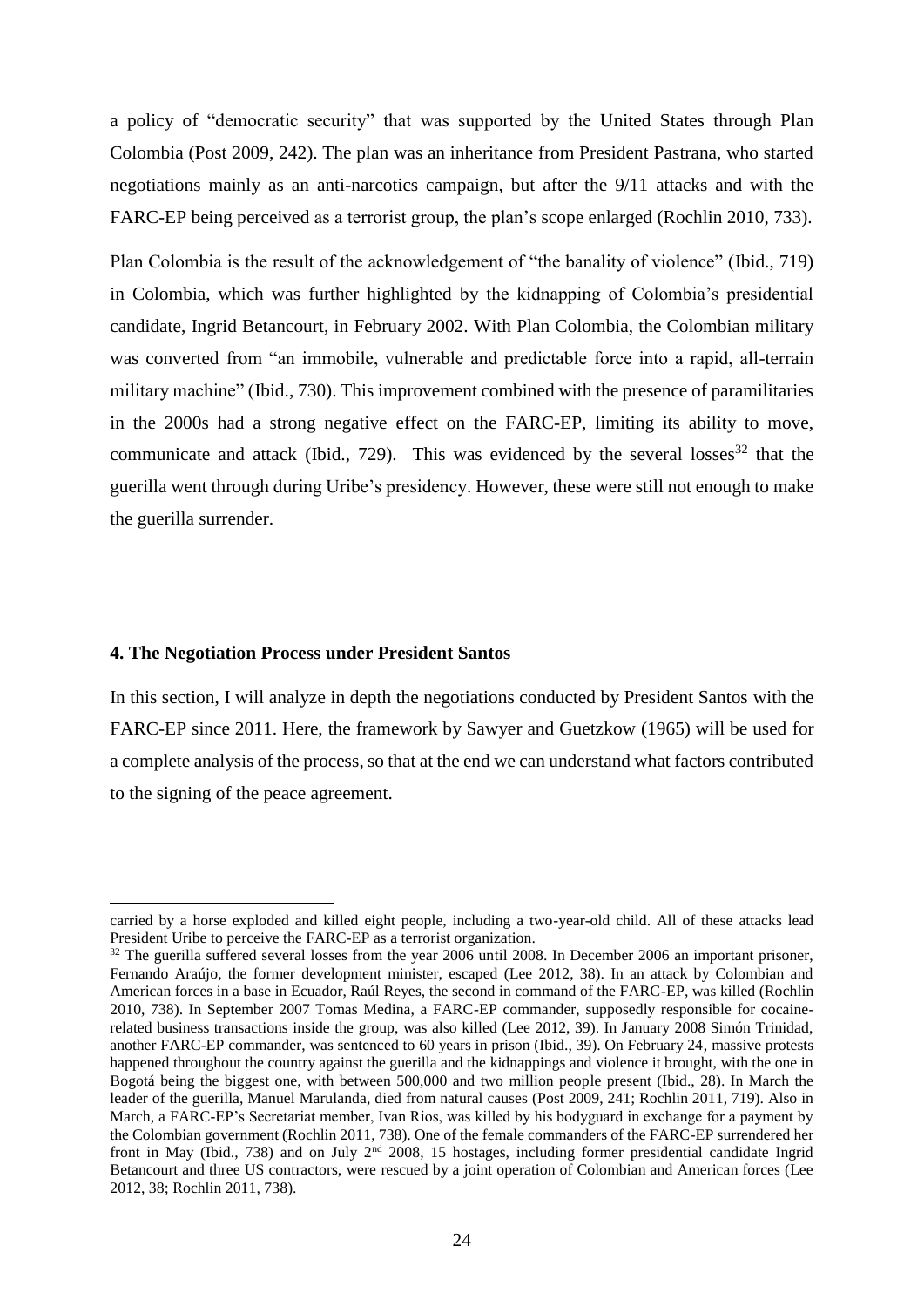a policy of "democratic security" that was supported by the United States through Plan Colombia (Post 2009, 242). The plan was an inheritance from President Pastrana, who started negotiations mainly as an anti-narcotics campaign, but after the 9/11 attacks and with the FARC-EP being perceived as a terrorist group, the plan's scope enlarged (Rochlin 2010, 733).

Plan Colombia is the result of the acknowledgement of "the banality of violence" (Ibid., 719) in Colombia, which was further highlighted by the kidnapping of Colombia's presidential candidate, Ingrid Betancourt, in February 2002. With Plan Colombia, the Colombian military was converted from "an immobile, vulnerable and predictable force into a rapid, all-terrain military machine" (Ibid., 730). This improvement combined with the presence of paramilitaries in the 2000s had a strong negative effect on the FARC-EP, limiting its ability to move, communicate and attack (Ibid., 729). This was evidenced by the several losses<sup>32</sup> that the guerilla went through during Uribe's presidency. However, these were still not enough to make the guerilla surrender.

#### <span id="page-23-0"></span>**4. The Negotiation Process under President Santos**

l

In this section, I will analyze in depth the negotiations conducted by President Santos with the FARC-EP since 2011. Here, the framework by Sawyer and Guetzkow (1965) will be used for a complete analysis of the process, so that at the end we can understand what factors contributed to the signing of the peace agreement.

carried by a horse exploded and killed eight people, including a two-year-old child. All of these attacks lead President Uribe to perceive the FARC-EP as a terrorist organization.

<sup>&</sup>lt;sup>32</sup> The guerilla suffered several losses from the year 2006 until 2008. In December 2006 an important prisoner, Fernando Araújo, the former development minister, escaped (Lee 2012, 38). In an attack by Colombian and American forces in a base in Ecuador, Raúl Reyes, the second in command of the FARC-EP, was killed (Rochlin 2010, 738). In September 2007 Tomas Medina, a FARC-EP commander, supposedly responsible for cocainerelated business transactions inside the group, was also killed (Lee 2012, 39). In January 2008 Simón Trinidad, another FARC-EP commander, was sentenced to 60 years in prison (Ibid., 39). On February 24, massive protests happened throughout the country against the guerilla and the kidnappings and violence it brought, with the one in Bogotá being the biggest one, with between 500,000 and two million people present (Ibid., 28). In March the leader of the guerilla, Manuel Marulanda, died from natural causes (Post 2009, 241; Rochlin 2011, 719). Also in March, a FARC-EP's Secretariat member, Ivan Rios, was killed by his bodyguard in exchange for a payment by the Colombian government (Rochlin 2011, 738). One of the female commanders of the FARC-EP surrendered her front in May (Ibid., 738) and on July 2nd 2008, 15 hostages, including former presidential candidate Ingrid Betancourt and three US contractors, were rescued by a joint operation of Colombian and American forces (Lee 2012, 38; Rochlin 2011, 738).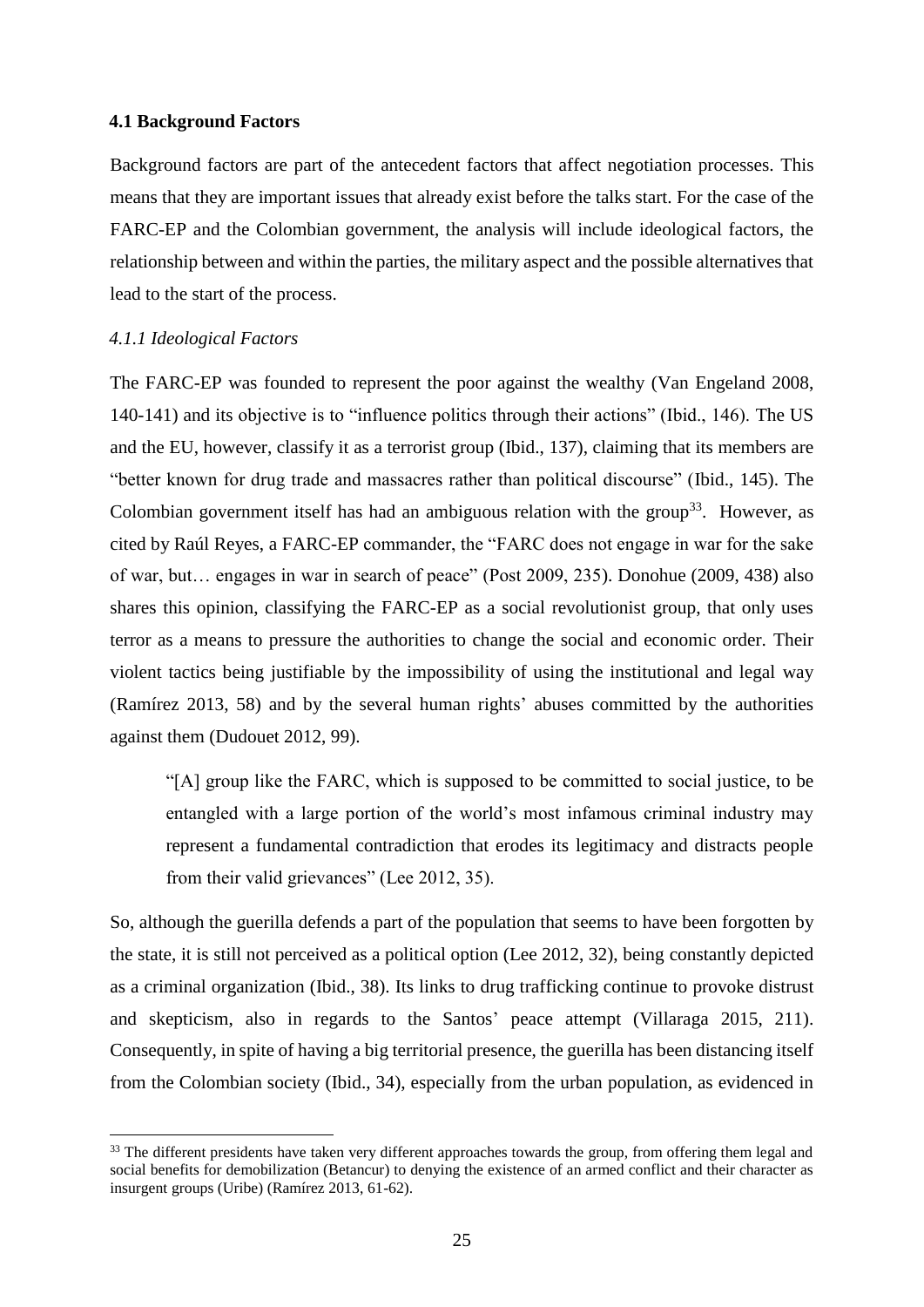#### <span id="page-24-0"></span>**4.1 Background Factors**

Background factors are part of the antecedent factors that affect negotiation processes. This means that they are important issues that already exist before the talks start. For the case of the FARC-EP and the Colombian government, the analysis will include ideological factors, the relationship between and within the parties, the military aspect and the possible alternatives that lead to the start of the process.

## <span id="page-24-1"></span>*4.1.1 Ideological Factors*

l

The FARC-EP was founded to represent the poor against the wealthy (Van Engeland 2008, 140-141) and its objective is to "influence politics through their actions" (Ibid., 146). The US and the EU, however, classify it as a terrorist group (Ibid., 137), claiming that its members are "better known for drug trade and massacres rather than political discourse" (Ibid., 145). The Colombian government itself has had an ambiguous relation with the group<sup>33</sup>. However, as cited by Raúl Reyes, a FARC-EP commander, the "FARC does not engage in war for the sake of war, but… engages in war in search of peace" (Post 2009, 235). Donohue (2009, 438) also shares this opinion, classifying the FARC-EP as a social revolutionist group, that only uses terror as a means to pressure the authorities to change the social and economic order. Their violent tactics being justifiable by the impossibility of using the institutional and legal way (Ramírez 2013, 58) and by the several human rights' abuses committed by the authorities against them (Dudouet 2012, 99).

"[A] group like the FARC, which is supposed to be committed to social justice, to be entangled with a large portion of the world's most infamous criminal industry may represent a fundamental contradiction that erodes its legitimacy and distracts people from their valid grievances" (Lee 2012, 35).

So, although the guerilla defends a part of the population that seems to have been forgotten by the state, it is still not perceived as a political option (Lee 2012, 32), being constantly depicted as a criminal organization (Ibid., 38). Its links to drug trafficking continue to provoke distrust and skepticism, also in regards to the Santos' peace attempt (Villaraga 2015, 211). Consequently, in spite of having a big territorial presence, the guerilla has been distancing itself from the Colombian society (Ibid., 34), especially from the urban population, as evidenced in

<sup>&</sup>lt;sup>33</sup> The different presidents have taken very different approaches towards the group, from offering them legal and social benefits for demobilization (Betancur) to denying the existence of an armed conflict and their character as insurgent groups (Uribe) (Ramírez 2013, 61-62).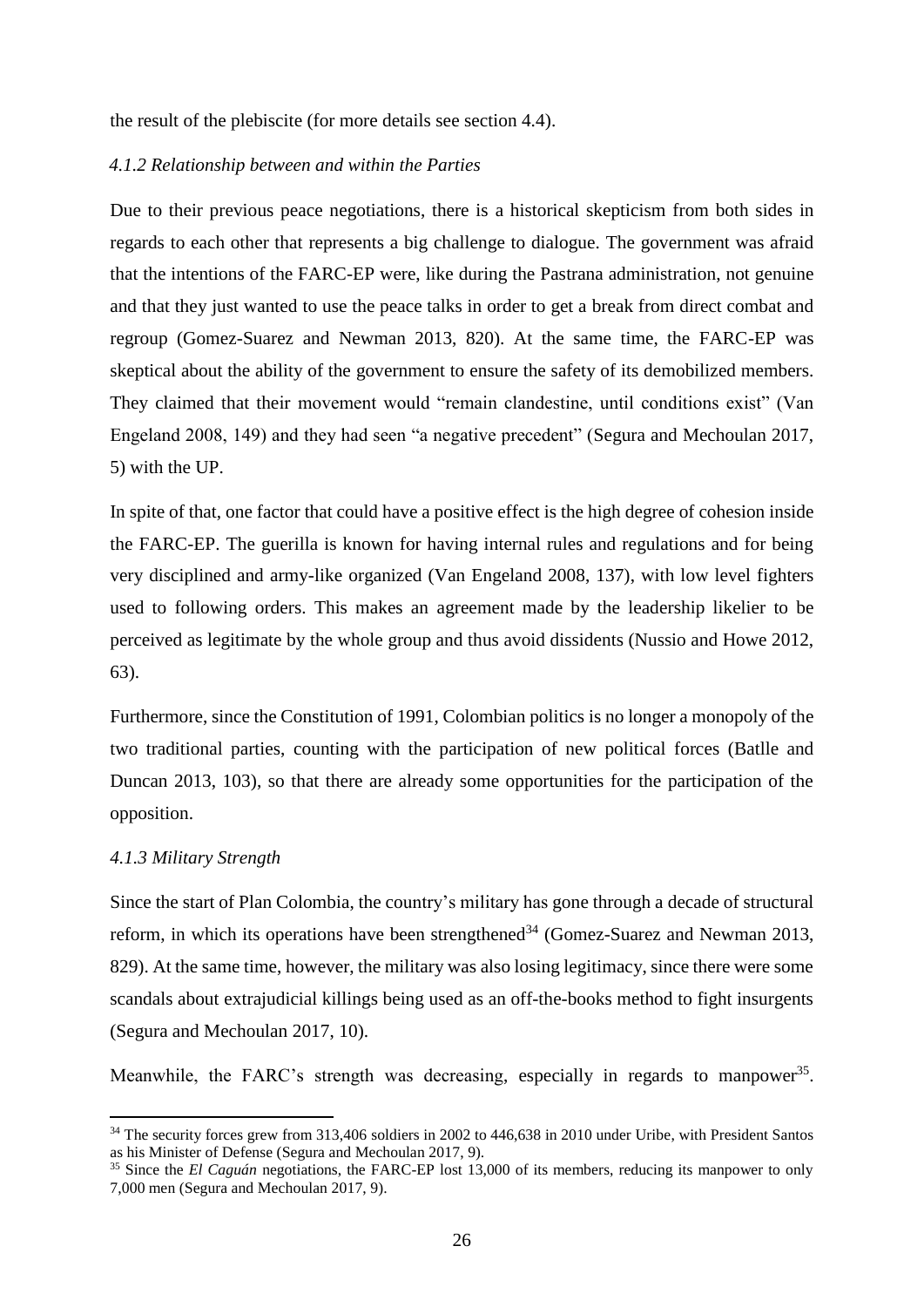the result of the plebiscite (for more details see section 4.4).

## <span id="page-25-0"></span>*4.1.2 Relationship between and within the Parties*

Due to their previous peace negotiations, there is a historical skepticism from both sides in regards to each other that represents a big challenge to dialogue. The government was afraid that the intentions of the FARC-EP were, like during the Pastrana administration, not genuine and that they just wanted to use the peace talks in order to get a break from direct combat and regroup (Gomez-Suarez and Newman 2013, 820). At the same time, the FARC-EP was skeptical about the ability of the government to ensure the safety of its demobilized members. They claimed that their movement would "remain clandestine, until conditions exist" (Van Engeland 2008, 149) and they had seen "a negative precedent" (Segura and Mechoulan 2017, 5) with the UP.

In spite of that, one factor that could have a positive effect is the high degree of cohesion inside the FARC-EP. The guerilla is known for having internal rules and regulations and for being very disciplined and army-like organized (Van Engeland 2008, 137), with low level fighters used to following orders. This makes an agreement made by the leadership likelier to be perceived as legitimate by the whole group and thus avoid dissidents (Nussio and Howe 2012, 63).

Furthermore, since the Constitution of 1991, Colombian politics is no longer a monopoly of the two traditional parties, counting with the participation of new political forces (Batlle and Duncan 2013, 103), so that there are already some opportunities for the participation of the opposition.

#### <span id="page-25-1"></span>*4.1.3 Military Strength*

 $\overline{\phantom{a}}$ 

Since the start of Plan Colombia, the country's military has gone through a decade of structural reform, in which its operations have been strengthened<sup>34</sup> (Gomez-Suarez and Newman 2013, 829). At the same time, however, the military was also losing legitimacy, since there were some scandals about extrajudicial killings being used as an off-the-books method to fight insurgents (Segura and Mechoulan 2017, 10).

Meanwhile, the FARC's strength was decreasing, especially in regards to manpower<sup>35</sup>.

<sup>&</sup>lt;sup>34</sup> The security forces grew from 313,406 soldiers in 2002 to 446,638 in 2010 under Uribe, with President Santos as his Minister of Defense (Segura and Mechoulan 2017, 9).

<sup>&</sup>lt;sup>35</sup> Since the *El Caguán* negotiations, the FARC-EP lost 13,000 of its members, reducing its manpower to only 7,000 men (Segura and Mechoulan 2017, 9).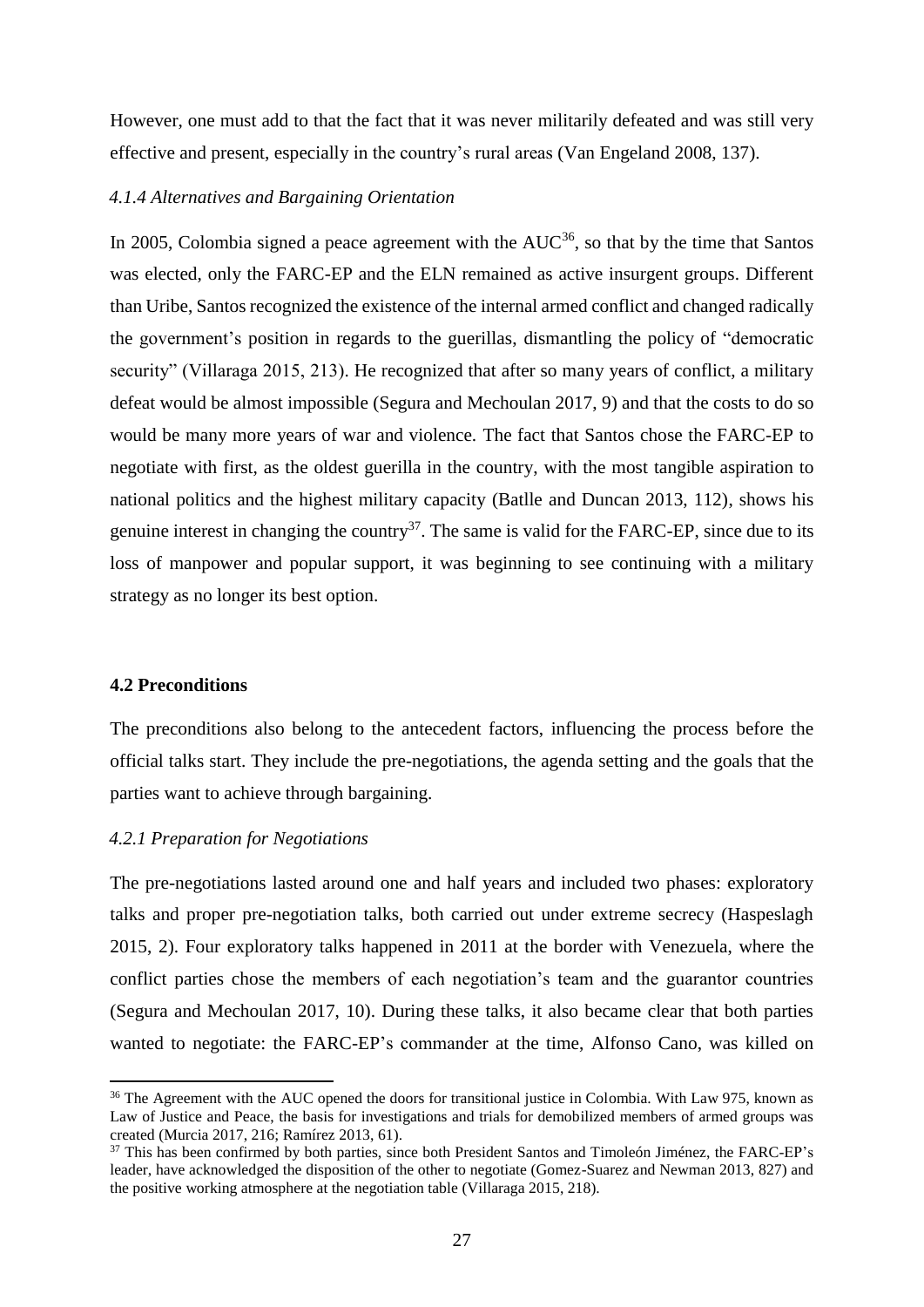However, one must add to that the fact that it was never militarily defeated and was still very effective and present, especially in the country's rural areas (Van Engeland 2008, 137).

# <span id="page-26-0"></span>*4.1.4 Alternatives and Bargaining Orientation*

In 2005, Colombia signed a peace agreement with the  $AUC^{36}$ , so that by the time that Santos was elected, only the FARC-EP and the ELN remained as active insurgent groups. Different than Uribe, Santos recognized the existence of the internal armed conflict and changed radically the government's position in regards to the guerillas, dismantling the policy of "democratic security" (Villaraga 2015, 213). He recognized that after so many years of conflict, a military defeat would be almost impossible (Segura and Mechoulan 2017, 9) and that the costs to do so would be many more years of war and violence. The fact that Santos chose the FARC-EP to negotiate with first, as the oldest guerilla in the country, with the most tangible aspiration to national politics and the highest military capacity (Batlle and Duncan 2013, 112), shows his genuine interest in changing the country<sup>37</sup>. The same is valid for the FARC-EP, since due to its loss of manpower and popular support, it was beginning to see continuing with a military strategy as no longer its best option.

## <span id="page-26-1"></span>**4.2 Preconditions**

 $\overline{a}$ 

The preconditions also belong to the antecedent factors, influencing the process before the official talks start. They include the pre-negotiations, the agenda setting and the goals that the parties want to achieve through bargaining.

#### <span id="page-26-2"></span>*4.2.1 Preparation for Negotiations*

The pre-negotiations lasted around one and half years and included two phases: exploratory talks and proper pre-negotiation talks, both carried out under extreme secrecy (Haspeslagh 2015, 2). Four exploratory talks happened in 2011 at the border with Venezuela, where the conflict parties chose the members of each negotiation's team and the guarantor countries (Segura and Mechoulan 2017, 10). During these talks, it also became clear that both parties wanted to negotiate: the FARC-EP's commander at the time, Alfonso Cano, was killed on

<sup>&</sup>lt;sup>36</sup> The Agreement with the AUC opened the doors for transitional justice in Colombia. With Law 975, known as Law of Justice and Peace, the basis for investigations and trials for demobilized members of armed groups was created (Murcia 2017, 216; Ramírez 2013, 61).

<sup>&</sup>lt;sup>37</sup> This has been confirmed by both parties, since both President Santos and Timoleón Jiménez, the FARC-EP's leader, have acknowledged the disposition of the other to negotiate (Gomez-Suarez and Newman 2013, 827) and the positive working atmosphere at the negotiation table (Villaraga 2015, 218).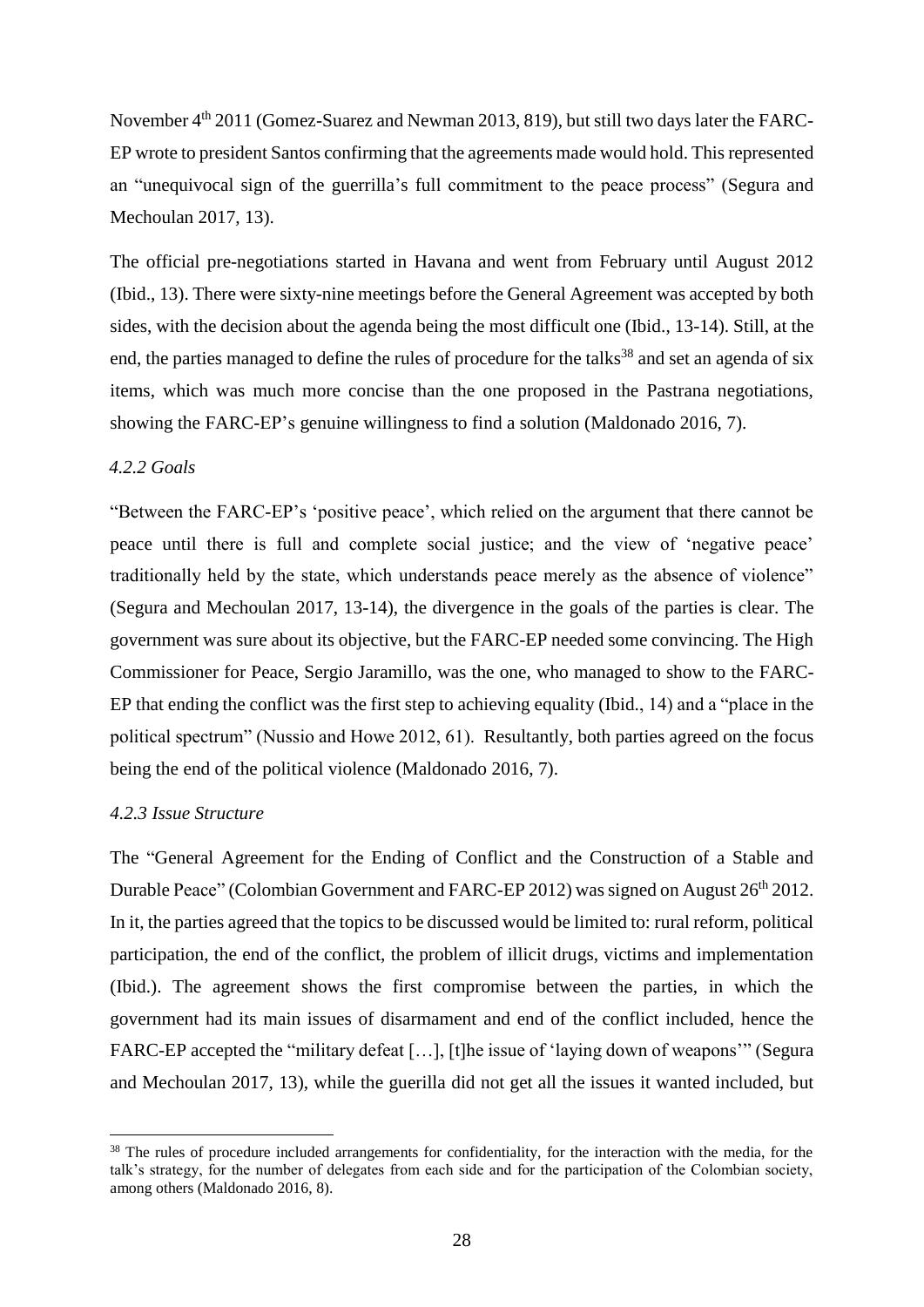November  $4<sup>th</sup>$  2011 (Gomez-Suarez and Newman 2013, 819), but still two days later the FARC-EP wrote to president Santos confirming that the agreements made would hold. This represented an "unequivocal sign of the guerrilla's full commitment to the peace process" (Segura and Mechoulan 2017, 13).

The official pre-negotiations started in Havana and went from February until August 2012 (Ibid., 13). There were sixty-nine meetings before the General Agreement was accepted by both sides, with the decision about the agenda being the most difficult one (Ibid., 13-14). Still, at the end, the parties managed to define the rules of procedure for the talks<sup>38</sup> and set an agenda of six items, which was much more concise than the one proposed in the Pastrana negotiations, showing the FARC-EP's genuine willingness to find a solution (Maldonado 2016, 7).

# <span id="page-27-0"></span>*4.2.2 Goals*

"Between the FARC-EP's 'positive peace', which relied on the argument that there cannot be peace until there is full and complete social justice; and the view of 'negative peace' traditionally held by the state, which understands peace merely as the absence of violence" (Segura and Mechoulan 2017, 13-14), the divergence in the goals of the parties is clear. The government was sure about its objective, but the FARC-EP needed some convincing. The High Commissioner for Peace, Sergio Jaramillo, was the one, who managed to show to the FARC-EP that ending the conflict was the first step to achieving equality (Ibid., 14) and a "place in the political spectrum" (Nussio and Howe 2012, 61). Resultantly, both parties agreed on the focus being the end of the political violence (Maldonado 2016, 7).

# <span id="page-27-1"></span>*4.2.3 Issue Structure*

l

The "General Agreement for the Ending of Conflict and the Construction of a Stable and Durable Peace" (Colombian Government and FARC-EP 2012) was signed on August 26<sup>th</sup> 2012. In it, the parties agreed that the topics to be discussed would be limited to: rural reform, political participation, the end of the conflict, the problem of illicit drugs, victims and implementation (Ibid.). The agreement shows the first compromise between the parties, in which the government had its main issues of disarmament and end of the conflict included, hence the FARC-EP accepted the "military defeat [...], [t]he issue of 'laying down of weapons'" (Segura and Mechoulan 2017, 13), while the guerilla did not get all the issues it wanted included, but

<sup>&</sup>lt;sup>38</sup> The rules of procedure included arrangements for confidentiality, for the interaction with the media, for the talk's strategy, for the number of delegates from each side and for the participation of the Colombian society, among others (Maldonado 2016, 8).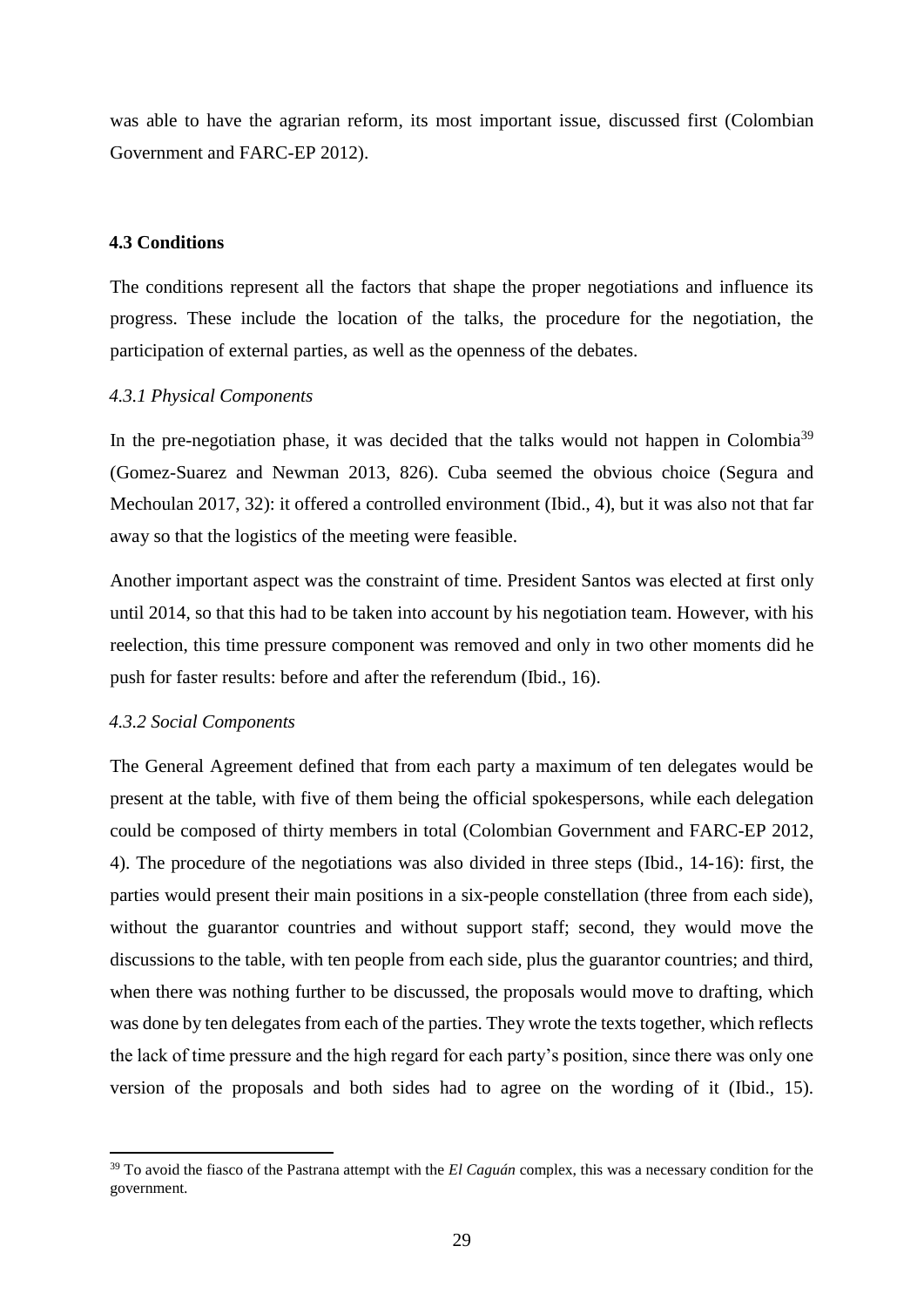was able to have the agrarian reform, its most important issue, discussed first (Colombian Government and FARC-EP 2012).

#### <span id="page-28-0"></span>**4.3 Conditions**

The conditions represent all the factors that shape the proper negotiations and influence its progress. These include the location of the talks, the procedure for the negotiation, the participation of external parties, as well as the openness of the debates.

#### <span id="page-28-1"></span>*4.3.1 Physical Components*

In the pre-negotiation phase, it was decided that the talks would not happen in Colombia<sup>39</sup> (Gomez-Suarez and Newman 2013, 826). Cuba seemed the obvious choice (Segura and Mechoulan 2017, 32): it offered a controlled environment (Ibid., 4), but it was also not that far away so that the logistics of the meeting were feasible.

Another important aspect was the constraint of time. President Santos was elected at first only until 2014, so that this had to be taken into account by his negotiation team. However, with his reelection, this time pressure component was removed and only in two other moments did he push for faster results: before and after the referendum (Ibid., 16).

## <span id="page-28-2"></span>*4.3.2 Social Components*

 $\overline{\phantom{a}}$ 

The General Agreement defined that from each party a maximum of ten delegates would be present at the table, with five of them being the official spokespersons, while each delegation could be composed of thirty members in total (Colombian Government and FARC-EP 2012, 4). The procedure of the negotiations was also divided in three steps (Ibid., 14-16): first, the parties would present their main positions in a six-people constellation (three from each side), without the guarantor countries and without support staff; second, they would move the discussions to the table, with ten people from each side, plus the guarantor countries; and third, when there was nothing further to be discussed, the proposals would move to drafting, which was done by ten delegates from each of the parties. They wrote the texts together, which reflects the lack of time pressure and the high regard for each party's position, since there was only one version of the proposals and both sides had to agree on the wording of it (Ibid., 15).

<sup>&</sup>lt;sup>39</sup> To avoid the fiasco of the Pastrana attempt with the *El Caguán* complex, this was a necessary condition for the government.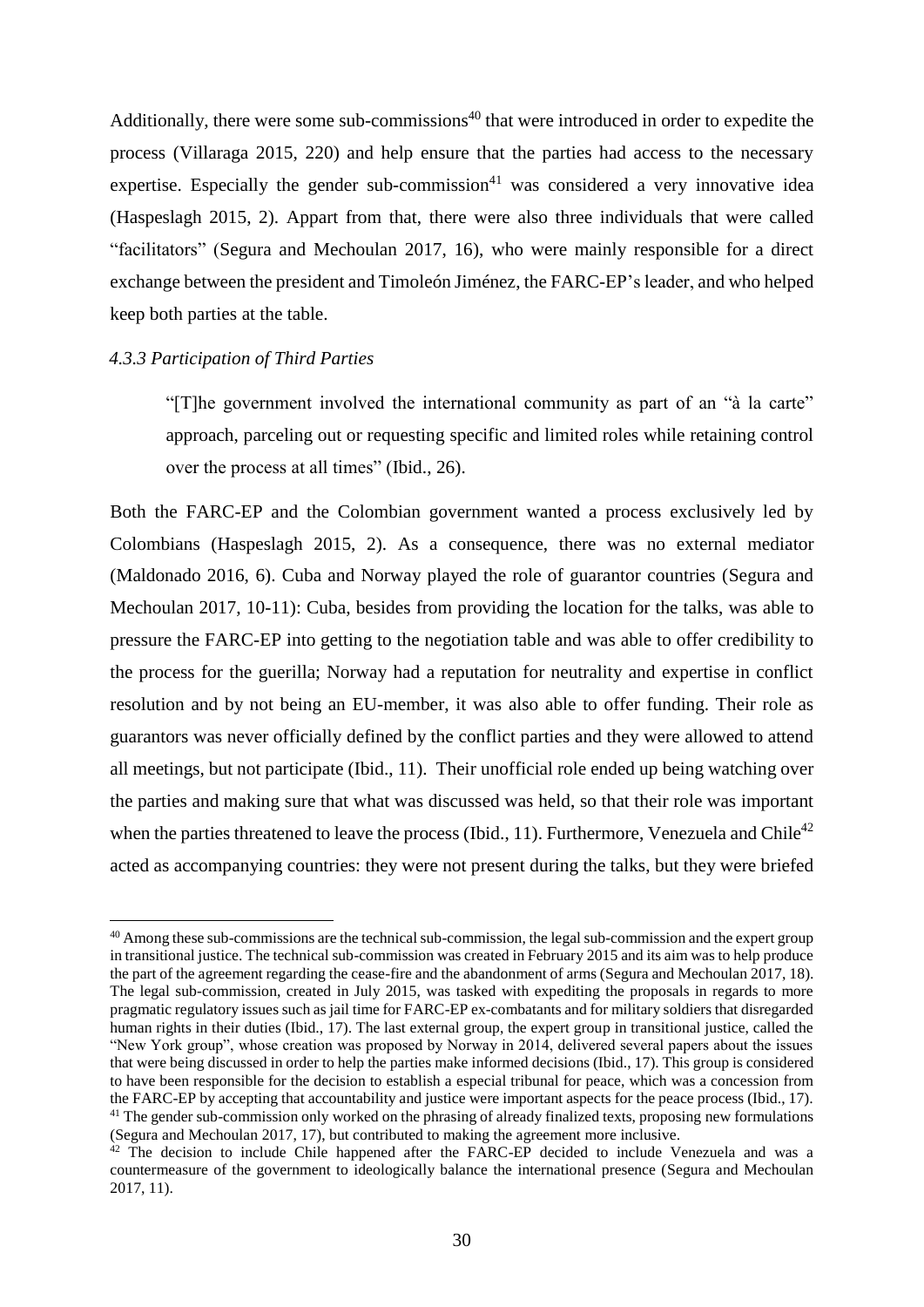Additionally, there were some sub-commissions<sup> $40$ </sup> that were introduced in order to expedite the process (Villaraga 2015, 220) and help ensure that the parties had access to the necessary expertise. Especially the gender sub-commission<sup>41</sup> was considered a very innovative idea (Haspeslagh 2015, 2). Appart from that, there were also three individuals that were called "facilitators" (Segura and Mechoulan 2017, 16), who were mainly responsible for a direct exchange between the president and Timoleón Jiménez, the FARC-EP's leader, and who helped keep both parties at the table.

## <span id="page-29-0"></span>*4.3.3 Participation of Third Parties*

 $\overline{a}$ 

"[T]he government involved the international community as part of an "à la carte" approach, parceling out or requesting specific and limited roles while retaining control over the process at all times" (Ibid., 26).

Both the FARC-EP and the Colombian government wanted a process exclusively led by Colombians (Haspeslagh 2015, 2). As a consequence, there was no external mediator (Maldonado 2016, 6). Cuba and Norway played the role of guarantor countries (Segura and Mechoulan 2017, 10-11): Cuba, besides from providing the location for the talks, was able to pressure the FARC-EP into getting to the negotiation table and was able to offer credibility to the process for the guerilla; Norway had a reputation for neutrality and expertise in conflict resolution and by not being an EU-member, it was also able to offer funding. Their role as guarantors was never officially defined by the conflict parties and they were allowed to attend all meetings, but not participate (Ibid., 11). Their unofficial role ended up being watching over the parties and making sure that what was discussed was held, so that their role was important when the parties threatened to leave the process (Ibid., 11). Furthermore, Venezuela and Chile<sup>42</sup> acted as accompanying countries: they were not present during the talks, but they were briefed

<sup>&</sup>lt;sup>40</sup> Among these sub-commissions are the technical sub-commission, the legal sub-commission and the expert group in transitional justice. The technical sub-commission was created in February 2015 and its aim was to help produce the part of the agreement regarding the cease-fire and the abandonment of arms (Segura and Mechoulan 2017, 18). The legal sub-commission, created in July 2015, was tasked with expediting the proposals in regards to more pragmatic regulatory issues such as jail time for FARC-EP ex-combatants and for military soldiers that disregarded human rights in their duties (Ibid., 17). The last external group, the expert group in transitional justice, called the "New York group", whose creation was proposed by Norway in 2014, delivered several papers about the issues that were being discussed in order to help the parties make informed decisions (Ibid., 17). This group is considered to have been responsible for the decision to establish a especial tribunal for peace, which was a concession from the FARC-EP by accepting that accountability and justice were important aspects for the peace process (Ibid., 17). <sup>41</sup> The gender sub-commission only worked on the phrasing of already finalized texts, proposing new formulations (Segura and Mechoulan 2017, 17), but contributed to making the agreement more inclusive.

<sup>&</sup>lt;sup>42</sup> The decision to include Chile happened after the FARC-EP decided to include Venezuela and was a countermeasure of the government to ideologically balance the international presence (Segura and Mechoulan 2017, 11).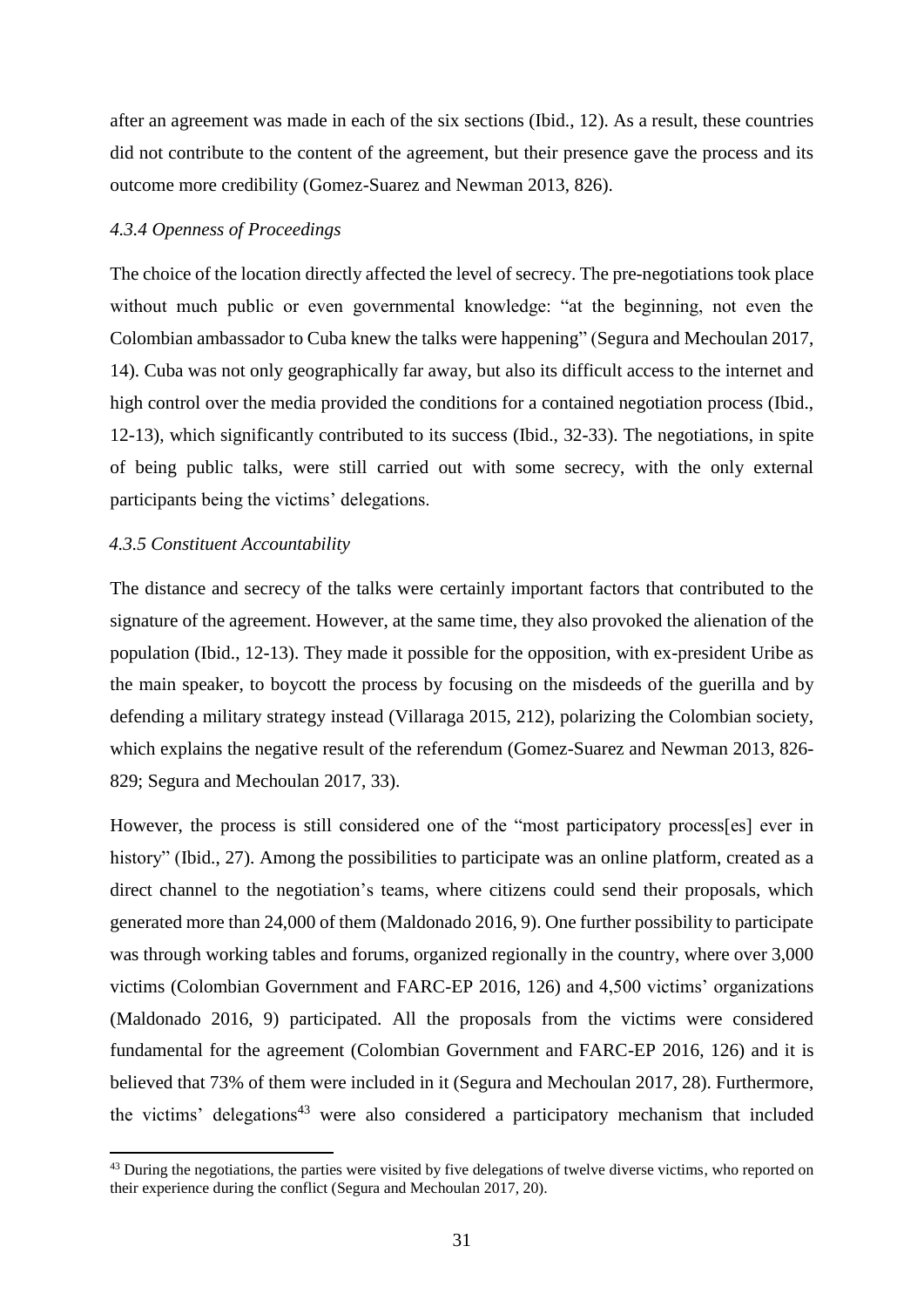after an agreement was made in each of the six sections (Ibid., 12). As a result, these countries did not contribute to the content of the agreement, but their presence gave the process and its outcome more credibility (Gomez-Suarez and Newman 2013, 826).

# <span id="page-30-0"></span>*4.3.4 Openness of Proceedings*

The choice of the location directly affected the level of secrecy. The pre-negotiations took place without much public or even governmental knowledge: "at the beginning, not even the Colombian ambassador to Cuba knew the talks were happening" (Segura and Mechoulan 2017, 14). Cuba was not only geographically far away, but also its difficult access to the internet and high control over the media provided the conditions for a contained negotiation process (Ibid., 12-13), which significantly contributed to its success (Ibid., 32-33). The negotiations, in spite of being public talks, were still carried out with some secrecy, with the only external participants being the victims' delegations.

# <span id="page-30-1"></span>*4.3.5 Constituent Accountability*

 $\overline{\phantom{a}}$ 

The distance and secrecy of the talks were certainly important factors that contributed to the signature of the agreement. However, at the same time, they also provoked the alienation of the population (Ibid., 12-13). They made it possible for the opposition, with ex-president Uribe as the main speaker, to boycott the process by focusing on the misdeeds of the guerilla and by defending a military strategy instead (Villaraga 2015, 212), polarizing the Colombian society, which explains the negative result of the referendum (Gomez-Suarez and Newman 2013, 826- 829; Segura and Mechoulan 2017, 33).

However, the process is still considered one of the "most participatory process[es] ever in history" (Ibid., 27). Among the possibilities to participate was an online platform, created as a direct channel to the negotiation's teams, where citizens could send their proposals, which generated more than 24,000 of them (Maldonado 2016, 9). One further possibility to participate was through working tables and forums, organized regionally in the country, where over 3,000 victims (Colombian Government and FARC-EP 2016, 126) and 4,500 victims' organizations (Maldonado 2016, 9) participated. All the proposals from the victims were considered fundamental for the agreement (Colombian Government and FARC-EP 2016, 126) and it is believed that 73% of them were included in it (Segura and Mechoulan 2017, 28). Furthermore, the victims' delegations<sup>43</sup> were also considered a participatory mechanism that included

<sup>&</sup>lt;sup>43</sup> During the negotiations, the parties were visited by five delegations of twelve diverse victims, who reported on their experience during the conflict (Segura and Mechoulan 2017, 20).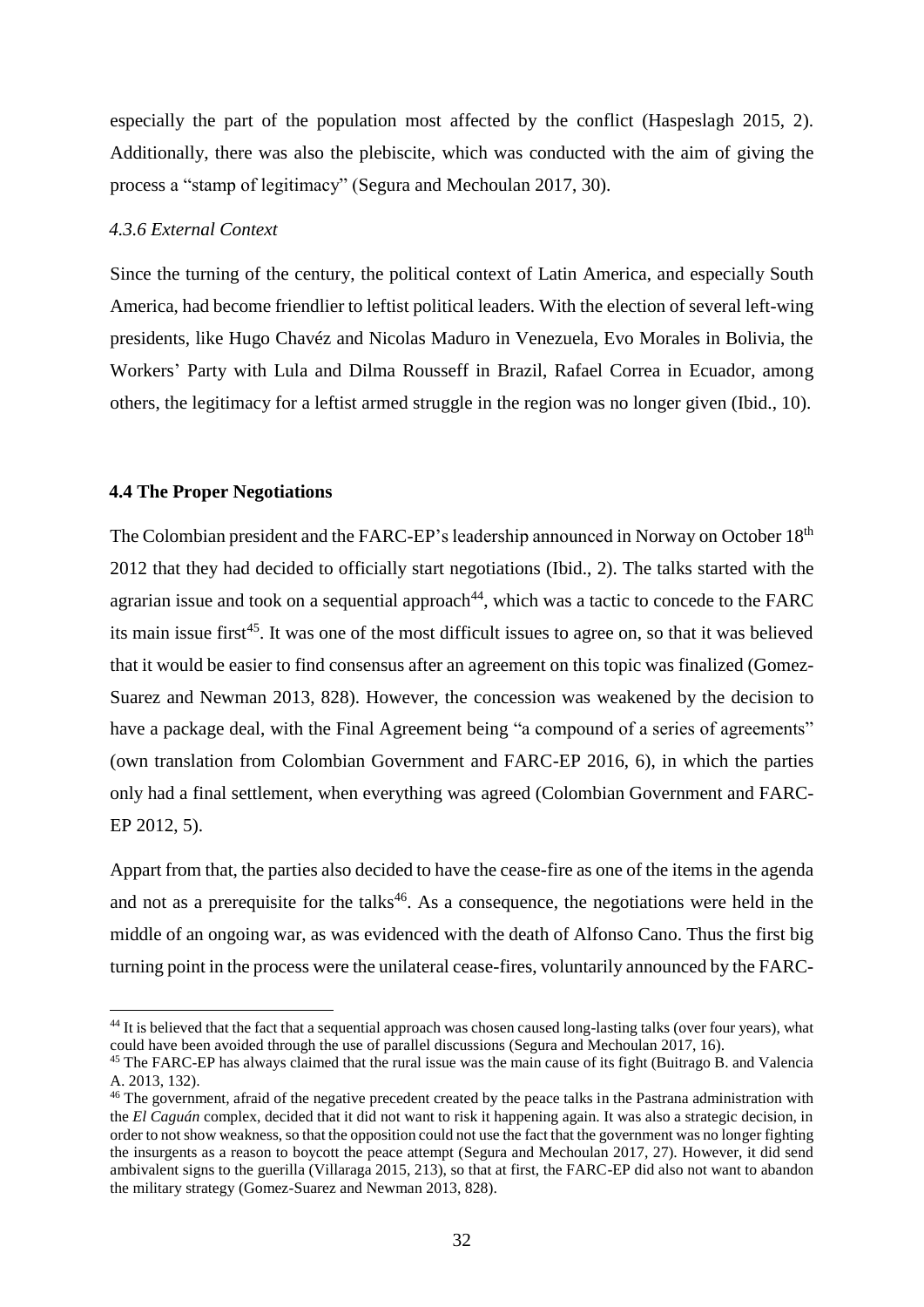especially the part of the population most affected by the conflict (Haspeslagh 2015, 2). Additionally, there was also the plebiscite, which was conducted with the aim of giving the process a "stamp of legitimacy" (Segura and Mechoulan 2017, 30).

# <span id="page-31-0"></span>*4.3.6 External Context*

Since the turning of the century, the political context of Latin America, and especially South America, had become friendlier to leftist political leaders. With the election of several left-wing presidents, like Hugo Chavéz and Nicolas Maduro in Venezuela, Evo Morales in Bolivia, the Workers' Party with Lula and Dilma Rousseff in Brazil, Rafael Correa in Ecuador, among others, the legitimacy for a leftist armed struggle in the region was no longer given (Ibid., 10).

# <span id="page-31-1"></span>**4.4 The Proper Negotiations**

 $\overline{\phantom{a}}$ 

The Colombian president and the FARC-EP's leadership announced in Norway on October 18<sup>th</sup> 2012 that they had decided to officially start negotiations (Ibid., 2). The talks started with the agrarian issue and took on a sequential approach<sup>44</sup>, which was a tactic to concede to the FARC its main issue first<sup>45</sup>. It was one of the most difficult issues to agree on, so that it was believed that it would be easier to find consensus after an agreement on this topic was finalized (Gomez-Suarez and Newman 2013, 828). However, the concession was weakened by the decision to have a package deal, with the Final Agreement being "a compound of a series of agreements" (own translation from Colombian Government and FARC-EP 2016, 6), in which the parties only had a final settlement, when everything was agreed (Colombian Government and FARC-EP 2012, 5).

Appart from that, the parties also decided to have the cease-fire as one of the items in the agenda and not as a prerequisite for the talks<sup>46</sup>. As a consequence, the negotiations were held in the middle of an ongoing war, as was evidenced with the death of Alfonso Cano. Thus the first big turning point in the process were the unilateral cease-fires, voluntarily announced by the FARC-

<sup>&</sup>lt;sup>44</sup> It is believed that the fact that a sequential approach was chosen caused long-lasting talks (over four years), what could have been avoided through the use of parallel discussions (Segura and Mechoulan 2017, 16).

<sup>&</sup>lt;sup>45</sup> The FARC-EP has always claimed that the rural issue was the main cause of its fight (Buitrago B. and Valencia A. 2013, 132).

<sup>&</sup>lt;sup>46</sup> The government, afraid of the negative precedent created by the peace talks in the Pastrana administration with the *El Caguán* complex, decided that it did not want to risk it happening again. It was also a strategic decision, in order to not show weakness, so that the opposition could not use the fact that the government was no longer fighting the insurgents as a reason to boycott the peace attempt (Segura and Mechoulan 2017, 27). However, it did send ambivalent signs to the guerilla (Villaraga 2015, 213), so that at first, the FARC-EP did also not want to abandon the military strategy (Gomez-Suarez and Newman 2013, 828).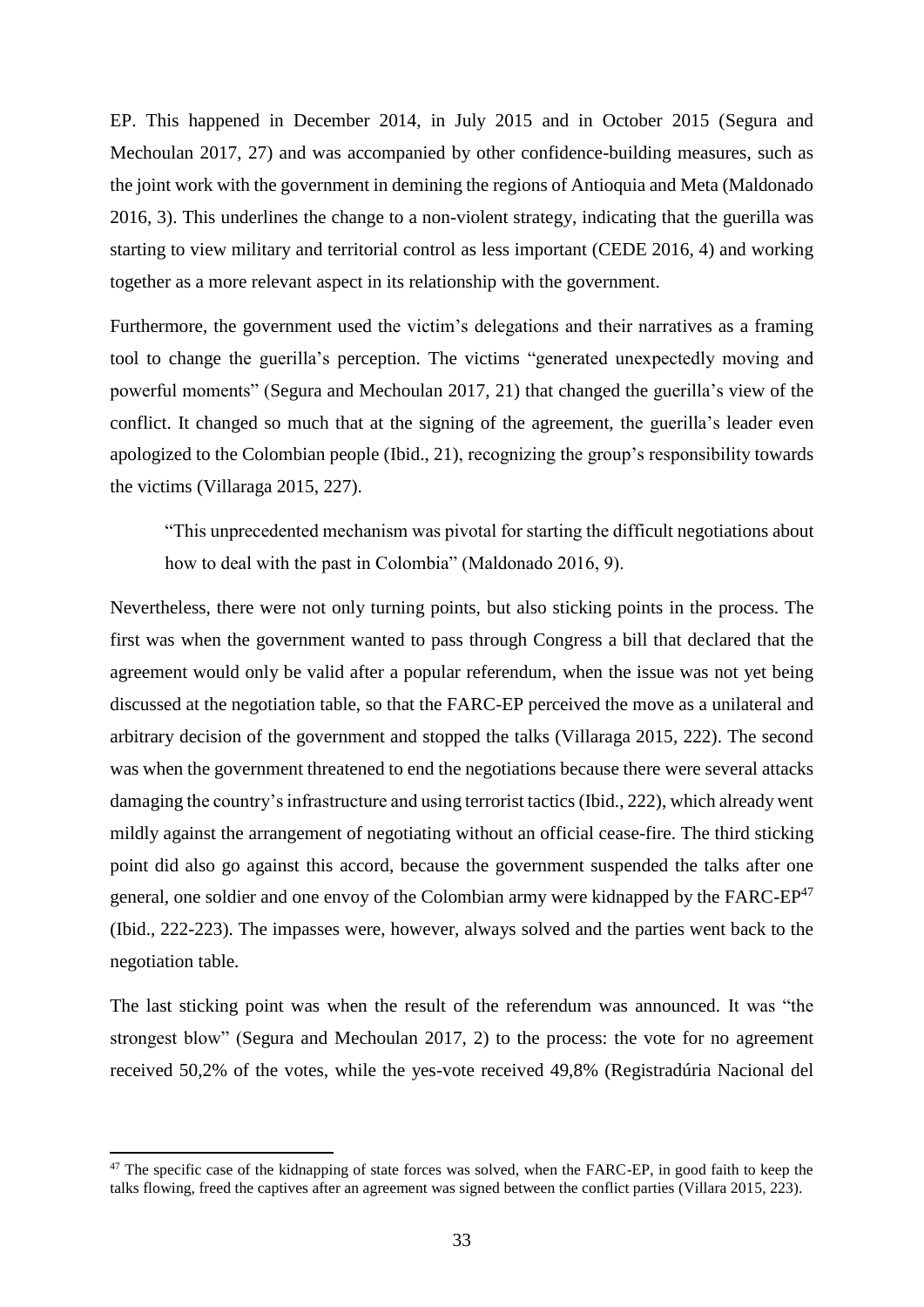EP. This happened in December 2014, in July 2015 and in October 2015 (Segura and Mechoulan 2017, 27) and was accompanied by other confidence-building measures, such as the joint work with the government in demining the regions of Antioquia and Meta (Maldonado 2016, 3). This underlines the change to a non-violent strategy, indicating that the guerilla was starting to view military and territorial control as less important (CEDE 2016, 4) and working together as a more relevant aspect in its relationship with the government.

Furthermore, the government used the victim's delegations and their narratives as a framing tool to change the guerilla's perception. The victims "generated unexpectedly moving and powerful moments" (Segura and Mechoulan 2017, 21) that changed the guerilla's view of the conflict. It changed so much that at the signing of the agreement, the guerilla's leader even apologized to the Colombian people (Ibid., 21), recognizing the group's responsibility towards the victims (Villaraga 2015, 227).

"This unprecedented mechanism was pivotal for starting the difficult negotiations about how to deal with the past in Colombia" (Maldonado 2016, 9).

Nevertheless, there were not only turning points, but also sticking points in the process. The first was when the government wanted to pass through Congress a bill that declared that the agreement would only be valid after a popular referendum, when the issue was not yet being discussed at the negotiation table, so that the FARC-EP perceived the move as a unilateral and arbitrary decision of the government and stopped the talks (Villaraga 2015, 222). The second was when the government threatened to end the negotiations because there were several attacks damaging the country's infrastructure and using terrorist tactics (Ibid., 222), which already went mildly against the arrangement of negotiating without an official cease-fire. The third sticking point did also go against this accord, because the government suspended the talks after one general, one soldier and one envoy of the Colombian army were kidnapped by the  $FARC-EP<sup>47</sup>$ (Ibid., 222-223). The impasses were, however, always solved and the parties went back to the negotiation table.

The last sticking point was when the result of the referendum was announced. It was "the strongest blow" (Segura and Mechoulan 2017, 2) to the process: the vote for no agreement received 50,2% of the votes, while the yes-vote received 49,8% (Registradúria Nacional del

 $\overline{\phantom{a}}$ 

<sup>&</sup>lt;sup>47</sup> The specific case of the kidnapping of state forces was solved, when the FARC-EP, in good faith to keep the talks flowing, freed the captives after an agreement was signed between the conflict parties (Villara 2015, 223).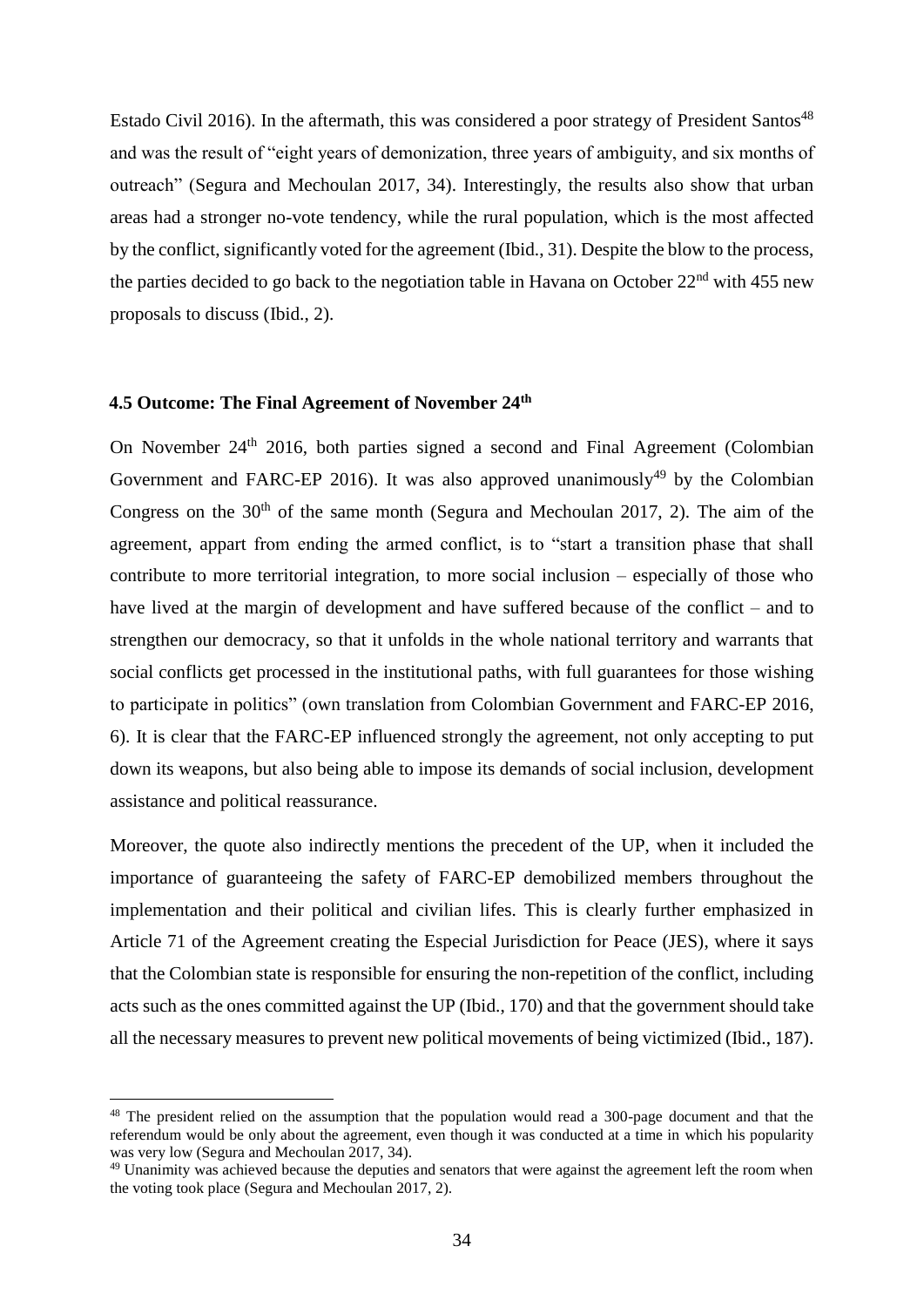Estado Civil 2016). In the aftermath, this was considered a poor strategy of President Santos $48$ and was the result of "eight years of demonization, three years of ambiguity, and six months of outreach" (Segura and Mechoulan 2017, 34). Interestingly, the results also show that urban areas had a stronger no-vote tendency, while the rural population, which is the most affected by the conflict, significantly voted for the agreement (Ibid., 31). Despite the blow to the process, the parties decided to go back to the negotiation table in Havana on October  $22<sup>nd</sup>$  with 455 new proposals to discuss (Ibid., 2).

# <span id="page-33-0"></span>**4.5 Outcome: The Final Agreement of November 24th**

 $\overline{\phantom{a}}$ 

On November 24<sup>th</sup> 2016, both parties signed a second and Final Agreement (Colombian Government and FARC-EP 2016). It was also approved unanimously<sup>49</sup> by the Colombian Congress on the  $30<sup>th</sup>$  of the same month (Segura and Mechoulan 2017, 2). The aim of the agreement, appart from ending the armed conflict, is to "start a transition phase that shall contribute to more territorial integration, to more social inclusion – especially of those who have lived at the margin of development and have suffered because of the conflict – and to strengthen our democracy, so that it unfolds in the whole national territory and warrants that social conflicts get processed in the institutional paths, with full guarantees for those wishing to participate in politics" (own translation from Colombian Government and FARC-EP 2016, 6). It is clear that the FARC-EP influenced strongly the agreement, not only accepting to put down its weapons, but also being able to impose its demands of social inclusion, development assistance and political reassurance.

Moreover, the quote also indirectly mentions the precedent of the UP, when it included the importance of guaranteeing the safety of FARC-EP demobilized members throughout the implementation and their political and civilian lifes. This is clearly further emphasized in Article 71 of the Agreement creating the Especial Jurisdiction for Peace (JES), where it says that the Colombian state is responsible for ensuring the non-repetition of the conflict, including acts such as the ones committed against the UP (Ibid., 170) and that the government should take all the necessary measures to prevent new political movements of being victimized (Ibid., 187).

<sup>&</sup>lt;sup>48</sup> The president relied on the assumption that the population would read a 300-page document and that the referendum would be only about the agreement, even though it was conducted at a time in which his popularity was very low (Segura and Mechoulan 2017, 34).

<sup>&</sup>lt;sup>49</sup> Unanimity was achieved because the deputies and senators that were against the agreement left the room when the voting took place (Segura and Mechoulan 2017, 2).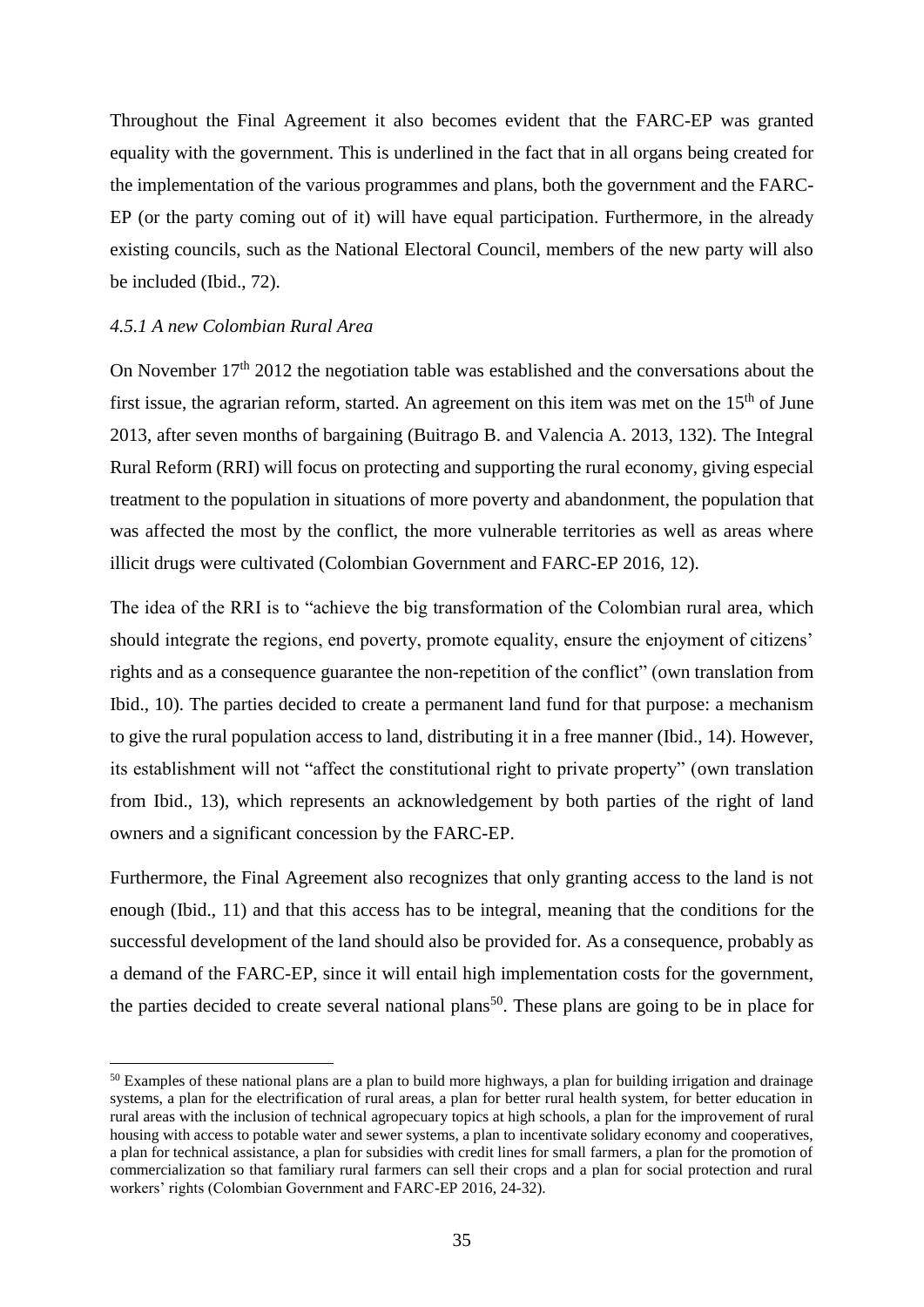Throughout the Final Agreement it also becomes evident that the FARC-EP was granted equality with the government. This is underlined in the fact that in all organs being created for the implementation of the various programmes and plans, both the government and the FARC-EP (or the party coming out of it) will have equal participation. Furthermore, in the already existing councils, such as the National Electoral Council, members of the new party will also be included (Ibid., 72).

## <span id="page-34-0"></span>*4.5.1 A new Colombian Rural Area*

l

On November  $17<sup>th</sup>$  2012 the negotiation table was established and the conversations about the first issue, the agrarian reform, started. An agreement on this item was met on the  $15<sup>th</sup>$  of June 2013, after seven months of bargaining (Buitrago B. and Valencia A. 2013, 132). The Integral Rural Reform (RRI) will focus on protecting and supporting the rural economy, giving especial treatment to the population in situations of more poverty and abandonment, the population that was affected the most by the conflict, the more vulnerable territories as well as areas where illicit drugs were cultivated (Colombian Government and FARC-EP 2016, 12).

The idea of the RRI is to "achieve the big transformation of the Colombian rural area, which should integrate the regions, end poverty, promote equality, ensure the enjoyment of citizens' rights and as a consequence guarantee the non-repetition of the conflict" (own translation from Ibid., 10). The parties decided to create a permanent land fund for that purpose: a mechanism to give the rural population access to land, distributing it in a free manner (Ibid., 14). However, its establishment will not "affect the constitutional right to private property" (own translation from Ibid., 13), which represents an acknowledgement by both parties of the right of land owners and a significant concession by the FARC-EP.

Furthermore, the Final Agreement also recognizes that only granting access to the land is not enough (Ibid., 11) and that this access has to be integral, meaning that the conditions for the successful development of the land should also be provided for. As a consequence, probably as a demand of the FARC-EP, since it will entail high implementation costs for the government, the parties decided to create several national plans<sup>50</sup>. These plans are going to be in place for

<sup>&</sup>lt;sup>50</sup> Examples of these national plans are a plan to build more highways, a plan for building irrigation and drainage systems, a plan for the electrification of rural areas, a plan for better rural health system, for better education in rural areas with the inclusion of technical agropecuary topics at high schools, a plan for the improvement of rural housing with access to potable water and sewer systems, a plan to incentivate solidary economy and cooperatives, a plan for technical assistance, a plan for subsidies with credit lines for small farmers, a plan for the promotion of commercialization so that familiary rural farmers can sell their crops and a plan for social protection and rural workers' rights (Colombian Government and FARC-EP 2016, 24-32).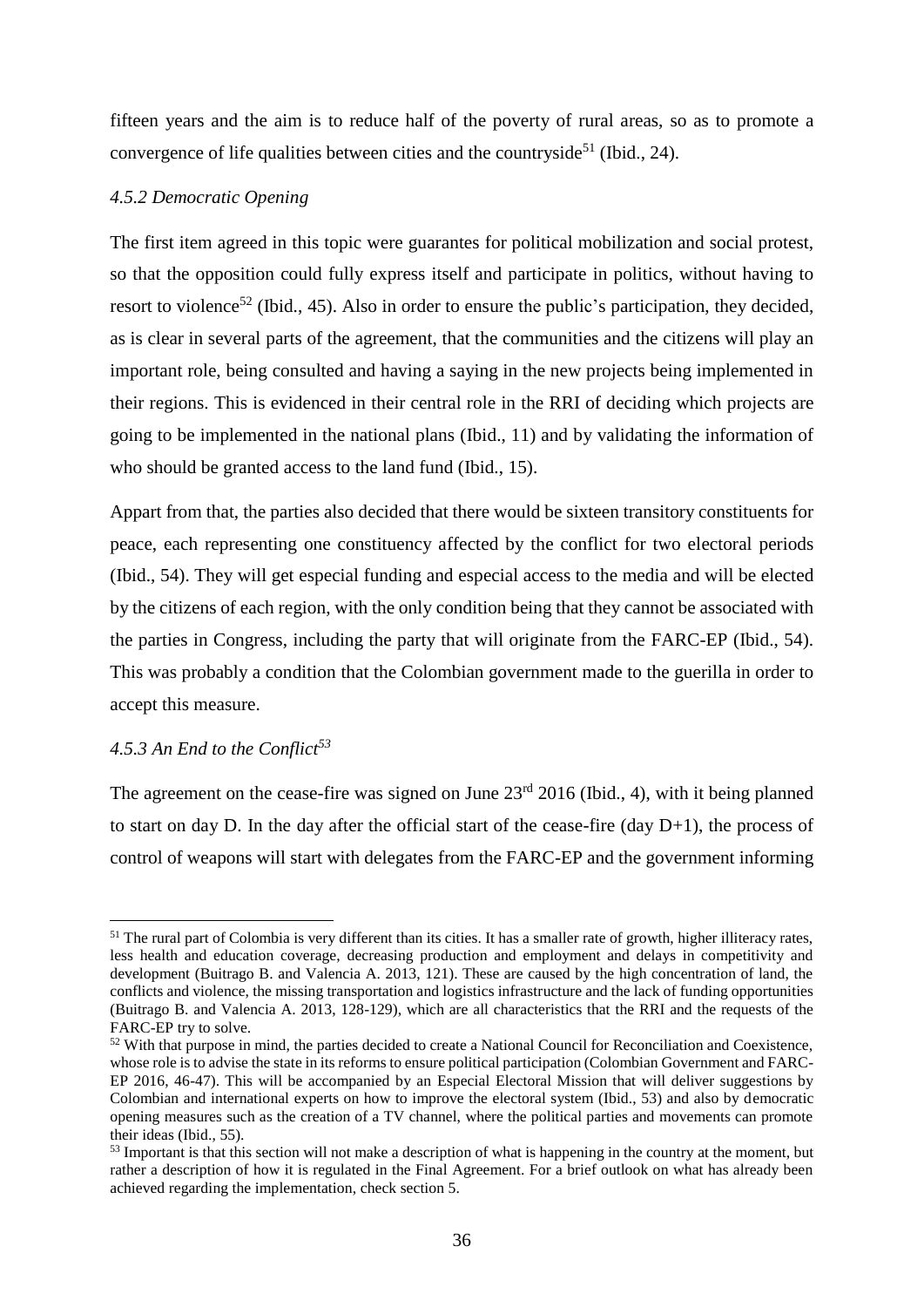fifteen years and the aim is to reduce half of the poverty of rural areas, so as to promote a convergence of life qualities between cities and the countryside<sup>51</sup> (Ibid., 24).

# <span id="page-35-0"></span>*4.5.2 Democratic Opening*

The first item agreed in this topic were guarantes for political mobilization and social protest, so that the opposition could fully express itself and participate in politics, without having to resort to violence<sup>52</sup> (Ibid., 45). Also in order to ensure the public's participation, they decided, as is clear in several parts of the agreement, that the communities and the citizens will play an important role, being consulted and having a saying in the new projects being implemented in their regions. This is evidenced in their central role in the RRI of deciding which projects are going to be implemented in the national plans (Ibid., 11) and by validating the information of who should be granted access to the land fund (Ibid., 15).

Appart from that, the parties also decided that there would be sixteen transitory constituents for peace, each representing one constituency affected by the conflict for two electoral periods (Ibid., 54). They will get especial funding and especial access to the media and will be elected by the citizens of each region, with the only condition being that they cannot be associated with the parties in Congress, including the party that will originate from the FARC-EP (Ibid., 54). This was probably a condition that the Colombian government made to the guerilla in order to accept this measure.

# <span id="page-35-1"></span>*4.5.3 An End to the Conflict<sup>53</sup>*

 $\overline{a}$ 

The agreement on the cease-fire was signed on June  $23<sup>rd</sup> 2016$  (Ibid., 4), with it being planned to start on day D. In the day after the official start of the cease-fire (day  $D+1$ ), the process of control of weapons will start with delegates from the FARC-EP and the government informing

<sup>&</sup>lt;sup>51</sup> The rural part of Colombia is very different than its cities. It has a smaller rate of growth, higher illiteracy rates, less health and education coverage, decreasing production and employment and delays in competitivity and development (Buitrago B. and Valencia A. 2013, 121). These are caused by the high concentration of land, the conflicts and violence, the missing transportation and logistics infrastructure and the lack of funding opportunities (Buitrago B. and Valencia A. 2013, 128-129), which are all characteristics that the RRI and the requests of the FARC-EP try to solve.

<sup>&</sup>lt;sup>52</sup> With that purpose in mind, the parties decided to create a National Council for Reconciliation and Coexistence, whose role is to advise the state in its reforms to ensure political participation (Colombian Government and FARC-EP 2016, 46-47). This will be accompanied by an Especial Electoral Mission that will deliver suggestions by Colombian and international experts on how to improve the electoral system (Ibid., 53) and also by democratic opening measures such as the creation of a TV channel, where the political parties and movements can promote their ideas (Ibid., 55).

<sup>&</sup>lt;sup>53</sup> Important is that this section will not make a description of what is happening in the country at the moment, but rather a description of how it is regulated in the Final Agreement. For a brief outlook on what has already been achieved regarding the implementation, check section 5.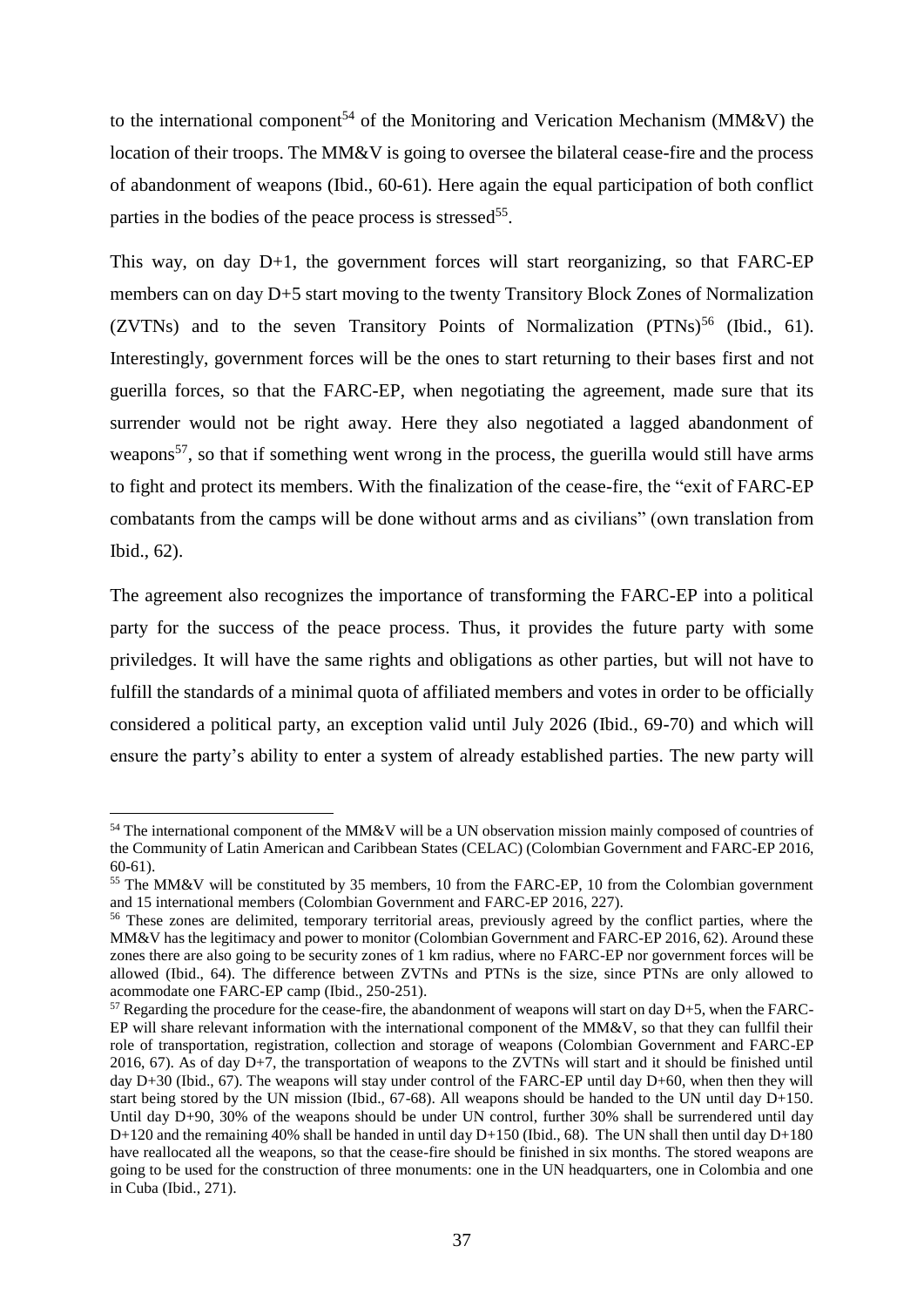to the international component<sup>54</sup> of the Monitoring and Verication Mechanism (MM&V) the location of their troops. The MM&V is going to oversee the bilateral cease-fire and the process of abandonment of weapons (Ibid., 60-61). Here again the equal participation of both conflict parties in the bodies of the peace process is stressed<sup>55</sup>.

This way, on day D+1, the government forces will start reorganizing, so that FARC-EP members can on day D+5 start moving to the twenty Transitory Block Zones of Normalization (ZVTNs) and to the seven Transitory Points of Normalization  $(PTNs)^{56}$  (Ibid., 61). Interestingly, government forces will be the ones to start returning to their bases first and not guerilla forces, so that the FARC-EP, when negotiating the agreement, made sure that its surrender would not be right away. Here they also negotiated a lagged abandonment of weapons<sup>57</sup>, so that if something went wrong in the process, the guerilla would still have arms to fight and protect its members. With the finalization of the cease-fire, the "exit of FARC-EP combatants from the camps will be done without arms and as civilians" (own translation from Ibid., 62).

The agreement also recognizes the importance of transforming the FARC-EP into a political party for the success of the peace process. Thus, it provides the future party with some priviledges. It will have the same rights and obligations as other parties, but will not have to fulfill the standards of a minimal quota of affiliated members and votes in order to be officially considered a political party, an exception valid until July 2026 (Ibid., 69-70) and which will ensure the party's ability to enter a system of already established parties. The new party will

 $\overline{a}$ 

<sup>54</sup> The international component of the MM&V will be a UN observation mission mainly composed of countries of the Community of Latin American and Caribbean States (CELAC) (Colombian Government and FARC-EP 2016, 60-61).

<sup>55</sup> The MM&V will be constituted by 35 members, 10 from the FARC-EP, 10 from the Colombian government and 15 international members (Colombian Government and FARC-EP 2016, 227).

<sup>&</sup>lt;sup>56</sup> These zones are delimited, temporary territorial areas, previously agreed by the conflict parties, where the MM&V has the legitimacy and power to monitor (Colombian Government and FARC-EP 2016, 62). Around these zones there are also going to be security zones of 1 km radius, where no FARC-EP nor government forces will be allowed (Ibid., 64). The difference between ZVTNs and PTNs is the size, since PTNs are only allowed to acommodate one FARC-EP camp (Ibid., 250-251).

 $57$  Regarding the procedure for the cease-fire, the abandonment of weapons will start on day D+5, when the FARC-EP will share relevant information with the international component of the MM&V, so that they can fullfil their role of transportation, registration, collection and storage of weapons (Colombian Government and FARC-EP 2016, 67). As of day D+7, the transportation of weapons to the ZVTNs will start and it should be finished until day D+30 (Ibid., 67). The weapons will stay under control of the FARC-EP until day D+60, when then they will start being stored by the UN mission (Ibid., 67-68). All weapons should be handed to the UN until day D+150. Until day D+90, 30% of the weapons should be under UN control, further 30% shall be surrendered until day D+120 and the remaining 40% shall be handed in until day D+150 (Ibid., 68). The UN shall then until day D+180 have reallocated all the weapons, so that the cease-fire should be finished in six months. The stored weapons are going to be used for the construction of three monuments: one in the UN headquarters, one in Colombia and one in Cuba (Ibid., 271).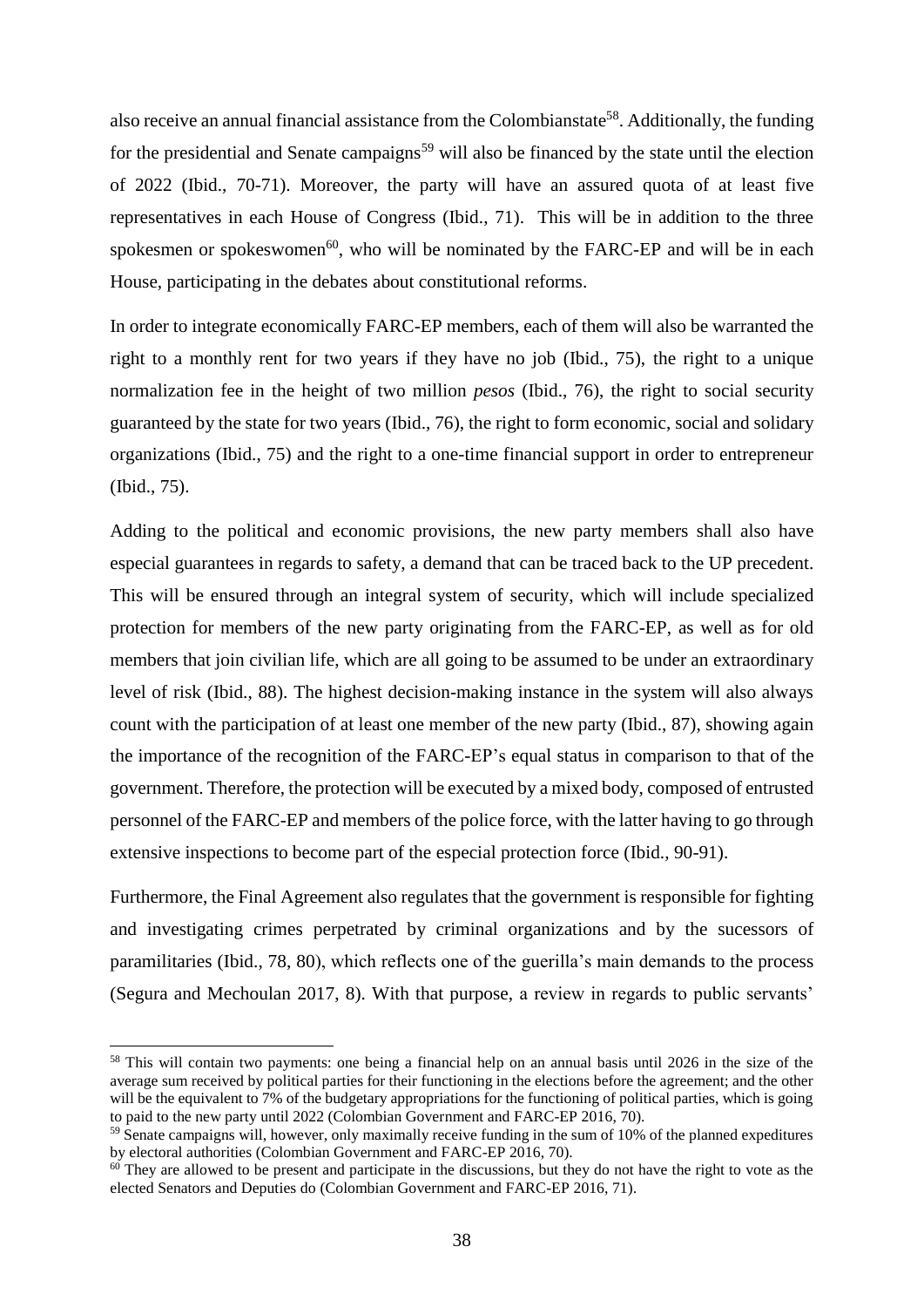also receive an annual financial assistance from the Colombianstate<sup>58</sup>. Additionally, the funding for the presidential and Senate campaigns<sup>59</sup> will also be financed by the state until the election of 2022 (Ibid., 70-71). Moreover, the party will have an assured quota of at least five representatives in each House of Congress (Ibid., 71). This will be in addition to the three spokesmen or spokeswomen<sup>60</sup>, who will be nominated by the FARC-EP and will be in each House, participating in the debates about constitutional reforms.

In order to integrate economically FARC-EP members, each of them will also be warranted the right to a monthly rent for two years if they have no job (Ibid., 75), the right to a unique normalization fee in the height of two million *pesos* (Ibid., 76), the right to social security guaranteed by the state for two years (Ibid., 76), the right to form economic, social and solidary organizations (Ibid., 75) and the right to a one-time financial support in order to entrepreneur (Ibid., 75).

Adding to the political and economic provisions, the new party members shall also have especial guarantees in regards to safety, a demand that can be traced back to the UP precedent. This will be ensured through an integral system of security, which will include specialized protection for members of the new party originating from the FARC-EP, as well as for old members that join civilian life, which are all going to be assumed to be under an extraordinary level of risk (Ibid., 88). The highest decision-making instance in the system will also always count with the participation of at least one member of the new party (Ibid., 87), showing again the importance of the recognition of the FARC-EP's equal status in comparison to that of the government. Therefore, the protection will be executed by a mixed body, composed of entrusted personnel of the FARC-EP and members of the police force, with the latter having to go through extensive inspections to become part of the especial protection force (Ibid., 90-91).

Furthermore, the Final Agreement also regulates that the government is responsible for fighting and investigating crimes perpetrated by criminal organizations and by the sucessors of paramilitaries (Ibid., 78, 80), which reflects one of the guerilla's main demands to the process (Segura and Mechoulan 2017, 8). With that purpose, a review in regards to public servants'

 $\overline{\phantom{a}}$ 

<sup>&</sup>lt;sup>58</sup> This will contain two payments: one being a financial help on an annual basis until 2026 in the size of the average sum received by political parties for their functioning in the elections before the agreement; and the other will be the equivalent to 7% of the budgetary appropriations for the functioning of political parties, which is going to paid to the new party until 2022 (Colombian Government and FARC-EP 2016, 70).

<sup>&</sup>lt;sup>59</sup> Senate campaigns will, however, only maximally receive funding in the sum of 10% of the planned expeditures by electoral authorities (Colombian Government and FARC-EP 2016, 70).

 $60$  They are allowed to be present and participate in the discussions, but they do not have the right to vote as the elected Senators and Deputies do (Colombian Government and FARC-EP 2016, 71).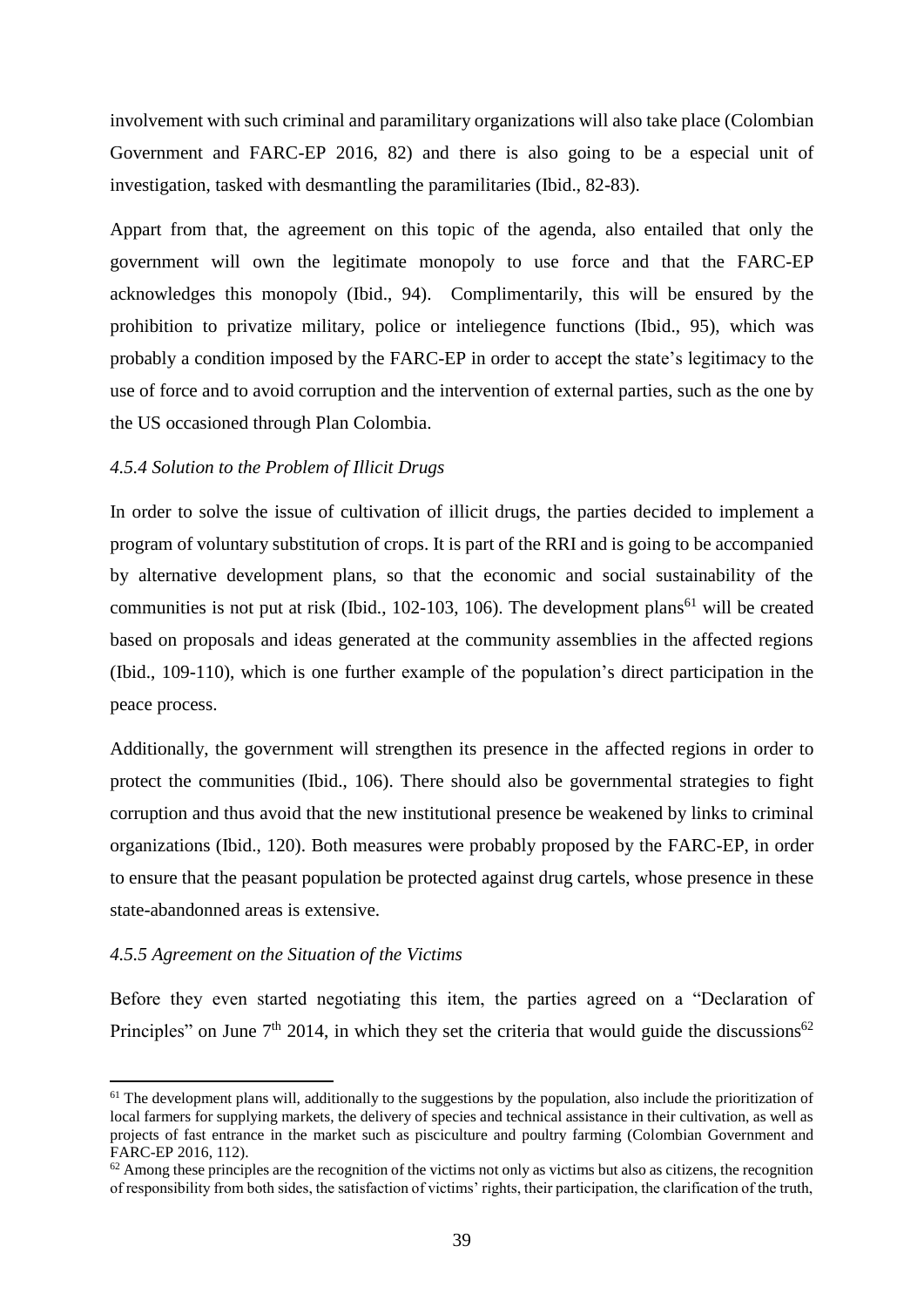involvement with such criminal and paramilitary organizations will also take place (Colombian Government and FARC-EP 2016, 82) and there is also going to be a especial unit of investigation, tasked with desmantling the paramilitaries (Ibid., 82-83).

Appart from that, the agreement on this topic of the agenda, also entailed that only the government will own the legitimate monopoly to use force and that the FARC-EP acknowledges this monopoly (Ibid., 94). Complimentarily, this will be ensured by the prohibition to privatize military, police or inteliegence functions (Ibid., 95), which was probably a condition imposed by the FARC-EP in order to accept the state's legitimacy to the use of force and to avoid corruption and the intervention of external parties, such as the one by the US occasioned through Plan Colombia.

## <span id="page-38-0"></span>*4.5.4 Solution to the Problem of Illicit Drugs*

In order to solve the issue of cultivation of illicit drugs, the parties decided to implement a program of voluntary substitution of crops. It is part of the RRI and is going to be accompanied by alternative development plans, so that the economic and social sustainability of the communities is not put at risk (Ibid.,  $102-103$ ,  $106$ ). The development plans<sup>61</sup> will be created based on proposals and ideas generated at the community assemblies in the affected regions (Ibid., 109-110), which is one further example of the population's direct participation in the peace process.

Additionally, the government will strengthen its presence in the affected regions in order to protect the communities (Ibid., 106). There should also be governmental strategies to fight corruption and thus avoid that the new institutional presence be weakened by links to criminal organizations (Ibid., 120). Both measures were probably proposed by the FARC-EP, in order to ensure that the peasant population be protected against drug cartels, whose presence in these state-abandonned areas is extensive.

#### <span id="page-38-1"></span>*4.5.5 Agreement on the Situation of the Victims*

 $\overline{a}$ 

Before they even started negotiating this item, the parties agreed on a "Declaration of Principles" on June  $7<sup>th</sup>$  2014, in which they set the criteria that would guide the discussions<sup>62</sup>

<sup>&</sup>lt;sup>61</sup> The development plans will, additionally to the suggestions by the population, also include the prioritization of local farmers for supplying markets, the delivery of species and technical assistance in their cultivation, as well as projects of fast entrance in the market such as pisciculture and poultry farming (Colombian Government and FARC-EP 2016, 112).

 $62$  Among these principles are the recognition of the victims not only as victims but also as citizens, the recognition of responsibility from both sides, the satisfaction of victims' rights, their participation, the clarification of the truth,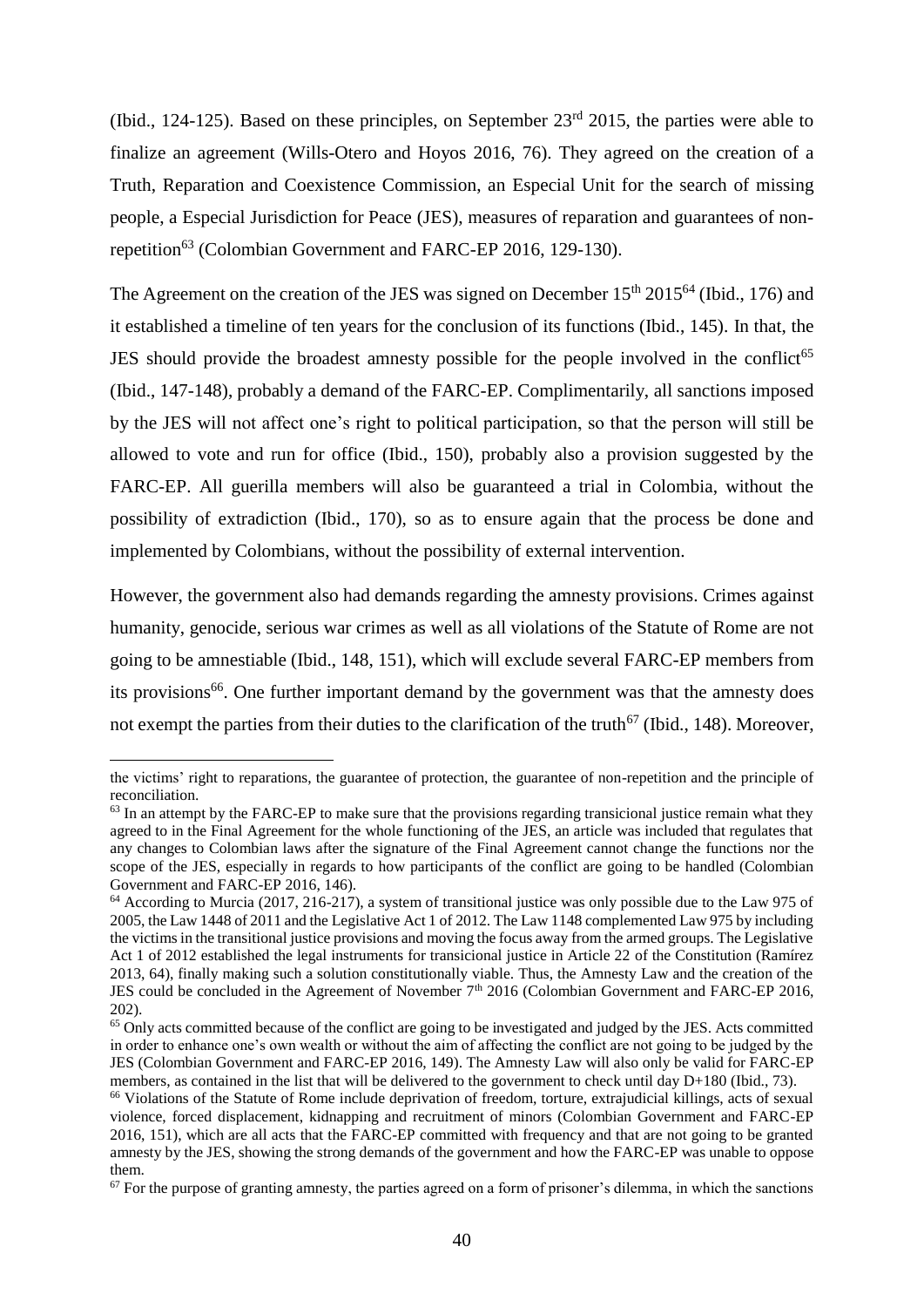(Ibid., 124-125). Based on these principles, on September  $23<sup>rd</sup>$  2015, the parties were able to finalize an agreement (Wills-Otero and Hoyos 2016, 76). They agreed on the creation of a Truth, Reparation and Coexistence Commission, an Especial Unit for the search of missing people, a Especial Jurisdiction for Peace (JES), measures of reparation and guarantees of nonrepetition<sup>63</sup> (Colombian Government and FARC-EP 2016, 129-130).

The Agreement on the creation of the JES was signed on December  $15<sup>th</sup> 2015<sup>64</sup>$  (Ibid., 176) and it established a timeline of ten years for the conclusion of its functions (Ibid., 145). In that, the JES should provide the broadest amnesty possible for the people involved in the conflict<sup>65</sup> (Ibid., 147-148), probably a demand of the FARC-EP. Complimentarily, all sanctions imposed by the JES will not affect one's right to political participation, so that the person will still be allowed to vote and run for office (Ibid., 150), probably also a provision suggested by the FARC-EP. All guerilla members will also be guaranteed a trial in Colombia, without the possibility of extradiction (Ibid., 170), so as to ensure again that the process be done and implemented by Colombians, without the possibility of external intervention.

However, the government also had demands regarding the amnesty provisions. Crimes against humanity, genocide, serious war crimes as well as all violations of the Statute of Rome are not going to be amnestiable (Ibid., 148, 151), which will exclude several FARC-EP members from its provisions<sup>66</sup>. One further important demand by the government was that the amnesty does not exempt the parties from their duties to the clarification of the truth<sup>67</sup> (Ibid., 148). Moreover,

 $\overline{\phantom{a}}$ 

the victims' right to reparations, the guarantee of protection, the guarantee of non-repetition and the principle of reconciliation.

<sup>&</sup>lt;sup>63</sup> In an attempt by the FARC-EP to make sure that the provisions regarding transicional justice remain what they agreed to in the Final Agreement for the whole functioning of the JES, an article was included that regulates that any changes to Colombian laws after the signature of the Final Agreement cannot change the functions nor the scope of the JES, especially in regards to how participants of the conflict are going to be handled (Colombian Government and FARC-EP 2016, 146).

<sup>&</sup>lt;sup>64</sup> According to Murcia (2017, 216-217), a system of transitional justice was only possible due to the Law 975 of 2005, the Law 1448 of 2011 and the Legislative Act 1 of 2012. The Law 1148 complemented Law 975 by including the victims in the transitional justice provisions and moving the focus away from the armed groups. The Legislative Act 1 of 2012 established the legal instruments for transicional justice in Article 22 of the Constitution (Ramírez 2013, 64), finally making such a solution constitutionally viable. Thus, the Amnesty Law and the creation of the JES could be concluded in the Agreement of November 7<sup>th</sup> 2016 (Colombian Government and FARC-EP 2016, 202).

<sup>&</sup>lt;sup>65</sup> Only acts committed because of the conflict are going to be investigated and judged by the JES. Acts committed in order to enhance one's own wealth or without the aim of affecting the conflict are not going to be judged by the JES (Colombian Government and FARC-EP 2016, 149). The Amnesty Law will also only be valid for FARC-EP members, as contained in the list that will be delivered to the government to check until day D+180 (Ibid., 73).

<sup>66</sup> Violations of the Statute of Rome include deprivation of freedom, torture, extrajudicial killings, acts of sexual violence, forced displacement, kidnapping and recruitment of minors (Colombian Government and FARC-EP 2016, 151), which are all acts that the FARC-EP committed with frequency and that are not going to be granted amnesty by the JES, showing the strong demands of the government and how the FARC-EP was unable to oppose them.

 $67$  For the purpose of granting amnesty, the parties agreed on a form of prisoner's dilemma, in which the sanctions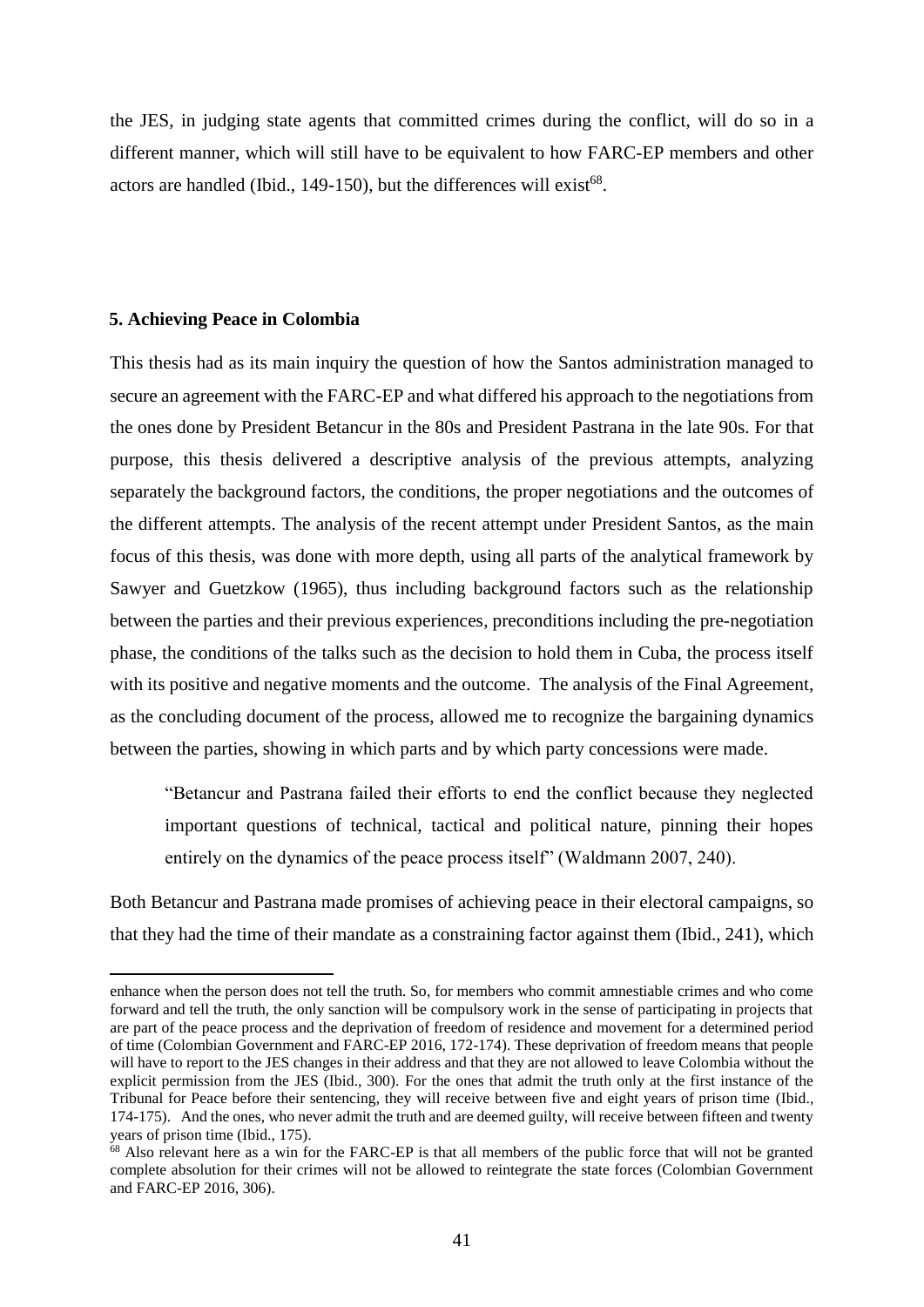the JES, in judging state agents that committed crimes during the conflict, will do so in a different manner, which will still have to be equivalent to how FARC-EP members and other actors are handled (Ibid., 149-150), but the differences will exist<sup>68</sup>.

## <span id="page-40-0"></span>**5. Achieving Peace in Colombia**

 $\overline{a}$ 

This thesis had as its main inquiry the question of how the Santos administration managed to secure an agreement with the FARC-EP and what differed his approach to the negotiations from the ones done by President Betancur in the 80s and President Pastrana in the late 90s. For that purpose, this thesis delivered a descriptive analysis of the previous attempts, analyzing separately the background factors, the conditions, the proper negotiations and the outcomes of the different attempts. The analysis of the recent attempt under President Santos, as the main focus of this thesis, was done with more depth, using all parts of the analytical framework by Sawyer and Guetzkow (1965), thus including background factors such as the relationship between the parties and their previous experiences, preconditions including the pre-negotiation phase, the conditions of the talks such as the decision to hold them in Cuba, the process itself with its positive and negative moments and the outcome. The analysis of the Final Agreement, as the concluding document of the process, allowed me to recognize the bargaining dynamics between the parties, showing in which parts and by which party concessions were made.

"Betancur and Pastrana failed their efforts to end the conflict because they neglected important questions of technical, tactical and political nature, pinning their hopes entirely on the dynamics of the peace process itself" (Waldmann 2007, 240).

Both Betancur and Pastrana made promises of achieving peace in their electoral campaigns, so that they had the time of their mandate as a constraining factor against them (Ibid., 241), which

enhance when the person does not tell the truth. So, for members who commit amnestiable crimes and who come forward and tell the truth, the only sanction will be compulsory work in the sense of participating in projects that are part of the peace process and the deprivation of freedom of residence and movement for a determined period of time (Colombian Government and FARC-EP 2016, 172-174). These deprivation of freedom means that people will have to report to the JES changes in their address and that they are not allowed to leave Colombia without the explicit permission from the JES (Ibid., 300). For the ones that admit the truth only at the first instance of the Tribunal for Peace before their sentencing, they will receive between five and eight years of prison time (Ibid., 174-175). And the ones, who never admit the truth and are deemed guilty, will receive between fifteen and twenty years of prison time (Ibid., 175).

<sup>&</sup>lt;sup>68</sup> Also relevant here as a win for the FARC-EP is that all members of the public force that will not be granted complete absolution for their crimes will not be allowed to reintegrate the state forces (Colombian Government and FARC-EP 2016, 306).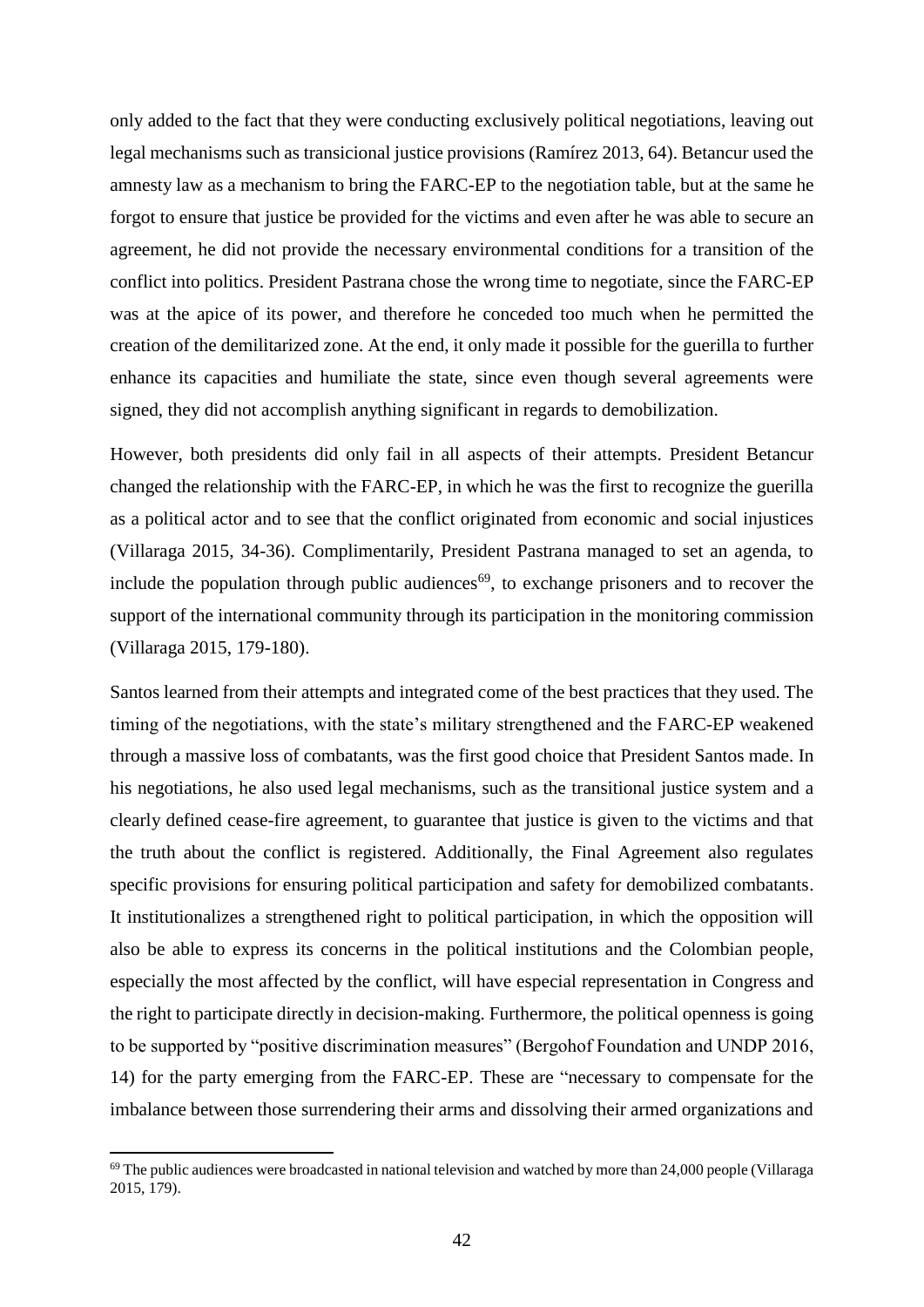only added to the fact that they were conducting exclusively political negotiations, leaving out legal mechanisms such as transicional justice provisions (Ramírez 2013, 64). Betancur used the amnesty law as a mechanism to bring the FARC-EP to the negotiation table, but at the same he forgot to ensure that justice be provided for the victims and even after he was able to secure an agreement, he did not provide the necessary environmental conditions for a transition of the conflict into politics. President Pastrana chose the wrong time to negotiate, since the FARC-EP was at the apice of its power, and therefore he conceded too much when he permitted the creation of the demilitarized zone. At the end, it only made it possible for the guerilla to further enhance its capacities and humiliate the state, since even though several agreements were signed, they did not accomplish anything significant in regards to demobilization.

However, both presidents did only fail in all aspects of their attempts. President Betancur changed the relationship with the FARC-EP, in which he was the first to recognize the guerilla as a political actor and to see that the conflict originated from economic and social injustices (Villaraga 2015, 34-36). Complimentarily, President Pastrana managed to set an agenda, to include the population through public audiences<sup>69</sup>, to exchange prisoners and to recover the support of the international community through its participation in the monitoring commission (Villaraga 2015, 179-180).

Santos learned from their attempts and integrated come of the best practices that they used. The timing of the negotiations, with the state's military strengthened and the FARC-EP weakened through a massive loss of combatants, was the first good choice that President Santos made. In his negotiations, he also used legal mechanisms, such as the transitional justice system and a clearly defined cease-fire agreement, to guarantee that justice is given to the victims and that the truth about the conflict is registered. Additionally, the Final Agreement also regulates specific provisions for ensuring political participation and safety for demobilized combatants. It institutionalizes a strengthened right to political participation, in which the opposition will also be able to express its concerns in the political institutions and the Colombian people, especially the most affected by the conflict, will have especial representation in Congress and the right to participate directly in decision-making. Furthermore, the political openness is going to be supported by "positive discrimination measures" (Bergohof Foundation and UNDP 2016, 14) for the party emerging from the FARC-EP. These are "necessary to compensate for the imbalance between those surrendering their arms and dissolving their armed organizations and

 $\overline{\phantom{a}}$ 

 $69$  The public audiences were broadcasted in national television and watched by more than 24,000 people (Villaraga 2015, 179).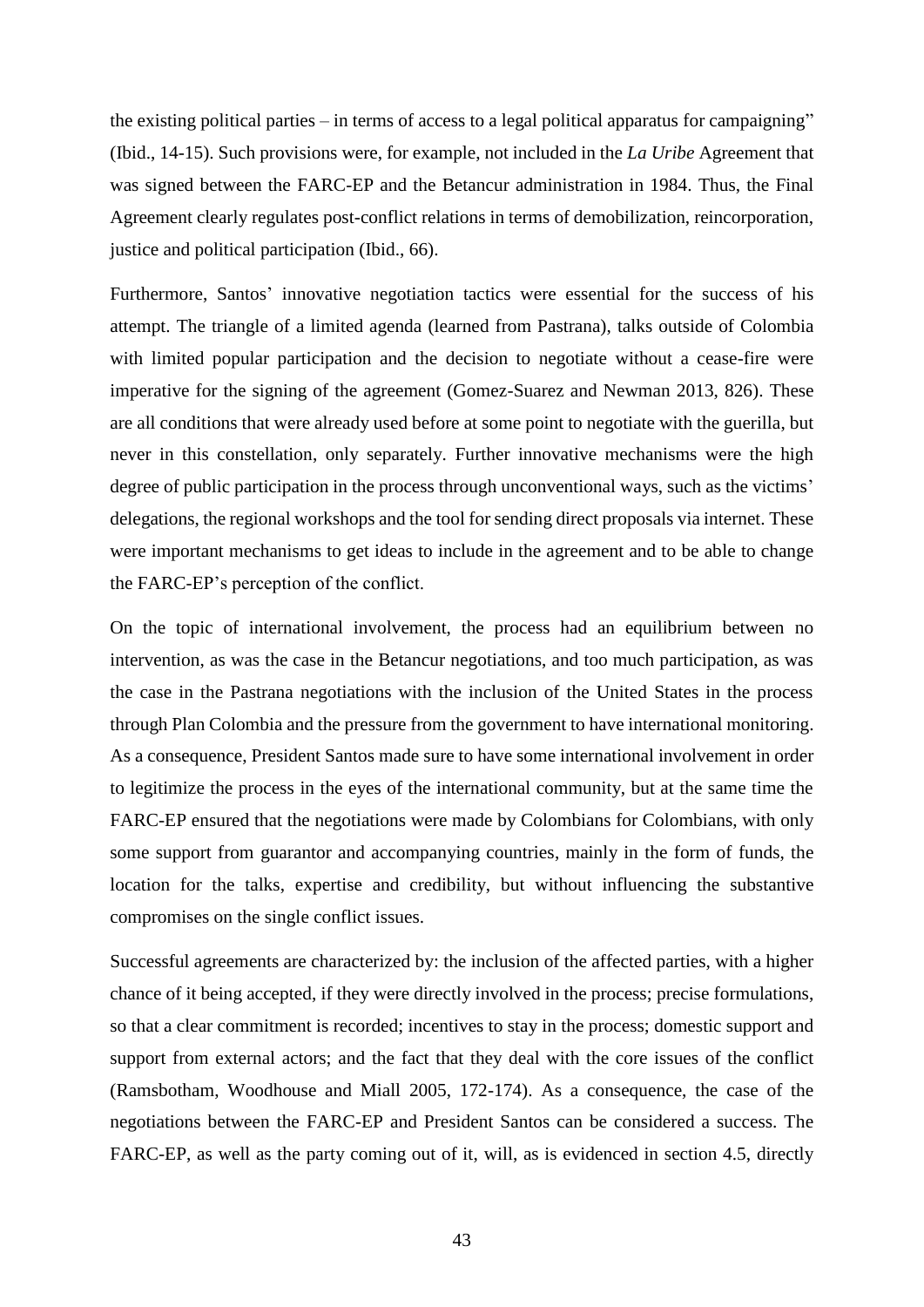the existing political parties – in terms of access to a legal political apparatus for campaigning" (Ibid., 14-15). Such provisions were, for example, not included in the *La Uribe* Agreement that was signed between the FARC-EP and the Betancur administration in 1984. Thus, the Final Agreement clearly regulates post-conflict relations in terms of demobilization, reincorporation, justice and political participation (Ibid., 66).

Furthermore, Santos' innovative negotiation tactics were essential for the success of his attempt. The triangle of a limited agenda (learned from Pastrana), talks outside of Colombia with limited popular participation and the decision to negotiate without a cease-fire were imperative for the signing of the agreement (Gomez-Suarez and Newman 2013, 826). These are all conditions that were already used before at some point to negotiate with the guerilla, but never in this constellation, only separately. Further innovative mechanisms were the high degree of public participation in the process through unconventional ways, such as the victims' delegations, the regional workshops and the tool for sending direct proposals via internet. These were important mechanisms to get ideas to include in the agreement and to be able to change the FARC-EP's perception of the conflict.

On the topic of international involvement, the process had an equilibrium between no intervention, as was the case in the Betancur negotiations, and too much participation, as was the case in the Pastrana negotiations with the inclusion of the United States in the process through Plan Colombia and the pressure from the government to have international monitoring. As a consequence, President Santos made sure to have some international involvement in order to legitimize the process in the eyes of the international community, but at the same time the FARC-EP ensured that the negotiations were made by Colombians for Colombians, with only some support from guarantor and accompanying countries, mainly in the form of funds, the location for the talks, expertise and credibility, but without influencing the substantive compromises on the single conflict issues.

Successful agreements are characterized by: the inclusion of the affected parties, with a higher chance of it being accepted, if they were directly involved in the process; precise formulations, so that a clear commitment is recorded; incentives to stay in the process; domestic support and support from external actors; and the fact that they deal with the core issues of the conflict (Ramsbotham, Woodhouse and Miall 2005, 172-174). As a consequence, the case of the negotiations between the FARC-EP and President Santos can be considered a success. The FARC-EP, as well as the party coming out of it, will, as is evidenced in section 4.5, directly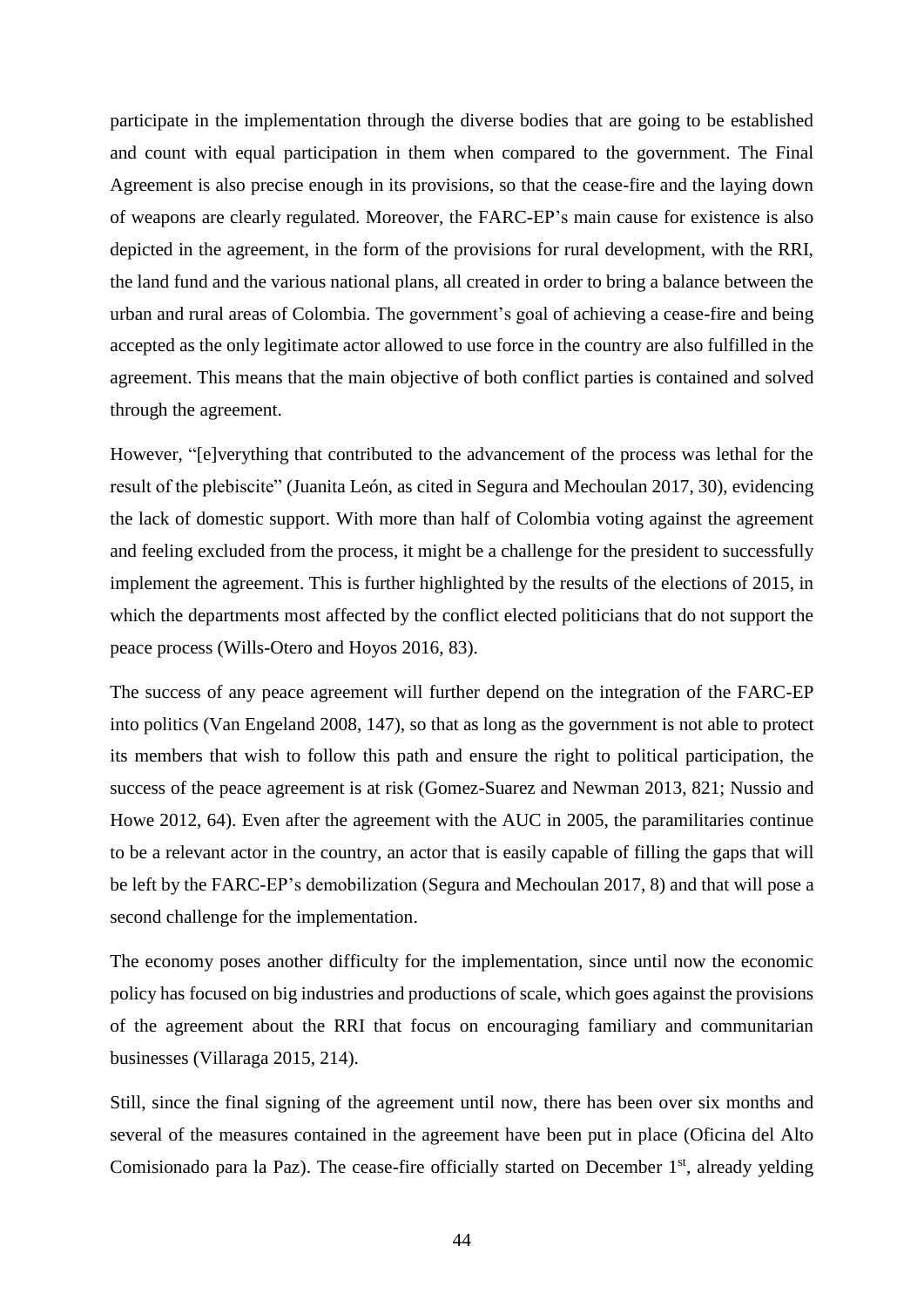participate in the implementation through the diverse bodies that are going to be established and count with equal participation in them when compared to the government. The Final Agreement is also precise enough in its provisions, so that the cease-fire and the laying down of weapons are clearly regulated. Moreover, the FARC-EP's main cause for existence is also depicted in the agreement, in the form of the provisions for rural development, with the RRI, the land fund and the various national plans, all created in order to bring a balance between the urban and rural areas of Colombia. The government's goal of achieving a cease-fire and being accepted as the only legitimate actor allowed to use force in the country are also fulfilled in the agreement. This means that the main objective of both conflict parties is contained and solved through the agreement.

However, "[e]verything that contributed to the advancement of the process was lethal for the result of the plebiscite" (Juanita León, as cited in Segura and Mechoulan 2017, 30), evidencing the lack of domestic support. With more than half of Colombia voting against the agreement and feeling excluded from the process, it might be a challenge for the president to successfully implement the agreement. This is further highlighted by the results of the elections of 2015, in which the departments most affected by the conflict elected politicians that do not support the peace process (Wills-Otero and Hoyos 2016, 83).

The success of any peace agreement will further depend on the integration of the FARC-EP into politics (Van Engeland 2008, 147), so that as long as the government is not able to protect its members that wish to follow this path and ensure the right to political participation, the success of the peace agreement is at risk (Gomez-Suarez and Newman 2013, 821; Nussio and Howe 2012, 64). Even after the agreement with the AUC in 2005, the paramilitaries continue to be a relevant actor in the country, an actor that is easily capable of filling the gaps that will be left by the FARC-EP's demobilization (Segura and Mechoulan 2017, 8) and that will pose a second challenge for the implementation.

The economy poses another difficulty for the implementation, since until now the economic policy has focused on big industries and productions of scale, which goes against the provisions of the agreement about the RRI that focus on encouraging familiary and communitarian businesses (Villaraga 2015, 214).

Still, since the final signing of the agreement until now, there has been over six months and several of the measures contained in the agreement have been put in place (Oficina del Alto Comisionado para la Paz). The cease-fire officially started on December 1<sup>st</sup>, already yelding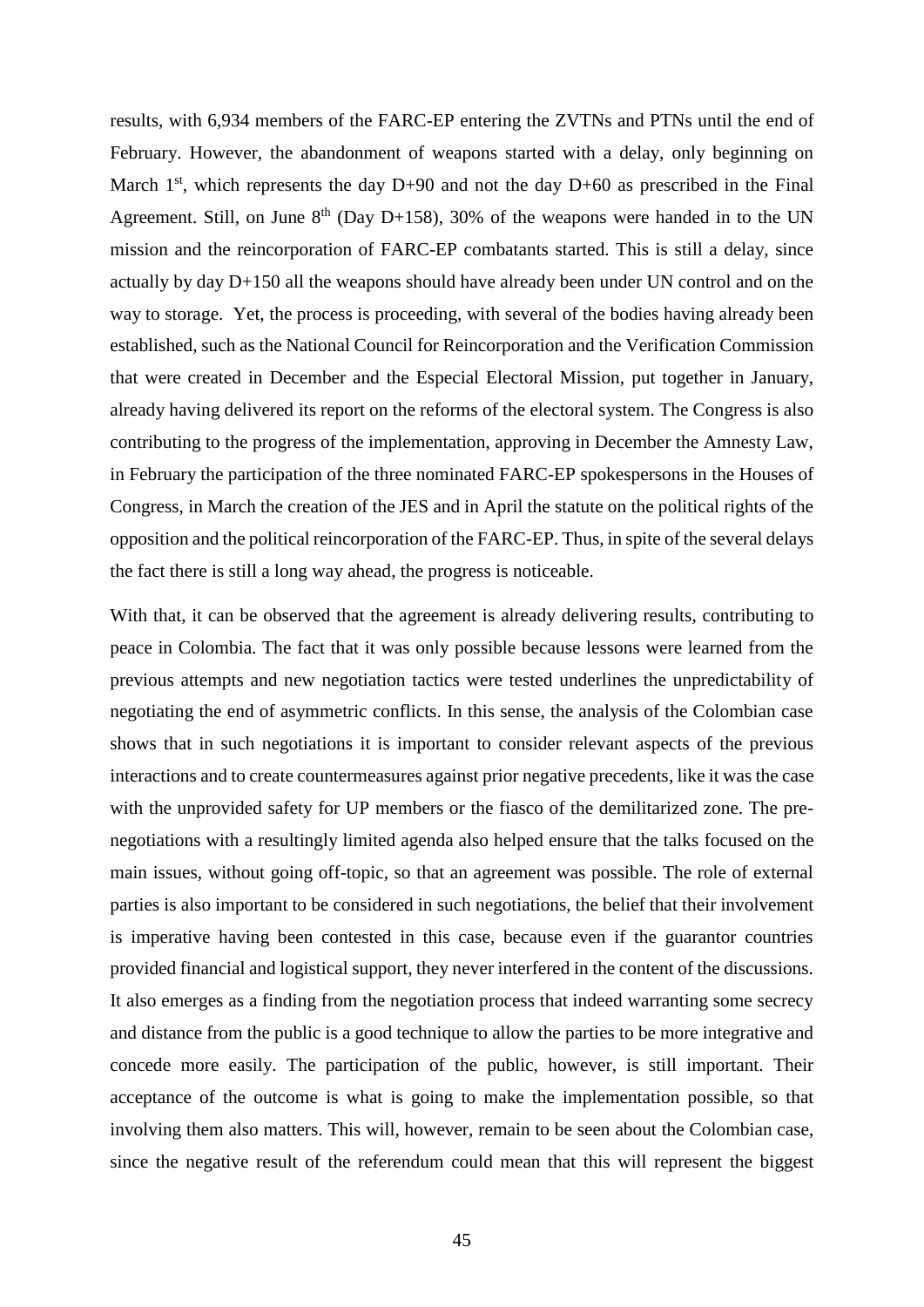results, with 6,934 members of the FARC-EP entering the ZVTNs and PTNs until the end of February. However, the abandonment of weapons started with a delay, only beginning on March  $1<sup>st</sup>$ , which represents the day D+90 and not the day D+60 as prescribed in the Final Agreement. Still, on June  $8<sup>th</sup>$  (Day D+158), 30% of the weapons were handed in to the UN mission and the reincorporation of FARC-EP combatants started. This is still a delay, since actually by day D+150 all the weapons should have already been under UN control and on the way to storage. Yet, the process is proceeding, with several of the bodies having already been established, such as the National Council for Reincorporation and the Verification Commission that were created in December and the Especial Electoral Mission, put together in January, already having delivered its report on the reforms of the electoral system. The Congress is also contributing to the progress of the implementation, approving in December the Amnesty Law, in February the participation of the three nominated FARC-EP spokespersons in the Houses of Congress, in March the creation of the JES and in April the statute on the political rights of the opposition and the political reincorporation of the FARC-EP. Thus, in spite of the several delays the fact there is still a long way ahead, the progress is noticeable.

With that, it can be observed that the agreement is already delivering results, contributing to peace in Colombia. The fact that it was only possible because lessons were learned from the previous attempts and new negotiation tactics were tested underlines the unpredictability of negotiating the end of asymmetric conflicts. In this sense, the analysis of the Colombian case shows that in such negotiations it is important to consider relevant aspects of the previous interactions and to create countermeasures against prior negative precedents, like it was the case with the unprovided safety for UP members or the fiasco of the demilitarized zone. The prenegotiations with a resultingly limited agenda also helped ensure that the talks focused on the main issues, without going off-topic, so that an agreement was possible. The role of external parties is also important to be considered in such negotiations, the belief that their involvement is imperative having been contested in this case, because even if the guarantor countries provided financial and logistical support, they never interfered in the content of the discussions. It also emerges as a finding from the negotiation process that indeed warranting some secrecy and distance from the public is a good technique to allow the parties to be more integrative and concede more easily. The participation of the public, however, is still important. Their acceptance of the outcome is what is going to make the implementation possible, so that involving them also matters. This will, however, remain to be seen about the Colombian case, since the negative result of the referendum could mean that this will represent the biggest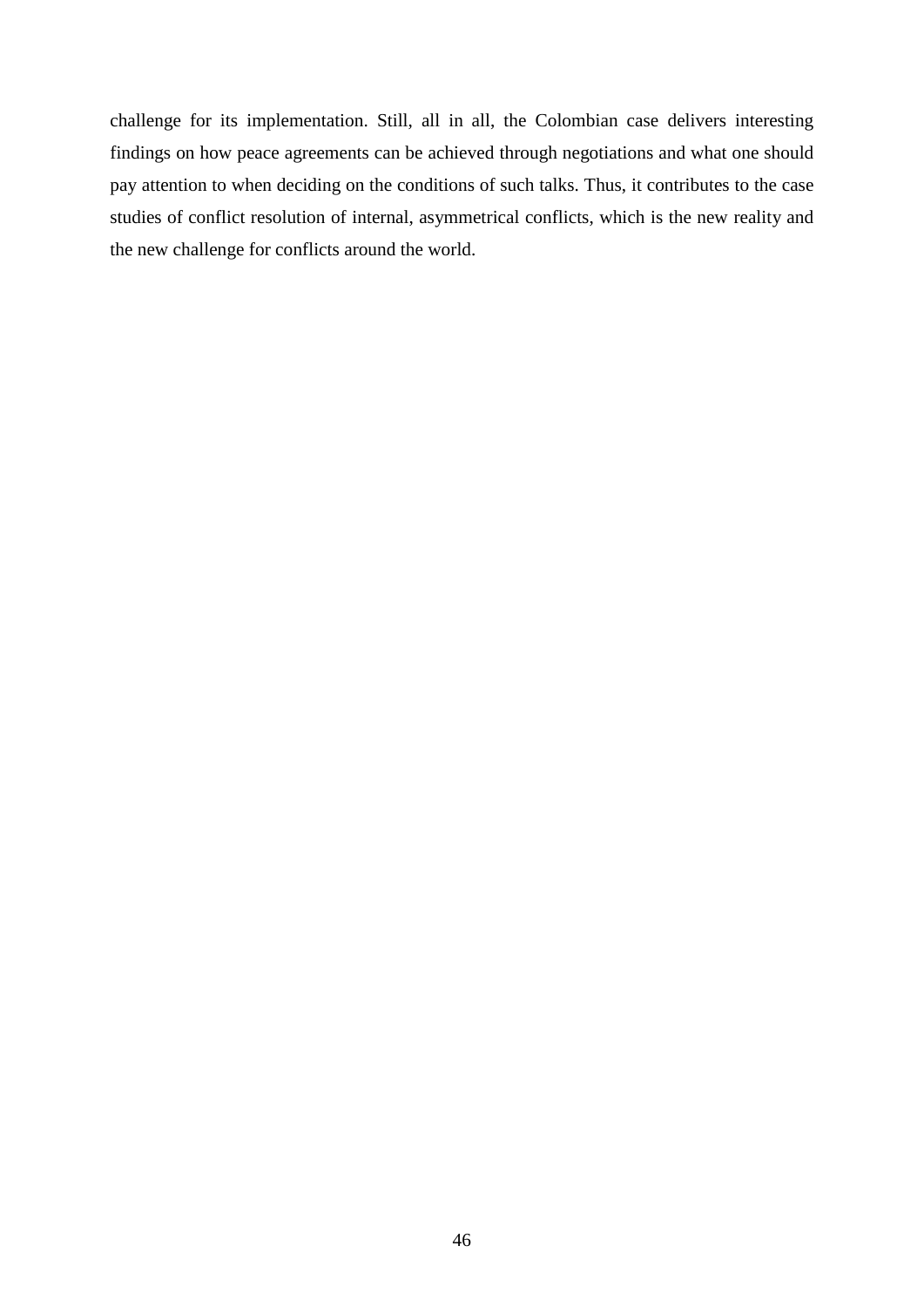challenge for its implementation. Still, all in all, the Colombian case delivers interesting findings on how peace agreements can be achieved through negotiations and what one should pay attention to when deciding on the conditions of such talks. Thus, it contributes to the case studies of conflict resolution of internal, asymmetrical conflicts, which is the new reality and the new challenge for conflicts around the world.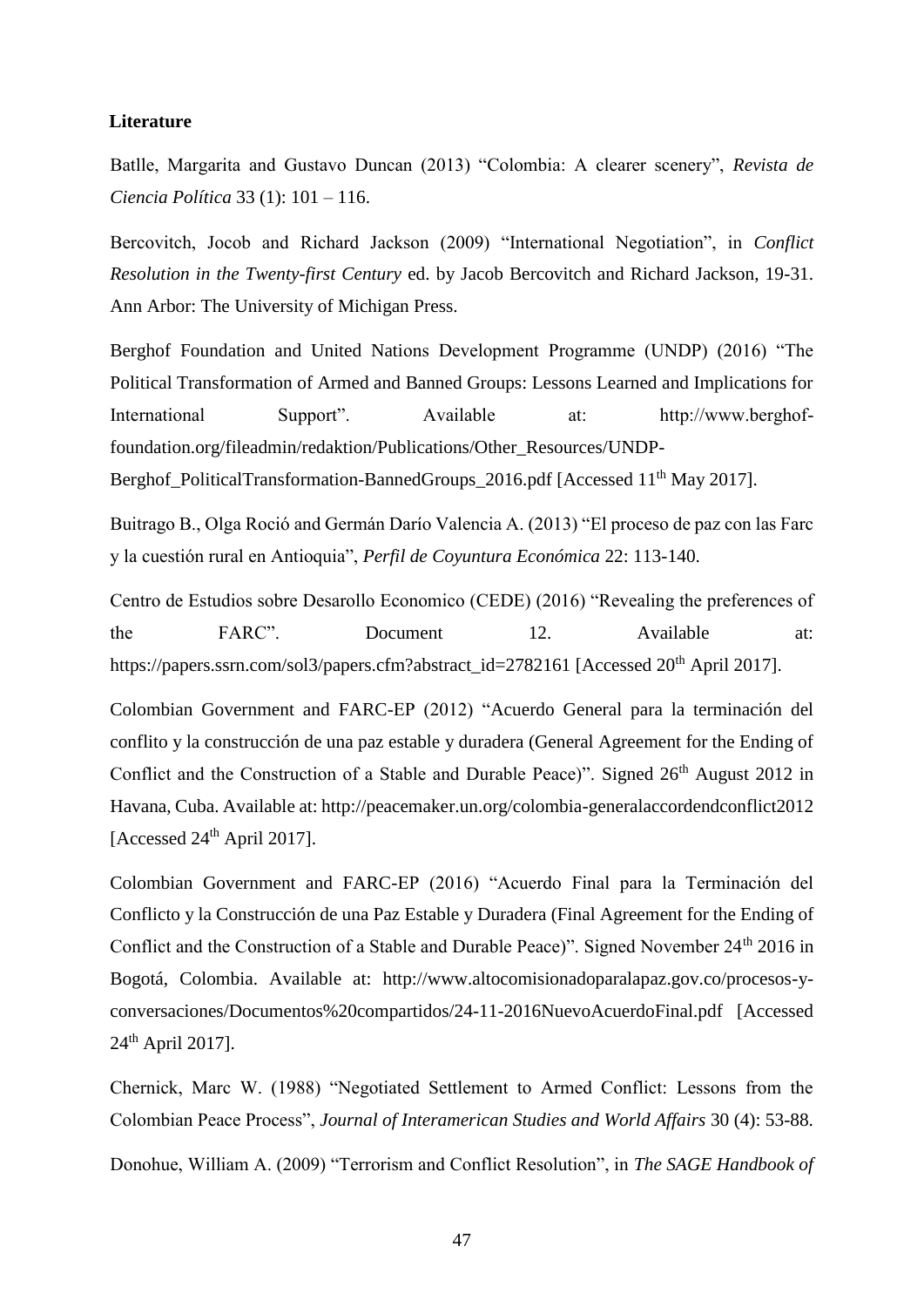#### <span id="page-46-0"></span>**Literature**

Batlle, Margarita and Gustavo Duncan (2013) "Colombia: A clearer scenery", *Revista de Ciencia Política* 33 (1): 101 – 116.

Bercovitch, Jocob and Richard Jackson (2009) "International Negotiation", in *Conflict Resolution in the Twenty-first Century* ed. by Jacob Bercovitch and Richard Jackson, 19-31. Ann Arbor: The University of Michigan Press.

Berghof Foundation and United Nations Development Programme (UNDP) (2016) "The Political Transformation of Armed and Banned Groups: Lessons Learned and Implications for International Support". Available at: http://www.berghoffoundation.org/fileadmin/redaktion/Publications/Other\_Resources/UNDP-

Berghof\_PoliticalTransformation-BannedGroups\_2016.pdf [Accessed 11<sup>th</sup> May 2017].

Buitrago B., Olga Roció and Germán Darío Valencia A. (2013) "El proceso de paz con las Farc y la cuestión rural en Antioquia", *Perfil de Coyuntura Económica* 22: 113-140.

Centro de Estudios sobre Desarollo Economico (CEDE) (2016) "Revealing the preferences of the FARC". Document 12. Available at: https://papers.ssrn.com/sol3/papers.cfm?abstract\_id=2782161 [Accessed 20<sup>th</sup> April 2017].

Colombian Government and FARC-EP (2012) "Acuerdo General para la terminación del conflito y la construcción de una paz estable y duradera (General Agreement for the Ending of Conflict and the Construction of a Stable and Durable Peace)". Signed 26<sup>th</sup> August 2012 in Havana, Cuba. Available at: http://peacemaker.un.org/colombia-generalaccordendconflict2012 [Accessed 24<sup>th</sup> April 2017].

Colombian Government and FARC-EP (2016) "Acuerdo Final para la Terminación del Conflicto y la Construcción de una Paz Estable y Duradera (Final Agreement for the Ending of Conflict and the Construction of a Stable and Durable Peace)". Signed November 24<sup>th</sup> 2016 in Bogotá, Colombia. Available at: http://www.altocomisionadoparalapaz.gov.co/procesos-yconversaciones/Documentos%20compartidos/24-11-2016NuevoAcuerdoFinal.pdf [Accessed  $24<sup>th</sup>$  April 2017].

Chernick, Marc W. (1988) "Negotiated Settlement to Armed Conflict: Lessons from the Colombian Peace Process", *Journal of Interamerican Studies and World Affairs* 30 (4): 53-88.

Donohue, William A. (2009) "Terrorism and Conflict Resolution", in *The SAGE Handbook of*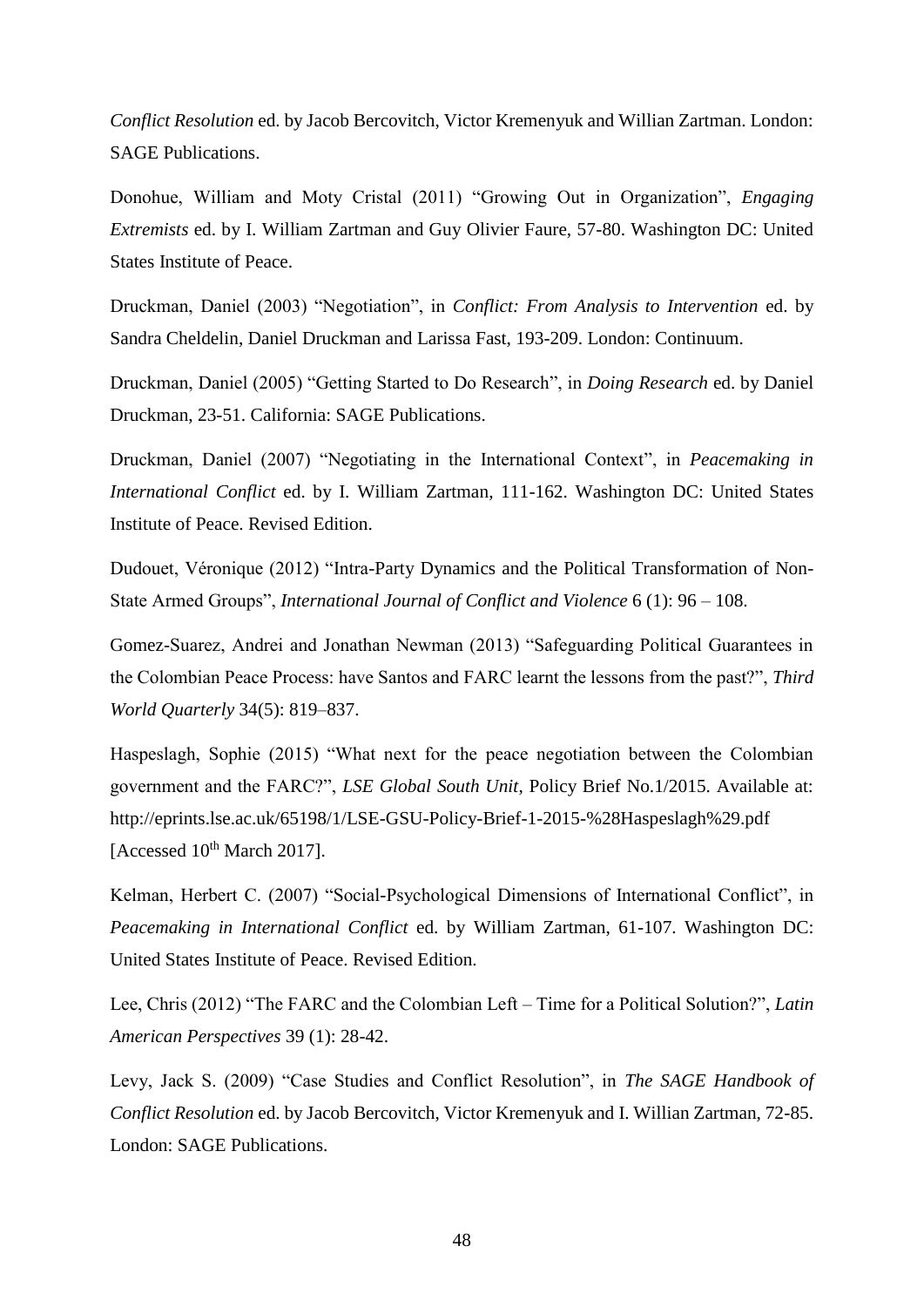*Conflict Resolution* ed. by Jacob Bercovitch, Victor Kremenyuk and Willian Zartman. London: SAGE Publications.

Donohue, William and Moty Cristal (2011) "Growing Out in Organization", *Engaging Extremists* ed. by I. William Zartman and Guy Olivier Faure, 57-80. Washington DC: United States Institute of Peace.

Druckman, Daniel (2003) "Negotiation", in *Conflict: From Analysis to Intervention* ed. by Sandra Cheldelin, Daniel Druckman and Larissa Fast, 193-209. London: Continuum.

Druckman, Daniel (2005) "Getting Started to Do Research", in *Doing Research* ed. by Daniel Druckman, 23-51. California: SAGE Publications.

Druckman, Daniel (2007) "Negotiating in the International Context", in *Peacemaking in International Conflict* ed. by I. William Zartman, 111-162. Washington DC: United States Institute of Peace. Revised Edition.

Dudouet, Véronique (2012) "Intra-Party Dynamics and the Political Transformation of Non-State Armed Groups", *International Journal of Conflict and Violence* 6 (1): 96 – 108.

Gomez-Suarez, Andrei and Jonathan Newman (2013) "Safeguarding Political Guarantees in the Colombian Peace Process: have Santos and FARC learnt the lessons from the past?", *Third World Quarterly* 34(5): 819–837.

Haspeslagh, Sophie (2015) "What next for the peace negotiation between the Colombian government and the FARC?", *LSE Global South Unit*, Policy Brief No.1/2015. Available at: http://eprints.lse.ac.uk/65198/1/LSE-GSU-Policy-Brief-1-2015-%28Haspeslagh%29.pdf [Accessed  $10^{th}$  March 2017].

Kelman, Herbert C. (2007) "Social-Psychological Dimensions of International Conflict", in *Peacemaking in International Conflict* ed. by William Zartman, 61-107. Washington DC: United States Institute of Peace. Revised Edition.

Lee, Chris (2012) "The FARC and the Colombian Left – Time for a Political Solution?", *Latin American Perspectives* 39 (1): 28-42.

Levy, Jack S. (2009) "Case Studies and Conflict Resolution", in *The SAGE Handbook of Conflict Resolution* ed. by Jacob Bercovitch, Victor Kremenyuk and I. Willian Zartman, 72-85. London: SAGE Publications.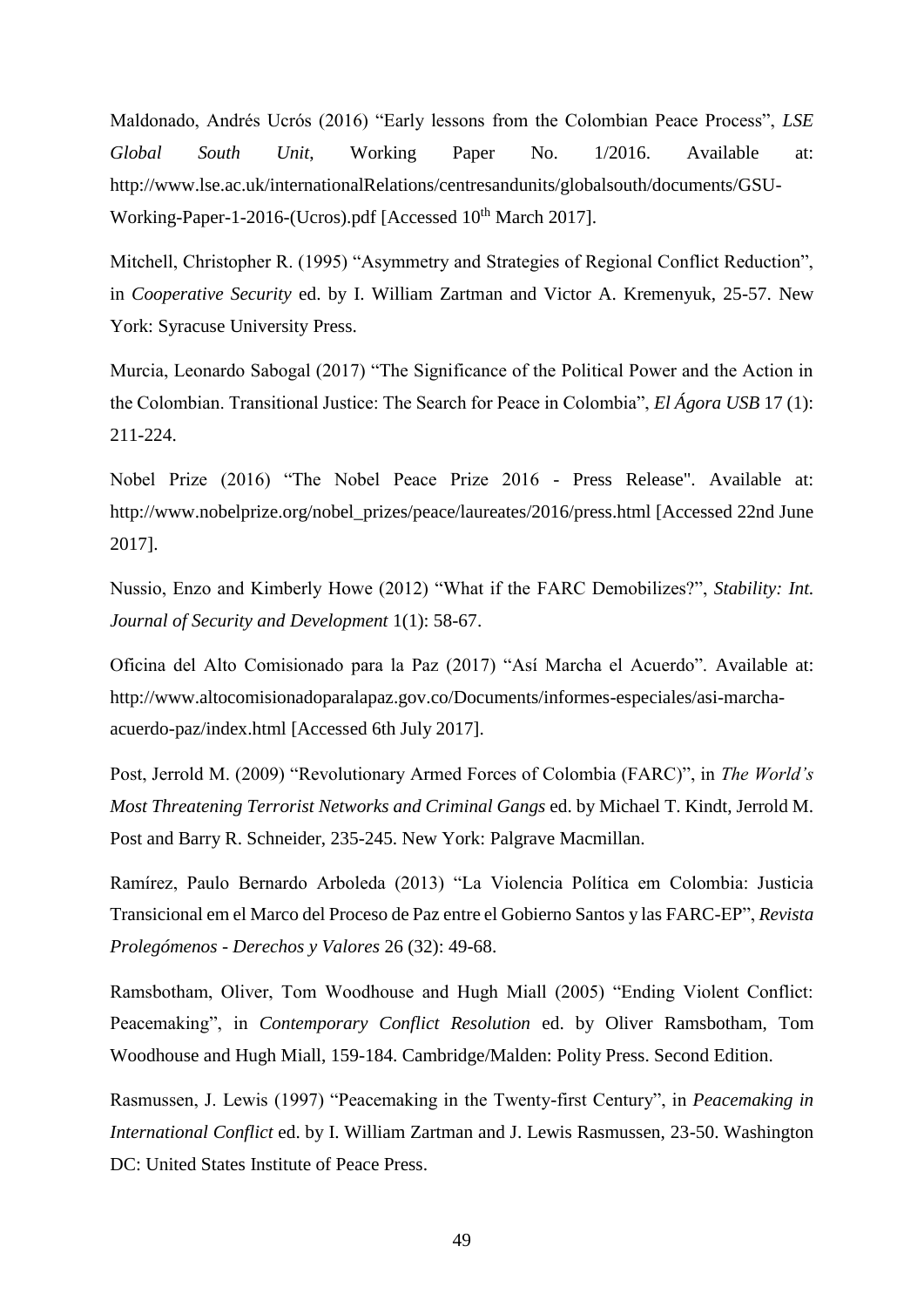Maldonado, Andrés Ucrós (2016) "Early lessons from the Colombian Peace Process", *LSE Global South Unit*, Working Paper No. 1/2016. Available at: http://www.lse.ac.uk/internationalRelations/centresandunits/globalsouth/documents/GSU-Working-Paper-1-2016-(Ucros).pdf [Accessed 10<sup>th</sup> March 2017].

Mitchell, Christopher R. (1995) "Asymmetry and Strategies of Regional Conflict Reduction", in *Cooperative Security* ed. by I. William Zartman and Victor A. Kremenyuk, 25-57. New York: Syracuse University Press.

Murcia, Leonardo Sabogal (2017) "The Significance of the Political Power and the Action in the Colombian. Transitional Justice: The Search for Peace in Colombia", *El Ágora USB* 17 (1): 211-224.

Nobel Prize (2016) "The Nobel Peace Prize 2016 - Press Release". Available at: http://www.nobelprize.org/nobel\_prizes/peace/laureates/2016/press.html [Accessed 22nd June 2017].

Nussio, Enzo and Kimberly Howe (2012) "What if the FARC Demobilizes?", *Stability: Int. Journal of Security and Development* 1(1): 58-67.

Oficina del Alto Comisionado para la Paz (2017) "Así Marcha el Acuerdo". Available at: http://www.altocomisionadoparalapaz.gov.co/Documents/informes-especiales/asi-marchaacuerdo-paz/index.html [Accessed 6th July 2017].

Post, Jerrold M. (2009) "Revolutionary Armed Forces of Colombia (FARC)", in *The World's Most Threatening Terrorist Networks and Criminal Gangs* ed. by Michael T. Kindt, Jerrold M. Post and Barry R. Schneider, 235-245. New York: Palgrave Macmillan.

Ramírez, Paulo Bernardo Arboleda (2013) "La Violencia Política em Colombia: Justicia Transicional em el Marco del Proceso de Paz entre el Gobierno Santos y las FARC-EP", *Revista Prolegómenos - Derechos y Valores* 26 (32): 49-68.

Ramsbotham, Oliver, Tom Woodhouse and Hugh Miall (2005) "Ending Violent Conflict: Peacemaking", in *Contemporary Conflict Resolution* ed. by Oliver Ramsbotham, Tom Woodhouse and Hugh Miall, 159-184. Cambridge/Malden: Polity Press. Second Edition.

Rasmussen, J. Lewis (1997) "Peacemaking in the Twenty-first Century", in *Peacemaking in International Conflict* ed. by I. William Zartman and J. Lewis Rasmussen, 23-50. Washington DC: United States Institute of Peace Press.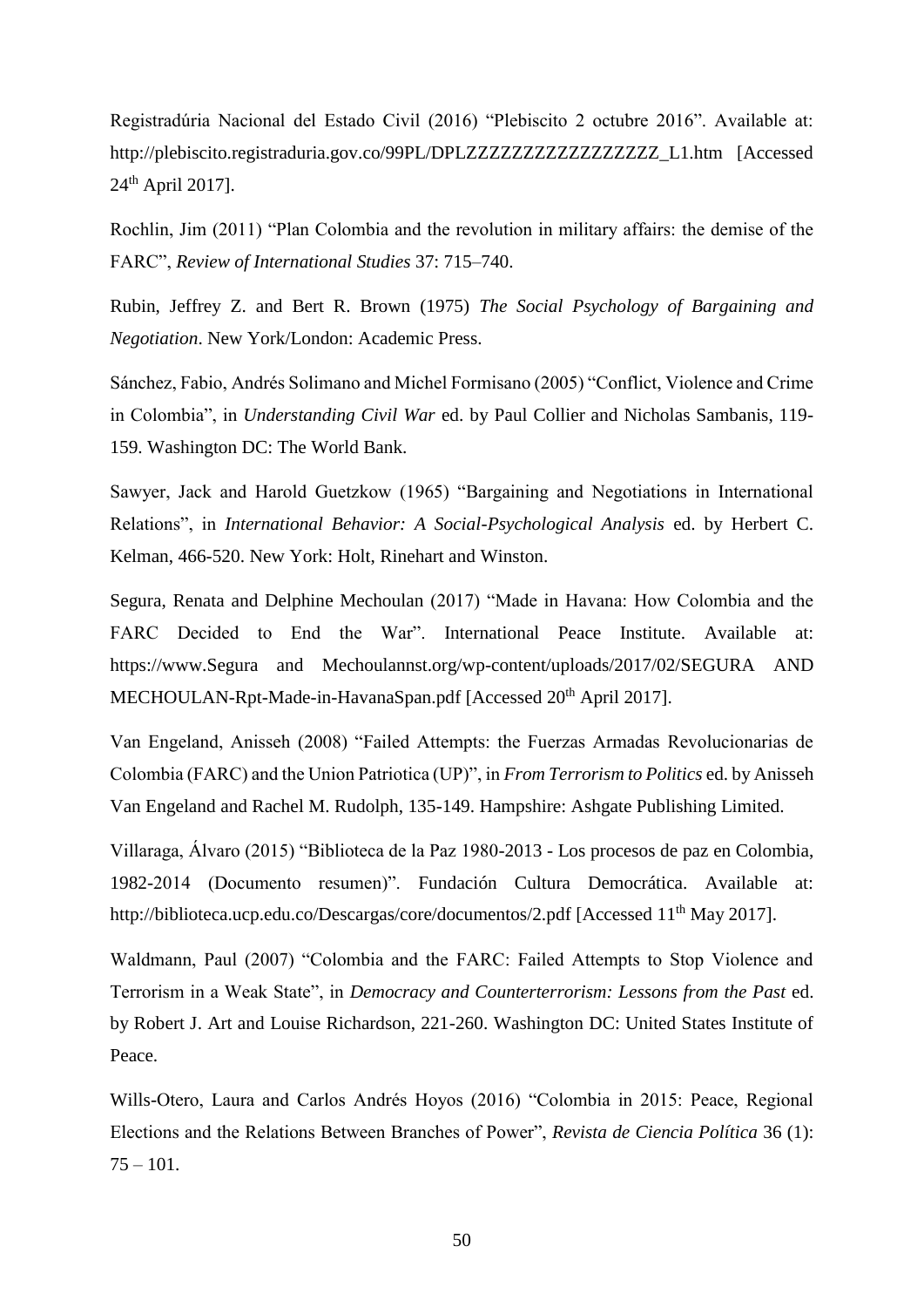Registradúria Nacional del Estado Civil (2016) "Plebiscito 2 octubre 2016". Available at: http://plebiscito.registraduria.gov.co/99PL/DPLZZZZZZZZZZZZZZZZZ\_L1.htm [Accessed 24th April 2017].

Rochlin, Jim (2011) "Plan Colombia and the revolution in military affairs: the demise of the FARC", *Review of International Studies* 37: 715–740.

Rubin, Jeffrey Z. and Bert R. Brown (1975) *The Social Psychology of Bargaining and Negotiation*. New York/London: Academic Press.

Sánchez, Fabio, Andrés Solimano and Michel Formisano (2005) "Conflict, Violence and Crime in Colombia", in *Understanding Civil War* ed. by Paul Collier and Nicholas Sambanis, 119- 159. Washington DC: The World Bank.

Sawyer, Jack and Harold Guetzkow (1965) "Bargaining and Negotiations in International Relations", in *International Behavior: A Social-Psychological Analysis* ed. by Herbert C. Kelman, 466-520. New York: Holt, Rinehart and Winston.

Segura, Renata and Delphine Mechoulan (2017) "Made in Havana: How Colombia and the FARC Decided to End the War". International Peace Institute. Available at: https://www.Segura and Mechoulannst.org/wp-content/uploads/2017/02/SEGURA AND MECHOULAN-Rpt-Made-in-HavanaSpan.pdf [Accessed 20<sup>th</sup> April 2017].

Van Engeland, Anisseh (2008) "Failed Attempts: the Fuerzas Armadas Revolucionarias de Colombia (FARC) and the Union Patriotica (UP)", in *From Terrorism to Politics* ed. by Anisseh Van Engeland and Rachel M. Rudolph, 135-149. Hampshire: Ashgate Publishing Limited.

Villaraga, Álvaro (2015) "Biblioteca de la Paz 1980-2013 - Los procesos de paz en Colombia, 1982-2014 (Documento resumen)". Fundación Cultura Democrática. Available at: http://biblioteca.ucp.edu.co/Descargas/core/documentos/2.pdf [Accessed 11<sup>th</sup> May 2017].

Waldmann, Paul (2007) "Colombia and the FARC: Failed Attempts to Stop Violence and Terrorism in a Weak State", in *Democracy and Counterterrorism: Lessons from the Past* ed. by Robert J. Art and Louise Richardson, 221-260. Washington DC: United States Institute of Peace.

Wills-Otero, Laura and Carlos Andrés Hoyos (2016) "Colombia in 2015: Peace, Regional Elections and the Relations Between Branches of Power", *Revista de Ciencia Política* 36 (1):  $75 - 101$ .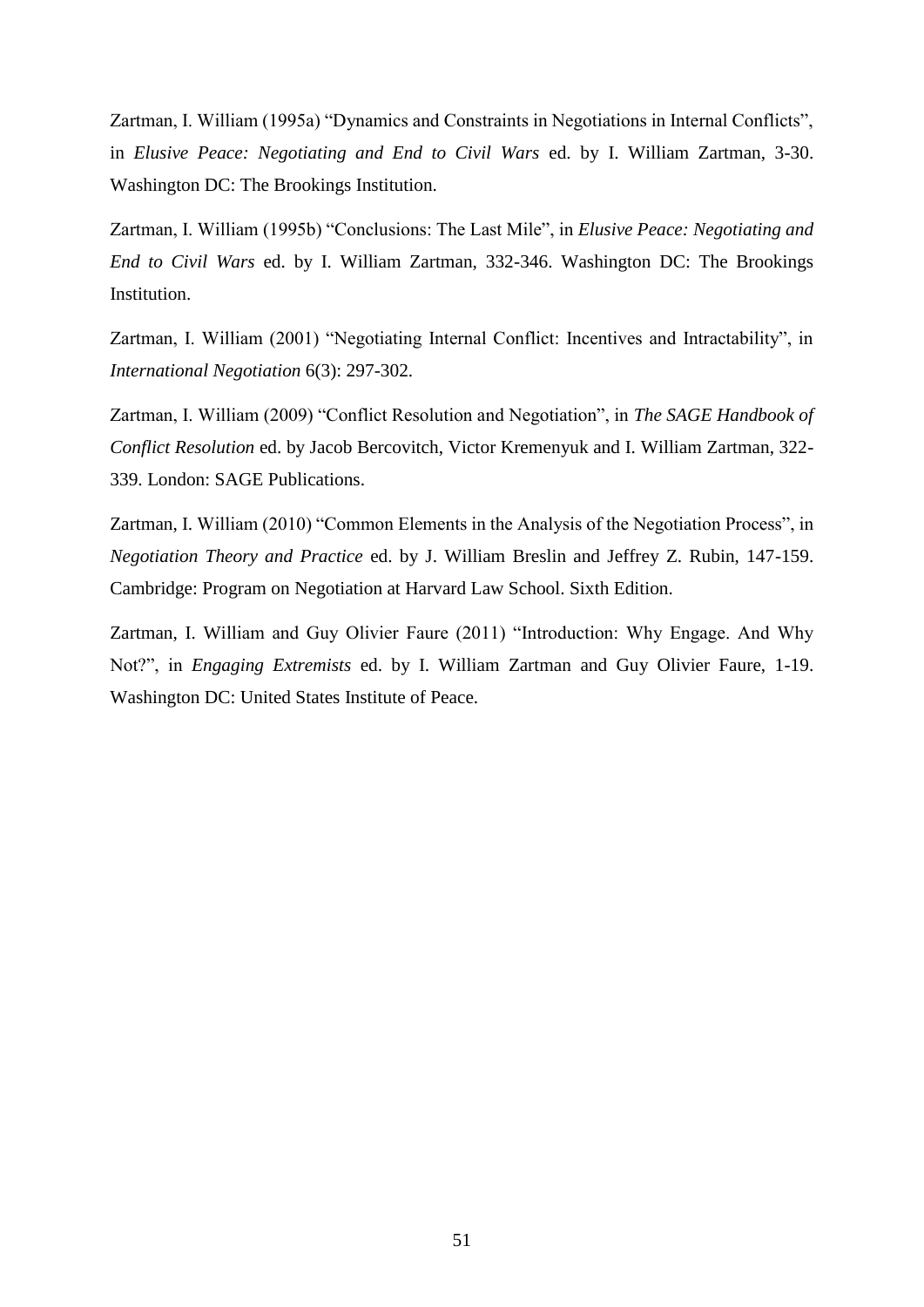Zartman, I. William (1995a) "Dynamics and Constraints in Negotiations in Internal Conflicts", in *Elusive Peace: Negotiating and End to Civil Wars* ed. by I. William Zartman, 3-30. Washington DC: The Brookings Institution.

Zartman, I. William (1995b) "Conclusions: The Last Mile", in *Elusive Peace: Negotiating and End to Civil Wars* ed. by I. William Zartman, 332-346. Washington DC: The Brookings Institution.

Zartman, I. William (2001) "Negotiating Internal Conflict: Incentives and Intractability", in *International Negotiation* 6(3): 297-302.

Zartman, I. William (2009) "Conflict Resolution and Negotiation", in *The SAGE Handbook of Conflict Resolution* ed. by Jacob Bercovitch, Victor Kremenyuk and I. William Zartman, 322- 339. London: SAGE Publications.

Zartman, I. William (2010) "Common Elements in the Analysis of the Negotiation Process", in *Negotiation Theory and Practice* ed. by J. William Breslin and Jeffrey Z. Rubin, 147-159. Cambridge: Program on Negotiation at Harvard Law School. Sixth Edition.

Zartman, I. William and Guy Olivier Faure (2011) "Introduction: Why Engage. And Why Not?", in *Engaging Extremists* ed. by I. William Zartman and Guy Olivier Faure, 1-19. Washington DC: United States Institute of Peace.